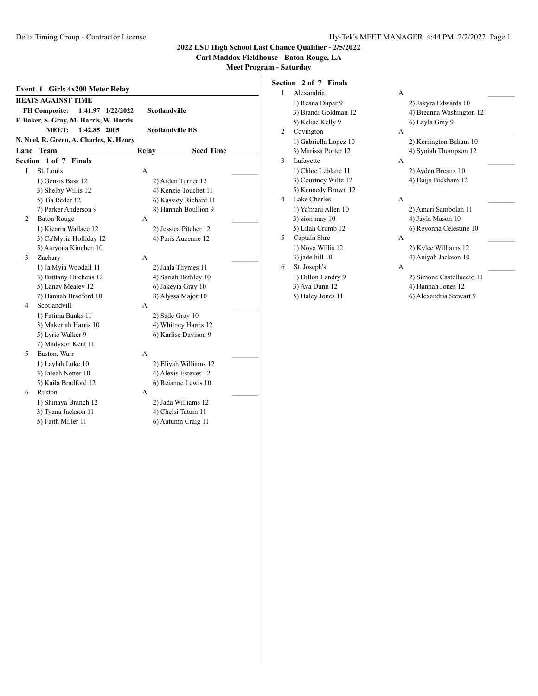#### **Carl Maddox Fieldhouse - Baton Rouge, LA**

**Meet Program - Saturday**

|         | Event 1 Girls 4x200 Meter Relay           |       |                         |  |
|---------|-------------------------------------------|-------|-------------------------|--|
|         | <b>HEATS AGAINST TIME</b>                 |       |                         |  |
|         | <b>FH Composite:</b><br>1:41.97 1/22/2022 |       | <b>Scotlandville</b>    |  |
|         | F. Baker, S. Gray, M. Harris, W. Harris   |       |                         |  |
|         | MEET:<br>1:42.85 2005                     |       | <b>Scotlandville HS</b> |  |
|         | N. Noel, R. Green, A. Charles, K. Henry   |       |                         |  |
|         | <b>Lane</b> Team                          | Relay | <b>Seed Time</b>        |  |
| Section | $1$ of $7$<br><b>Finals</b>               |       |                         |  |
| 1       | St. Louis                                 | A     |                         |  |
|         | 1) Gensis Bass 12                         |       | 2) Arden Turner 12      |  |
|         | 3) Shelby Willis 12                       |       | 4) Kenzie Touchet 11    |  |
|         | 5) Tia Reder 12                           |       | 6) Kassidy Richard 11   |  |
|         | 7) Parker Anderson 9                      |       | 8) Hannah Boullion 9    |  |
| 2       | <b>Baton Rouge</b>                        | A     |                         |  |
|         | 1) Kiearra Wallace 12                     |       | 2) Jessica Pitcher 12   |  |
|         | 3) Ca'Myria Holliday 12                   |       | 4) Paris Auzenne 12     |  |
|         | 5) Aaryona Kinchen 10                     |       |                         |  |
| 3       | Zachary                                   | A     |                         |  |
|         | 1) Ja'Myia Woodall 11                     |       | 2) Jaala Thymes 11      |  |
|         | 3) Brittany Hitchens 12                   |       | 4) Sariah Bethley 10    |  |
|         | 5) Lanay Mealey 12                        |       | 6) Jakeyia Gray 10      |  |
|         | 7) Hannah Bradford 10                     |       | 8) Alyssa Major 10      |  |
| 4       | Scotlandvill                              | A     |                         |  |
|         | 1) Fatima Banks 11                        |       | 2) Sade Gray 10         |  |
|         | 3) Makeriah Harris 10                     |       | 4) Whitney Harris 12    |  |
|         | 5) Lyric Walker 9                         |       | 6) Karlise Davison 9    |  |
|         | 7) Madyson Kent 11                        |       |                         |  |
| 5       | Easton, Warr                              | A     |                         |  |
|         | 1) Laylah Luke 10                         |       | 2) Eliyah Williams 12   |  |
|         | 3) Jaleah Netter 10                       |       | 4) Alexis Esteves 12    |  |
|         | 5) Kaila Bradford 12                      |       | 6) Reianne Lewis 10     |  |
| 6       | Ruston                                    | A     |                         |  |
|         | 1) Shinaya Branch 12                      |       | 2) Jada Williams 12     |  |
|         | 3) Tyana Jackson 11                       |       | 4) Chelsi Tatum 11      |  |
|         | 5) Faith Miller 11                        |       | 6) Autumn Craig 11      |  |

**Section 2 of 7 Finals** 1 Alexandria A \_\_\_\_\_\_\_\_\_ 1) Reana Dupar 9 2) Jakyra Edwards 10 3) Brandi Goldman 12 4) Breanna Washington 12 5) Kelise Kelly 9 6) Layla Gray 9 2 Covington A 1) Gabriella Lopez 10 2) Kerrington Baham 10 3) Marissa Porter 12 4) Syniah Thompson 12 3 Lafayette A \_\_\_\_\_\_\_\_\_ 1) Chloe Leblanc 11 2) Ayden Breaux 10 3) Courtney Wiltz 12 4) Daija Bickham 12 5) Kennedy Brown 12 4 Lake Charles A \_\_\_\_\_\_\_\_\_ 1) Ya'mani Allen 10 2) Amari Sambolah 11 3) zion may 10 4) Jayla Mason 10 5) Lilah Crumb 12 6) Reyonna Celestine 10 5 Captain Shre A 1) Noya Willis 12 2) Kylee Williams 12 3) jade hill 10 4) Aniyah Jackson 10 6 St. Joseph's A \_\_\_\_\_\_\_\_\_ 1) Dillon Landry 9 2) Simone Castelluccio 11 3) Ava Dunn 12 4) Hannah Jones 12 5) Haley Jones 11 6) Alexandria Stewart 9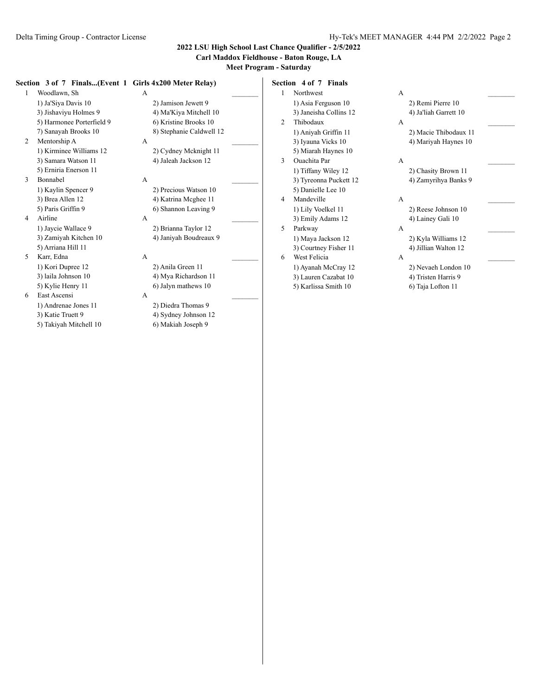### **Carl Maddox Fieldhouse - Baton Rouge, LA**

**Meet Program - Saturday**

#### **Section 3 of 7 Finals...(Event 1 Girls 4x200 Meter Relay)**

1 Woodlawn, Sh A 1) Ja'Siya Davis 10 2) Jamison Jewett 9 3) Jishaviyu Holmes 9 4) Ma'Kiya Mitchell 10 5) Harmonee Porterfield 9 6) Kristine Brooks 10 7) Sanayah Brooks 10 8) Stephanie Caldwell 12 2 Mentorship A A \_\_\_\_\_\_\_\_\_ 1) Kirminee Williams 12 2) Cydney Mcknight 11 3) Samara Watson 11 4) Jaleah Jackson 12 5) Erniria Enerson 11 3 Bonnabel A \_\_\_\_\_\_\_\_\_ 1) Kaylin Spencer 9 2) Precious Watson 10 3) Brea Allen 12 4) Katrina Mcghee 11 5) Paris Griffin 9 6) Shannon Leaving 9 4 Airline A \_\_\_\_\_\_\_\_\_ 1) Jaycie Wallace 9 2) Brianna Taylor 12 3) Zamiyah Kitchen 10 4) Janiyah Boudreaux 9 5) Arriana Hill 11

5 Karr, Edna A \_\_\_\_\_\_\_\_\_ 1) Kori Dupree 12 2) Anila Green 11 6 East Ascensi A \_\_\_\_\_\_\_\_\_

1) Andrenae Jones 11 2) Diedra Thomas 9 3) Katie Truett 9 4) Sydney Johnson 12 5) Takiyah Mitchell 10 6) Makiah Joseph 9

3) laila Johnson 10 4) Mya Richardson 11 5) Kylie Henry 11 6) Jalyn mathews 10

**Section 4 of 7 Finals** 1 Northwest A 1) Asia Ferguson 10 2) Remi Pierre 10

- 3) Janeisha Collins 12 4) Ja'liah Garrett 10 2 Thibodaux A \_\_\_\_\_\_\_\_\_ 3) Iyauna Vicks 10 4) Mariyah Haynes 10 5) Miarah Haynes 10 3 Ouachita Par A \_\_\_\_\_\_\_\_\_ 1) Tiffany Wiley 12 2) Chasity Brown 11 3) Tyreonna Puckett 12 4) Zamyrihya Banks 9 5) Danielle Lee 10 4 Mandeville A 1) Lily Voelkel 11 2) Reese Johnson 10 3) Emily Adams 12 4) Lainey Gali 10 5 Parkway A 1) Maya Jackson 12 2) Kyla Williams 12 3) Courtney Fisher 11 4) Jillian Walton 12
- 6 West Felicia A \_\_\_\_\_\_\_\_\_
	-
	- 3) Lauren Cazabat 10 4) Tristen Harris 9
	- 5) Karlissa Smith 10 6) Taja Lofton 11

1) Aniyah Griffin 11 2) Macie Thibodaux 11

- 
- 
- 
- 1) Ayanah McCray 12 2) Nevaeh London 10
	-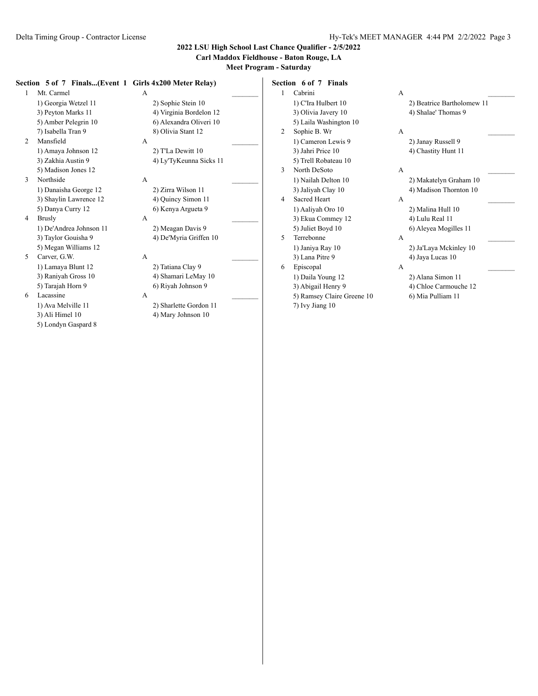## **Carl Maddox Fieldhouse - Baton Rouge, LA**

**Meet Program - Saturday**

#### **Section 5 of 7 Finals...(Event 1 Girls 4x200 Meter Relay)**

1 Mt. Carmel A \_\_\_\_\_\_\_\_\_ 1) Georgia Wetzel 11 2) Sophie Stein 10 3) Peyton Marks 11 4) Virginia Bordelon 12 5) Amber Pelegrin 10 6) Alexandra Oliveri 10 7) Isabella Tran 9 8) Olivia Stant 12 2 Mansfield A 1) Amaya Johnson 12 2) T'La Dewitt 10

5) Madison Jones 12 3 Northside A \_\_\_\_\_\_\_\_\_

1) Danaisha George 12 2) Zirra Wilson 11 3) Shaylin Lawrence 12 4) Quincy Simon 11 5) Danya Curry 12 6) Kenya Argueta 9

- 4 Brusly A \_\_\_\_\_\_\_\_\_ 1) De'Andrea Johnson 11 2) Meagan Davis 9 3) Taylor Gouisha 9 4) De'Myria Griffen 10 5) Megan Williams 12
- 5 Carver, G.W. A 1) Lamaya Blunt 12 2) Tatiana Clay 9

6 Lacassine A \_\_\_\_\_\_\_\_\_ 3) Ali Himel 10 4) Mary Johnson 10 5) Londyn Gaspard 8

3) Zakhia Austin 9 4) Ly'TyKeunna Sicks 11

3) Raniyah Gross 10 4) Shamari LeMay 10<br>5) Tarajah Horn 9 6) Riyah Johnson 9 6) Riyah Johnson 9

1) Ava Melville 11 2) Sharlette Gordon 11

**Section 6 of 7 Finals** 1 Cabrini A \_\_\_\_\_\_\_\_\_ 1) C'Ira Hulbert 10 2) Beatrice Bartholomew 11 3) Olivia Javery 10 4) Shalae' Thomas 9 5) Laila Washington 10 2 Sophie B. Wr A 1) Cameron Lewis 9 2) Janay Russell 9 3) Jahri Price 10 4) Chastity Hunt 11 5) Trell Robateau 10 3 North DeSoto A \_\_\_\_\_\_\_\_\_ 1) Nailah Delton 10 2) Makatelyn Graham 10 3) Jaliyah Clay 10 4) Madison Thornton 10 4 Sacred Heart A 1) Aaliyah Oro 10 2) Malina Hull 10 3) Ekua Commey 12 4) Lulu Real 11 5) Juliet Boyd 10 6) Aleyea Mogilles 11 5 Terrebonne A \_\_\_\_\_\_\_\_\_ 1) Janiya Ray 10 2) Ja'Laya Mckinley 10 3) Lana Pitre 9 4) Jaya Lucas 10 6 Episcopal A \_\_\_\_\_\_\_\_\_ 1) Daila Young 12 2) Alana Simon 11 3) Abigail Henry 9 4) Chloe Carmouche 12 5) Ramsey Claire Greene 10 6) Mia Pulliam 11 7) Ivy Jiang 10

- 
- 
- 

- 
- 
- 

- 
- 
- 
-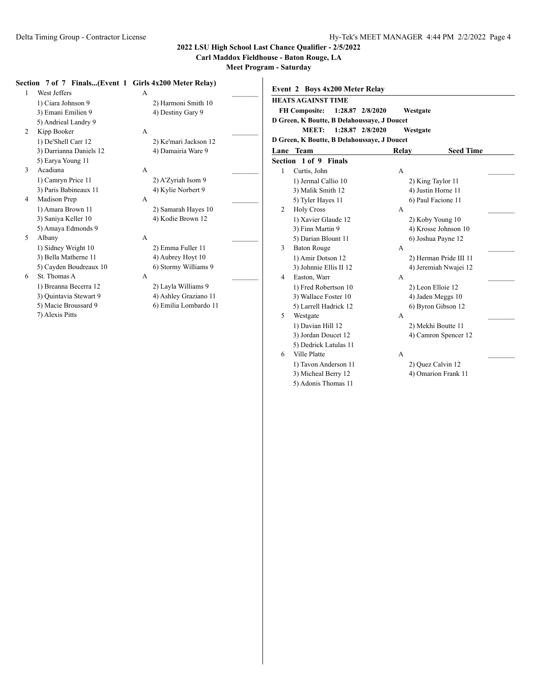**Carl Maddox Fieldhouse - Baton Rouge, LA**

**Event 2 Boys 4x200 Meter Relay**

**Meet Program - Saturday**

### **Section 7 of 7 Finals...(Event 1 Girls 4x200 Meter Relay)**

| $\mathbf{1}$ | West Jeffers            | A |                       |  |
|--------------|-------------------------|---|-----------------------|--|
|              | 1) Ciara Johnson 9      |   | 2) Harmoni Smith 10   |  |
|              | 3) Emani Emilien 9      |   | 4) Destiny Gary 9     |  |
|              | 5) Andrieal Landry 9    |   |                       |  |
| 2            | Kipp Booker             | A |                       |  |
|              | 1) De'Shell Carr 12     |   | 2) Ke'mari Jackson 12 |  |
|              | 3) Darrianna Daniels 12 |   | 4) Damairia Ware 9    |  |
|              | 5) Earya Young 11       |   |                       |  |
| 3            | Acadiana                | А |                       |  |
|              | 1) Camryn Price 11      |   | 2) A'Zyriah Isom 9    |  |
|              | 3) Paris Babineaux 11   |   | 4) Kylie Norbert 9    |  |
| 4            | Madison Prep            | A |                       |  |
|              | 1) Amara Brown 11       |   | 2) Samarah Hayes 10   |  |
|              | 3) Saniya Keller 10     |   | 4) Kodie Brown 12     |  |
|              | 5) Amaya Edmonds 9      |   |                       |  |
| 5            | Albany                  | A |                       |  |
|              | 1) Sidney Wright 10     |   | 2) Emma Fuller 11     |  |
|              | 3) Bella Matherne 11    |   | 4) Aubrey Hoyt 10     |  |
|              | 5) Cayden Boudreaux 10  |   | 6) Stormy Williams 9  |  |
| 6            | St. Thomas A            | A |                       |  |
|              | 1) Breanna Becerra 12   |   | 2) Layla Williams 9   |  |
|              | 3) Quintavia Stewart 9  |   | 4) Ashley Graziano 11 |  |
|              | 5) Macie Broussard 9    |   | 6) Emilia Lombardo 11 |  |

7) Alexis Pitts

|      | <b>HEATS AGAINST TIME</b>                   |                  |                        |
|------|---------------------------------------------|------------------|------------------------|
|      | FH Composite: 1:28.87 2/8/2020              |                  | Westgate               |
|      | D Green, K Boutte, B Delahoussaye, J Doucet |                  |                        |
|      | <b>MEET:</b>                                | 1:28.87 2/8/2020 | Westgate               |
|      | D Green, K Boutte, B Delahoussaye, J Doucet |                  |                        |
| Lane | <b>Team</b>                                 | Relay            | <b>Seed Time</b>       |
|      | Section 1 of 9 Finals                       |                  |                        |
| 1    | Curtis, John                                | A                |                        |
|      | 1) Jermal Callio 10                         |                  | 2) King Taylor 11      |
|      | 3) Malik Smith 12                           |                  | 4) Justin Horne 11     |
|      | 5) Tyler Hayes 11                           |                  | 6) Paul Facione 11     |
| 2    | <b>Holy Cross</b>                           | A                |                        |
|      | 1) Xavier Glaude 12                         |                  | 2) Koby Young 10       |
|      | 3) Finn Martin 9                            |                  | 4) Krosse Johnson 10   |
|      | 5) Darian Blount 11                         |                  | 6) Joshua Payne 12     |
| 3    | <b>Baton Rouge</b>                          | A                |                        |
|      | 1) Amir Dotson 12                           |                  | 2) Herman Pride III 11 |
|      | 3) Johnnie Ellis II 12                      |                  | 4) Jeremiah Nwajei 12  |
| 4    | Easton, Warr                                | A                |                        |
|      | 1) Fred Robertson 10                        |                  | 2) Leon Elloie 12      |
|      | 3) Wallace Foster 10                        |                  | 4) Jaden Meggs 10      |
|      | 5) Larrell Hadrick 12                       |                  | 6) Byron Gibson 12     |
| 5    | Westgate                                    | A                |                        |
|      | 1) Davian Hill 12                           |                  | 2) Mekhi Boutte 11     |
|      | 3) Jordan Doucet 12                         |                  | 4) Camron Spencer 12   |
|      | 5) Dedrick Latulas 11                       |                  |                        |
| 6    | Ville Platte                                | A                |                        |
|      | 1) Tavon Anderson 11                        |                  | 2) Quez Calvin 12      |

5) Adonis Thomas 11

3) Micheal Berry 12 4) Omarion Frank 11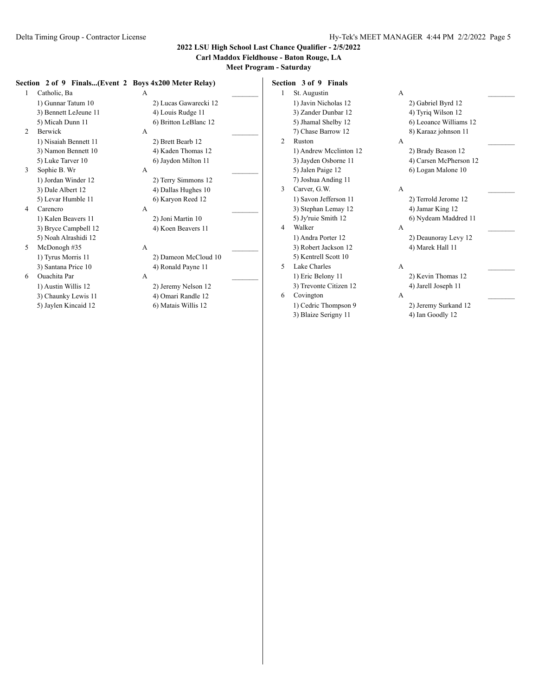### **Carl Maddox Fieldhouse - Baton Rouge, LA**

**Meet Program - Saturday**

#### **Section 2 of 9 Finals...(Event 2 Boys 4x200 Meter Relay)**

| 1 | Catholic, Ba          | A |                       |  |
|---|-----------------------|---|-----------------------|--|
|   | 1) Gunnar Tatum 10    |   | 2) Lucas Gawarecki 12 |  |
|   | 3) Bennett LeJeune 11 |   | 4) Louis Rudge 11     |  |
|   | 5) Micah Dunn 11      |   | 6) Britton LeBlanc 12 |  |
| 2 | Berwick               | A |                       |  |
|   | 1) Nisaiah Bennett 11 |   | 2) Brett Bearb 12     |  |
|   | 3) Namon Bennett 10   |   | 4) Kaden Thomas 12    |  |
|   | 5) Luke Tarver 10     |   | 6) Jaydon Milton 11   |  |
| 3 | Sophie B. Wr          | A |                       |  |
|   | 1) Jordan Winder 12   |   | 2) Terry Simmons 12   |  |
|   | 3) Dale Albert 12     |   | 4) Dallas Hughes 10   |  |
|   | 5) Levar Humble 11    |   | 6) Karyon Reed 12     |  |
| 4 | Carencro              | A |                       |  |
|   | 1) Kalen Beavers 11   |   | 2) Joni Martin 10     |  |
|   | 3) Bryce Campbell 12  |   | 4) Koen Beavers 11    |  |
|   | 5) Noah Alrashidi 12  |   |                       |  |
| 5 | McDonogh#35           | A |                       |  |
|   | 1) Tyrus Morris 11    |   | 2) Dameon McCloud 10  |  |
|   |                       |   |                       |  |

6 Ouachita Par A \_\_\_\_\_\_\_\_\_ 3) Chaunky Lewis 11 4) Omari Randle 12 5) Jaylen Kincaid 12 6) Matais Willis 12

2) Lucas Gawarecki 12 4) Louis Rudge 11 6) Britton LeBlanc 12 2 Berwick A  $\overline{A}$ 2) Brett Bearb 12 4) Kaden Thomas 12 6) Jaydon Milton 11 3 Sophie B. Wr A \_\_\_\_\_\_\_\_\_ 2) Terry Simmons 12 4) Dallas Hughes 10 6) Karyon Reed 12 4 Carencro A \_\_\_\_\_\_\_\_\_ 2) Joni Martin 10 4) Koen Beavers 11 5  $\text{McDonogh}$  #35  $\text{A}$ 2) Dameon McCloud 10 3) Santana Price 10 4) Ronald Payne 11 1) Austin Willis 12 2) Jeremy Nelson 12

**Section 3 of 9 Finals** 1 St. Augustin A \_\_\_\_\_\_\_\_\_ 1) Javin Nicholas 12 2) Gabriel Byrd 12 3) Zander Dunbar 12 4) Tyriq Wilson 12 5) Jhamal Shelby 12 6) Leoance Williams 12 7) Chase Barrow 12 8) Karaaz johnson 11 2 Ruston A 1) Andrew Mcclinton 12 2) Brady Beason 12 3) Jayden Osborne 11 4) Carsen McPherson 12 5) Jalen Paige 12 6) Logan Malone 10 7) Joshua Anding 11 3 Carver, G.W. A 1) Savon Jefferson 11 2) Terrold Jerome 12 3) Stephan Lemay 12 4) Jamar King 12

# 3) Robert Jackson 12 4) Marek Hall 11 5) Kentrell Scott 10

- 5 Lake Charles A 1) Eric Belony 11 2) Kevin Thomas 12 3) Trevonte Citizen 12 4) Jarell Joseph 11 6 Covington A \_\_\_\_\_\_\_\_\_
	- 1) Cedric Thompson 9 2) Jeremy Surkand 12 3) Blaize Serigny 11 4) Ian Goodly 12

5) Jy'ruie Smith 12 6) Nydeam Maddred 11 4 Walker A \_\_\_\_\_\_\_\_\_ 1) Andra Porter 12 2) Deaunoray Levy 12

- 
- -
-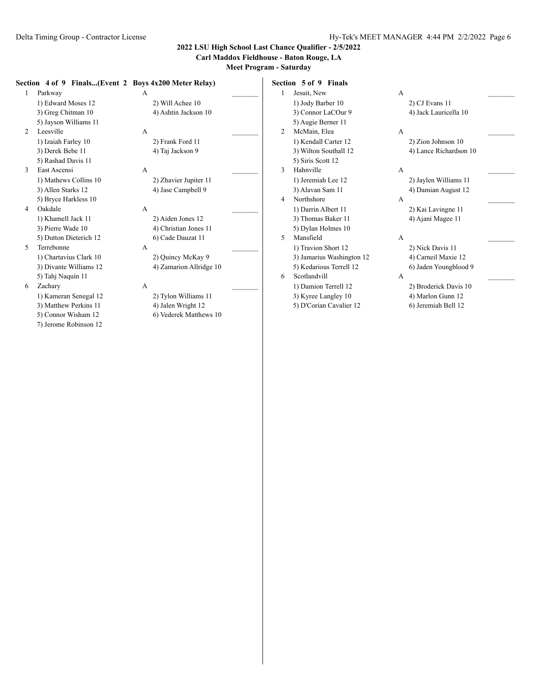5) Connor Wisham 12 6) Vederek Matthews 10

7) Jerome Robinson 12

## **2022 LSU High School Last Chance Qualifier - 2/5/2022**

## **Carl Maddox Fieldhouse - Baton Rouge, LA**

|   |                        | Section 4 of 9 Finals(Event 2 Boys 4x200 Meter Relay) |   | Section 5 of 9 Finals     |   |                        |
|---|------------------------|-------------------------------------------------------|---|---------------------------|---|------------------------|
|   | Parkway                | А                                                     |   | Jesuit, New               | A |                        |
|   | 1) Edward Moses 12     | 2) Will Achee 10                                      |   | 1) Jody Barber 10         |   | 2) CJ Evans 11         |
|   | 3) Greg Chitman 10     | 4) Ashtin Jackson 10                                  |   | 3) Connor LaCOur 9        |   | 4) Jack Lauricella 10  |
|   | 5) Jayson Williams 11  |                                                       |   | 5) Augie Berner 11        |   |                        |
| 2 | Leesville              | A                                                     | 2 | McMain, Elea              | А |                        |
|   | 1) Izaiah Farley 10    | 2) Frank Ford 11                                      |   | 1) Kendall Carter 12      |   | 2) Zion Johnson 10     |
|   | 3) Derek Bebe 11       | 4) Taj Jackson 9                                      |   | 3) Wilton Southall 12     |   | 4) Lance Richardson 10 |
|   | 5) Rashad Davis 11     |                                                       |   | 5) Siris Scott 12         |   |                        |
| 3 | East Ascensi           | A                                                     | 3 | Hahnville                 | А |                        |
|   | 1) Mathews Collins 10  | 2) Zhavier Jupiter 11                                 |   | 1) Jeremiah Lee 12        |   | 2) Jaylen Williams 11  |
|   | 3) Allen Starks 12     | 4) Jase Campbell 9                                    |   | 3) Alavan Sam 11          |   | 4) Damian August 12    |
|   | 5) Bryce Harkless 10   |                                                       | 4 | Northshore                | A |                        |
| 4 | Oakdale                | A                                                     |   | 1) Darrin Albert 11       |   | 2) Kai Lavingne 11     |
|   | 1) Khamell Jack 11     | 2) Aiden Jones 12                                     |   | 3) Thomas Baker 11        |   | 4) Ajani Magee 11      |
|   | 3) Pierre Wade 10      | 4) Christian Jones 11                                 |   | 5) Dylan Holmes 10        |   |                        |
|   | 5) Dutton Dieterich 12 | 6) Cade Dauzat 11                                     | 5 | Mansfield                 | A |                        |
| 5 | Terrebonne             | A                                                     |   | 1) Travion Short 12       |   | 2) Nick Davis 11       |
|   | 1) Chartavius Clark 10 | 2) Quincy McKay 9                                     |   | 3) Jamarius Washington 12 |   | 4) Carneil Maxie 12    |
|   | 3) Divante Williams 12 | 4) Zamarion Allridge 10                               |   | 5) Kedarious Terrell 12   |   | 6) Jaden Youngblood 9  |
|   | 5) Tahj Naquin 11      |                                                       | 6 | Scotlandvill              | A |                        |
| 6 | Zachary                | А                                                     |   | 1) Damion Terrell 12      |   | 2) Broderick Davis 10  |
|   | 1) Kameran Senegal 12  | 2) Tylon Williams 11                                  |   | 3) Kyree Langley 10       |   | 4) Marlon Gunn 12      |
|   | 3) Matthew Perkins 11  | 4) Jalen Wright 12                                    |   | 5) D'Corian Cavalier 12   |   | 6) Jeremiah Bell 12    |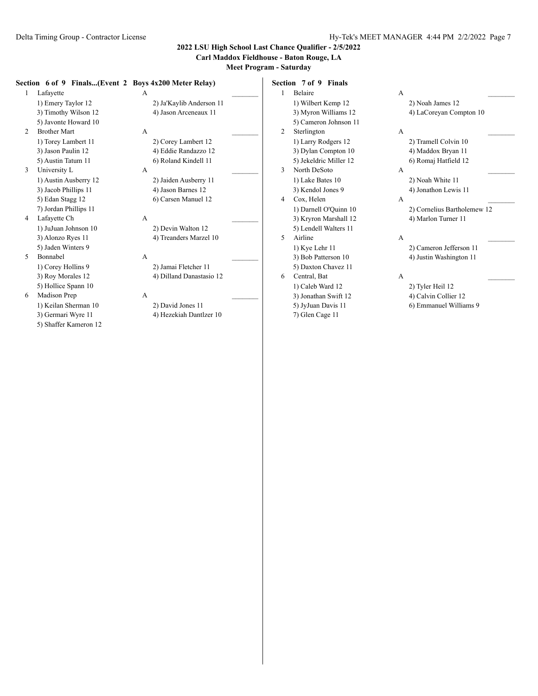### **Carl Maddox Fieldhouse - Baton Rouge, LA**

**Meet Program - Saturday**

#### **Section 6 of 9 Finals...(Event 2 Boys 4x200 Meter Relay)**

- 1 Lafayette A 3) Timothy Wilson 12 4) Jason Arceneaux 11 5) Javonte Howard 10 2 Brother Mart A
- 5) Austin Tatum 11 6) Roland Kindell 11 3 University L A
- 3) Jacob Phillips 11 4) Jason Barnes 12 5) Edan Stagg 12 6) Carsen Manuel 12 7) Jordan Phillips 11
- 4 Lafayette Ch A \_\_\_\_\_\_\_\_\_ 1) JuJuan Johnson 10 2) Devin Walton 12 3) Alonzo Ryes 11 4) Treanders Marzel 10 5) Jaden Winters 9
- 5 Bonnabel A \_\_\_\_\_\_\_\_\_ 5) Hollice Spann 10
- 6 Madison Prep A \_\_\_\_\_\_\_\_\_ 1) Keilan Sherman 10 2) David Jones 11
	- 5) Shaffer Kameron 12

1) Emery Taylor 12 2) Ja'Kaylib Anderson 11 1) Torey Lambert 11 2) Corey Lambert 12 3) Jason Paulin 12 4) Eddie Randazzo 12 1) Austin Ausberry 12 2) Jaiden Ausberry 11

1) Corey Hollins 9 2) Jamai Fletcher 11 3) Roy Morales 12 4) Dilland Danastasio 12

3) Germari Wyre 11 4) Hezekiah Dantlzer 10

**Section 7 of 9 Finals** 1 Belaire A 1) Wilbert Kemp 12 2) Noah James 12 5) Cameron Johnson 11 2 Sterlington A 1) Larry Rodgers 12 2) Tramell Colvin 10 3) Dylan Compton 10 4) Maddox Bryan 11 5) Jekeldric Miller 12 6) Romaj Hatfield 12 3 North DeSoto A \_\_\_\_\_\_\_\_\_ 1) Lake Bates 10 2) Noah White 11 3) Kendol Jones 9 4) Jonathon Lewis 11 4 Cox, Helen A 3) Kryron Marshall 12 4) Marlon Turner 11 5) Lendell Walters 11 5 Airline A 1) Kye Lehr 11 2) Cameron Jefferson 11 3) Bob Patterson 10 4) Justin Washington 11 5) Daxton Chavez 11 6 Central, Bat A \_\_\_\_\_\_\_\_\_

- 3) Jonathan Swift 12 4) Calvin Collier 12
- 7) Glen Cage 11

3) Myron Williams 12 4) LaCoreyan Compton 10

1) Darnell O'Quinn 10 2) Cornelius Bartholemew 12

- 1) Caleb Ward 12 2) Tyler Heil 12
	-
- 5) JyJuan Davis 11 6) Emmanuel Williams 9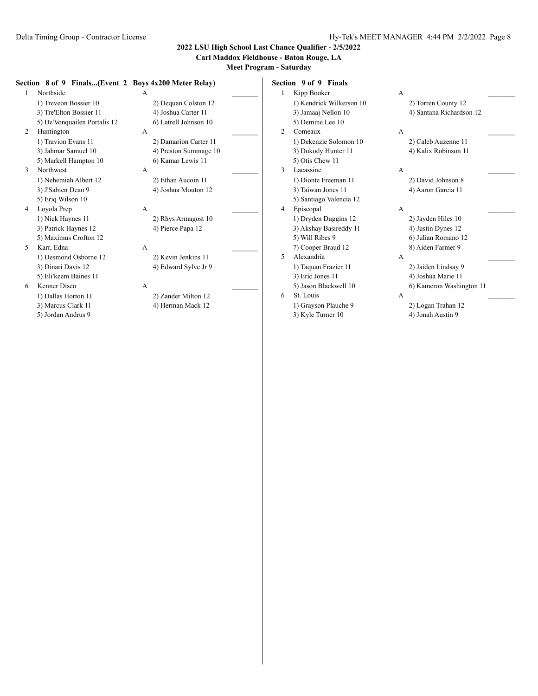**Carl Maddox Fieldhouse - Baton Rouge, LA**

**Meet Program - Saturday**

#### **Section 8 of 9 Finals...(Event 2 Boys 4x200 Meter Relay)**

| 1 | Northside                    | A |                       |  |
|---|------------------------------|---|-----------------------|--|
|   | 1) Treveon Bossier 10        |   | 2) Dequan Colston 12  |  |
|   | 3) Tre'Elton Bossier 11      |   | 4) Joshua Carter 11   |  |
|   | 5) De'Vonquailen Portalis 12 |   | 6) Latrell Johnson 10 |  |
| 2 | Huntington                   | A |                       |  |
|   | 1) Travion Evans 11          |   | 2) Damarion Carter 11 |  |
|   | 3) Jahmar Samuel 10          |   | 4) Preston Summage 10 |  |
|   | 5) Markell Hampton 10        |   | 6) Kamar Lewis 11     |  |
| 3 | Northwest                    | A |                       |  |
|   | 1) Nehemiah Albert 12        |   | 2) Ethan Aucoin 11    |  |
|   | 3) J'Sabien Dean 9           |   | 4) Joshua Mouton 12   |  |
|   | 5) Eriq Wilson 10            |   |                       |  |
| 4 | Loyola Prep                  | A |                       |  |
|   | 1) Nick Haynes 11            |   | 2) Rhys Armagost 10   |  |
|   | 3) Patrick Haynes 12         |   | 4) Pierce Papa 12     |  |
|   | 5) Maximus Crofton 12        |   |                       |  |
| 5 | Karr, Edna                   | A |                       |  |
|   | 1) Desmond Osborne 12        |   | 2) Kevin Jenkins 11   |  |
|   | 3) Dinari Davis 12           |   | 4) Edward Sylve Jr 9  |  |
|   | 5) Eli'keem Baines 11        |   |                       |  |
|   |                              |   |                       |  |

6 Kenner Disco A \_\_\_\_\_\_\_\_\_

5) Jordan Andrus 9

1) Dallas Horton 11 2) Zander Milton 12 3) Marcus Clark 11 4) Herman Mack 12

**Section 9 of 9 Finals**

| 1 | Kipp Booker              | А |                          |  |
|---|--------------------------|---|--------------------------|--|
|   | 1) Kendrick Wilkerson 10 |   | 2) Torren County 12      |  |
|   | 3) Jamaaj Nellon 10      |   | 4) Santana Richardson 12 |  |
|   | 5) Demine Lee 10         |   |                          |  |
| 2 | Comeaux                  | A |                          |  |
|   | 1) Dekenzie Solomon 10   |   | 2) Caleb Auzenne 11      |  |
|   | 3) Dukody Hunter 11      |   | 4) Kalix Robinson 11     |  |
|   | 5) Otis Chew 11          |   |                          |  |
| 3 | Lacassine                | A |                          |  |
|   | 1) Dionte Freeman 11     |   | 2) David Johnson 8       |  |
|   | 3) Taiwan Jones 11       |   | 4) Aaron Garcia 11       |  |
|   | 5) Santiago Valencia 12  |   |                          |  |
| 4 | Episcopal                | A |                          |  |
|   | 1) Dryden Duggins 12     |   | 2) Jayden Hiles 10       |  |
|   | 3) Akshay Basireddy 11   |   | 4) Justin Dynes 12       |  |
|   | 5) Will Ribes 9          |   | 6) Julian Romano 12      |  |
|   | 7) Cooper Braud 12       |   | 8) Aiden Farmer 9        |  |
| 5 | Alexandria               | A |                          |  |
|   | 1) Taquan Frazier 11     |   | 2) Jaiden Lindsay 9      |  |
|   | 3) Eric Jones 11         |   | 4) Joshua Marie 11       |  |
|   | 5) Jason Blackwell 10    |   | 6) Kameron Washington 11 |  |
| 6 | St. Louis                | A |                          |  |
|   | 1) Grayson Plauche 9     |   | 2) Logan Trahan 12       |  |
|   | 3) Kyle Turner 10        |   | 4) Jonah Austin 9        |  |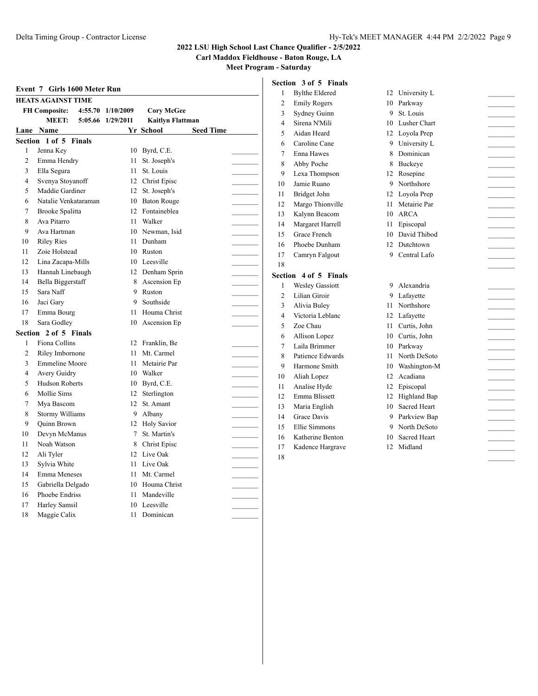**Carl Maddox Fieldhouse - Baton Rouge, LA**

**Meet Program - Saturday**

|                |                              |                   |                               |                | Section 3 of 5 Finals  |    |                     |  |
|----------------|------------------------------|-------------------|-------------------------------|----------------|------------------------|----|---------------------|--|
|                | Event 7 Girls 1600 Meter Run |                   |                               | 1              | <b>Bylthe Eldered</b>  |    | 12 University L     |  |
|                | <b>HEATS AGAINST TIME</b>    |                   |                               | $\overline{2}$ | <b>Emily Rogers</b>    |    | 10 Parkway          |  |
|                | <b>FH</b> Composite:         | 4:55.70 1/10/2009 | <b>Corv McGee</b>             | 3              | Sydney Guinn           | 9  | St. Louis           |  |
|                | <b>MEET:</b>                 | 5:05.66 1/29/2011 | <b>Kaitlyn Flattman</b>       | $\overline{4}$ | Sirena N'Mili          | 10 | Lusher Chart        |  |
|                | Lane Name                    |                   | <b>Seed Time</b><br>Yr School | 5              | Aidan Heard            |    | 12 Loyola Prep      |  |
|                | Section 1 of 5 Finals        |                   |                               | 6              | Caroline Cane          | 9  | University L        |  |
| $\mathbf{1}$   | Jenna Key                    |                   | 10 Byrd, C.E.                 | 7              | Enna Hawes             | 8  | Dominican           |  |
| $\overline{2}$ | Emma Hendry                  |                   | 11 St. Joseph's               | 8              | Abby Poche             | 8  | Buckeye             |  |
| 3              | Ella Segura                  | 11                | St. Louis                     | 9              | Lexa Thompson          |    | 12 Rosepine         |  |
| $\overline{4}$ | Svenya Stoyanoff             | 12                | Christ Episc                  | 10             | Jamie Ruano            | 9  | Northshore          |  |
| 5              | Maddie Gardiner              |                   | 12 St. Joseph's               | 11             | Bridget John           |    | 12 Loyola Prep      |  |
| 6              | Natalie Venkataraman         |                   | 10 Baton Rouge                | 12             | Margo Thionville       | 11 | Metairie Par        |  |
| $\overline{7}$ | Brooke Spalitta              | 12                | Fontaineblea                  | 13             | Kalynn Beacom          |    | 10 ARCA             |  |
| 8              | Ava Pitarro                  | 11                | Walker                        | 14             | Margaret Harrell       | 11 | Episcopal           |  |
| 9              | Ava Hartman                  |                   | 10 Newman, Isid               | 15             | Grace French           | 10 | David Thibod        |  |
| 10             | <b>Riley Ries</b>            | 11                | Dunham                        | 16             | Phoebe Dunham          | 12 | Dutchtown           |  |
| 11             | Zoie Holstead                | 10                | Ruston                        | 17             | Camryn Falgout         | 9  | Central Lafo        |  |
| 12             | Lina Zacapa-Mills            | 10                | Leesville                     | 18             |                        |    |                     |  |
| 13             | Hannah Linebaugh             |                   | 12 Denham Sprin               |                | Section 4 of 5 Finals  |    |                     |  |
| 14             | Bella Biggerstaff            | 8                 | Ascension Ep                  | 1              | <b>Wesley Gassiott</b> |    | 9 Alexandria        |  |
| 15             | Sara Naff                    | 9                 | Ruston                        | $\overline{2}$ | Lilian Giroir          | 9  | Lafavette           |  |
| 16             | Jaci Gary                    | 9                 | Southside                     | 3              | Alivia Buley           |    | 11 Northshore       |  |
| 17             | Emma Bourg                   |                   | 11 Houma Christ               | 4              | Victoria Leblanc       |    | 12 Lafayette        |  |
| 18             | Sara Godley                  | 10                | Ascension Ep                  | 5              | Zoe Chau               | 11 | Curtis, John        |  |
|                | Section 2 of 5 Finals        |                   |                               | 6              | Allison Lopez          | 10 | Curtis, John        |  |
| -1             | Fiona Collins                |                   | 12 Franklin, Be               | $\overline{7}$ | Laila Brimmer          | 10 | Parkway             |  |
| $\overline{2}$ | Riley Imbornone              |                   | 11 Mt. Carmel                 | 8              | Patience Edwards       | 11 | North DeSoto        |  |
| 3              | <b>Emmeline Moore</b>        |                   | 11 Metairie Par               | 9              | Harmone Smith          | 10 | Washington-M        |  |
| 4              | Avery Guidry                 | 10                | Walker                        | 10             | Aliah Lopez            |    | 12 Acadiana         |  |
| 5              | <b>Hudson Roberts</b>        |                   | 10 Byrd, C.E.                 | 11             | Analise Hyde           | 12 | Episcopal           |  |
| 6              | Mollie Sims                  |                   | 12 Sterlington                | 12             | Emma Blissett          | 12 | Highland Bap        |  |
| 7              | Mya Bascom                   |                   | 12 St. Amant                  | 13             | Maria English          | 10 | Sacred Heart        |  |
| 8              | Stormy Williams              | 9                 | Albany                        | 14             | Grace Davis            | 9  | Parkview Bap        |  |
| 9              | <b>Quinn Brown</b>           |                   | 12 Holy Savior                | 15             | <b>Ellie Simmons</b>   | 9  | North DeSoto        |  |
| 10             | Devyn McManus                | 7                 | St. Martin's                  | 16             | Katherine Benton       | 10 | <b>Sacred Heart</b> |  |
| 11             | Noah Watson                  | 8                 | <b>Christ Episc</b>           | 17             | Kadence Hargrave       | 12 | Midland             |  |
| 12             | Ali Tyler                    |                   | 12 Live Oak                   | 18             |                        |    |                     |  |
| 13             | Sylvia White                 |                   | 11 Live Oak                   |                |                        |    |                     |  |
| 14             | Emma Meneses                 |                   | 11 Mt. Carmel                 |                |                        |    |                     |  |
| 15             | Gabriella Delgado            | 10                | Houma Christ                  |                |                        |    |                     |  |
| 16             | Phoebe Endriss               | 11                | Mandeville                    |                |                        |    |                     |  |
| 17             | Harley Samsil                |                   | 10 Leesville                  |                |                        |    |                     |  |

Maggie Calix 11 Dominican \_\_\_\_\_\_\_\_\_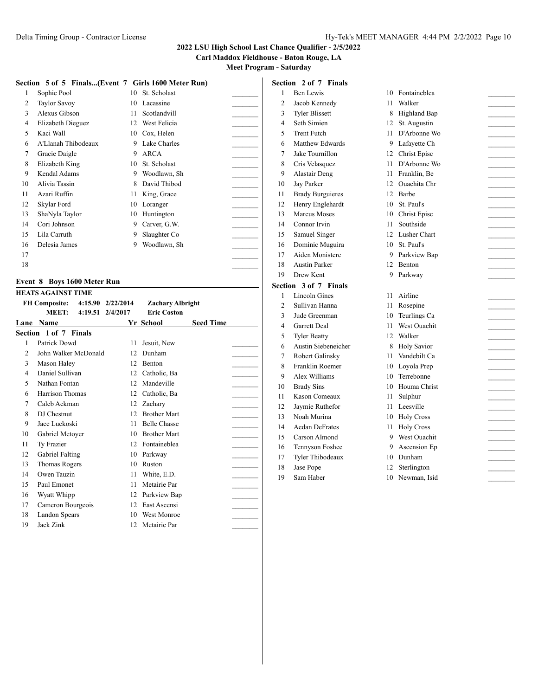**Carl Maddox Fieldhouse - Baton Rouge, LA**

**Section 2 of 7 Finals**

**Meet Program - Saturday**

|    | Section 5 of 5 Finals(Event 7 Girls 1600 Meter Run) |    |              |  |
|----|-----------------------------------------------------|----|--------------|--|
| 1  | Sophie Pool                                         | 10 | St. Scholast |  |
| 2  | <b>Taylor Savoy</b>                                 | 10 | Lacassine    |  |
| 3  | Alexus Gibson                                       | 11 | Scotlandvill |  |
| 4  | Elizabeth Dieguez                                   | 12 | West Felicia |  |
| 5  | Kaci Wall                                           | 10 | Cox, Helen   |  |
| 6  | A'Llanah Thibodeaux                                 | 9  | Lake Charles |  |
| 7  | Gracie Daigle                                       | 9  | ARCA         |  |
| 8  | Elizabeth King                                      | 10 | St. Scholast |  |
| 9  | Kendal Adams                                        | 9  | Woodlawn, Sh |  |
| 10 | Alivia Tassin                                       | 8  | David Thibod |  |
| 11 | Azari Ruffin                                        | 11 | King, Grace  |  |
| 12 | Skylar Ford                                         | 10 | Loranger     |  |
| 13 | ShaNyla Taylor                                      | 10 | Huntington   |  |
| 14 | Cori Johnson                                        | 9  | Carver, G.W. |  |
| 15 | Lila Carruth                                        | 9  | Slaughter Co |  |
| 16 | Delesia James                                       | 9  | Woodlawn, Sh |  |
| 17 |                                                     |    |              |  |
| 18 |                                                     |    |              |  |

#### **Event 8 Boys 1600 Meter Run HEATS AGAINST TIME**

|      | HEAIS AGAINST TIME    |                   |                         |                  |  |
|------|-----------------------|-------------------|-------------------------|------------------|--|
|      | <b>FH Composite:</b>  | 4:15.90 2/22/2014 | <b>Zachary Albright</b> |                  |  |
|      | MEET:<br>4:19.51      | 2/4/2017          | <b>Eric Coston</b>      |                  |  |
| Lane | <b>Name</b>           |                   | Yr School               | <b>Seed Time</b> |  |
|      | Section 1 of 7 Finals |                   |                         |                  |  |
| 1    | Patrick Dowd          | 11                | Jesuit, New             |                  |  |
| 2    | John Walker McDonald  | 12                | Dunham                  |                  |  |
| 3    | Mason Haley           | 12                | <b>Benton</b>           |                  |  |
| 4    | Daniel Sullivan       | 12                | Catholic, Ba            |                  |  |
| 5    | Nathan Fontan         | 12                | Mandeville              |                  |  |
| 6    | Harrison Thomas       | 12                | Catholic, Ba            |                  |  |
| 7    | Caleb Ackman          | 12                | Zachary                 |                  |  |
| 8    | DJ Chestnut           | 12                | <b>Brother Mart</b>     |                  |  |
| 9    | Jace Luckoski         | 11                | <b>Belle Chasse</b>     |                  |  |
| 10   | Gabriel Metoyer       | 10                | <b>Brother Mart</b>     |                  |  |
| 11   | Ty Frazier            | 12                | Fontaineblea            |                  |  |
| 12   | Gabriel Falting       | 10                | Parkway                 |                  |  |
| 13   | <b>Thomas Rogers</b>  | 10                | Ruston                  |                  |  |
| 14   | Owen Tauzin           | 11                | White, E.D.             |                  |  |
| 15   | Paul Emonet           | 11                | Metairie Par            |                  |  |
| 16   | Wyatt Whipp           | 12                | Parkview Bap            |                  |  |
| 17   | Cameron Bourgeois     | 12                | East Ascensi            |                  |  |
| 18   | Landon Spears         | 10                | <b>West Monroe</b>      |                  |  |
| 19   | Jack Zink             |                   | 12 Metairie Par         |                  |  |

| 1              | Ben Lewis               | 10   | Fontaineblea    |  |
|----------------|-------------------------|------|-----------------|--|
| 2              | Jacob Kennedy           | 11 - | Walker          |  |
| 3              | <b>Tyler Blissett</b>   | 8    | Highland Bap    |  |
| 4              | Seth Simien             | 12   | St. Augustin    |  |
| 5              | <b>Trent Futch</b>      | 11 - | D'Arbonne Wo    |  |
| 6              | Matthew Edwards         |      | 9 Lafayette Ch  |  |
| 7              | Jake Tournillon         |      | 12 Christ Episc |  |
| 8              | Cris Velasquez          |      | 11 D'Arbonne Wo |  |
| 9              | Alastair Deng           |      | 11 Franklin, Be |  |
| 10             | Jay Parker              |      | 12 Ouachita Chr |  |
| 11             | <b>Brady Burguieres</b> |      | 12 Barbe        |  |
| 12             | Henry Englehardt        |      | 10 St. Paul's   |  |
| 13             | Marcus Moses            |      | 10 Christ Episc |  |
| 14             | Connor Irvin            | 11 - | Southside       |  |
| 15             | Samuel Singer           |      | 12 Lusher Chart |  |
| 16             | Dominic Muguira         |      | 10 St. Paul's   |  |
| 17             | Aiden Monistere         |      | 9 Parkview Bap  |  |
| 18             | <b>Austin Parker</b>    |      | 12 Benton       |  |
| 19             | Drew Kent               |      | 9 Parkway       |  |
|                | Section 3 of 7 Finals   |      |                 |  |
| 1              | <b>Lincoln Gines</b>    |      | 11 Airline      |  |
| 2              | Sullivan Hanna          |      | 11 Rosepine     |  |
| 3              | Jude Greenman           |      | 10 Teurlings Ca |  |
| $\overline{4}$ | Garrett Deal            |      | 11 West Ouachit |  |
| 5              | <b>Tyler Beatty</b>     |      | 12 Walker       |  |
| 6              | Austin Siebeneicher     |      | 8 Holy Savior   |  |
| 7              | Robert Galinsky         | 11 - | Vandebilt Ca    |  |
| 8              | Franklin Roemer         |      | 10 Loyola Prep  |  |
| 9              | Alex Williams           | 10   | Terrebonne      |  |
| 10             | <b>Brady Sins</b>       | 10   | Houma Christ    |  |
| 11             | Kason Comeaux           | 11 - | Sulphur         |  |
| 12             | Jaymie Ruthefor         |      | 11 Leesville    |  |
| 13             | Noah Murina             |      | 10 Holy Cross   |  |
| 14             | <b>Aedan DeFrates</b>   |      | 11 Holy Cross   |  |
| 15             | Carson Almond           |      | 9 West Ouachit  |  |
| 16             | Tennyson Foshee         |      | 9 Ascension Ep  |  |
| 17             | Tyler Thibodeaux        |      | 10 Dunham       |  |
| 18             | Jase Pope               | 12   | Sterlington     |  |
| 19             | Sam Haber               |      | 10 Newman, Isid |  |
|                |                         |      |                 |  |
|                |                         |      |                 |  |
|                |                         |      |                 |  |
|                |                         |      |                 |  |
|                |                         |      |                 |  |
|                |                         |      |                 |  |
|                |                         |      |                 |  |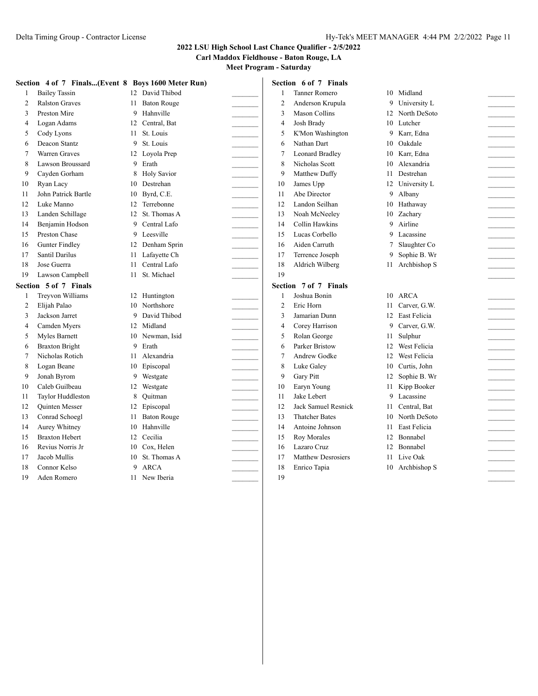**Carl Maddox Fieldhouse - Baton Rouge, LA**

|                | Section 4 of 7 Finals(Event 8 Boys 1600 Meter Run) |    |                    | Section 6 of 7 Finals |                        |    |                     |  |
|----------------|----------------------------------------------------|----|--------------------|-----------------------|------------------------|----|---------------------|--|
| 1              | <b>Bailey Tassin</b>                               |    | 12 David Thibod    | 1                     | <b>Tanner Romero</b>   |    | 10 Midland          |  |
| 2              | <b>Ralston Graves</b>                              |    | 11 Baton Rouge     | $\overline{2}$        | Anderson Krupula       | 9  | University L        |  |
| 3              | Preston Mire                                       | 9  | Hahnville          | 3                     | <b>Mason Collins</b>   |    | 12 North DeSoto     |  |
| 4              | Logan Adams                                        | 12 | Central, Bat       | 4                     | Josh Brady             | 10 | Lutcher             |  |
| 5              | Cody Lyons                                         | 11 | St. Louis          | 5                     | K'Mon Washington       | 9  | Karr, Edna          |  |
| 6              | Deacon Stantz                                      | 9  | St. Louis          | 6                     | Nathan Dart            | 10 | Oakdale             |  |
| 7              | <b>Warren Graves</b>                               |    | 12 Loyola Prep     | 7                     | <b>Leonard Bradley</b> | 10 | Karr, Edna          |  |
| 8              | Lawson Broussard                                   | 9  | Erath              | 8                     | Nicholas Scott         | 10 | Alexandria          |  |
| 9              | Cayden Gorham                                      | 8  | <b>Holy Savior</b> | 9                     | Matthew Duffy          | 11 | Destrehan           |  |
| 10             | Ryan Lacy                                          | 10 | Destrehan          | 10                    | James Upp              |    | 12 University L     |  |
| 11             | John Patrick Bartle                                | 10 | Byrd, C.E.         | 11                    | Abe Director           | 9  | Albany              |  |
| 12             | Luke Manno                                         | 12 | Terrebonne         | 12                    | Landon Seilhan         | 10 | Hathaway            |  |
| 13             | Landen Schillage                                   | 12 | St. Thomas A       | 13                    | Noah McNeeley          | 10 | Zachary             |  |
| 14             | Benjamin Hodson                                    | 9  | Central Lafo       | 14                    | <b>Collin Hawkins</b>  | 9  | Airline             |  |
| 15             | Preston Chase                                      | 9  | Leesville          | 15                    | Lucas Corbello         | 9  | Lacassine           |  |
| 16             | <b>Gunter Findley</b>                              | 12 | Denham Sprin       | 16                    | Aiden Carruth          | 7  | Slaughter Co        |  |
| 17             | Santil Darilus                                     | 11 | Lafayette Ch       | 17                    | Terrence Joseph        | 9  | Sophie B. Wr        |  |
| 18             | Jose Guerra                                        | 11 | Central Lafo       | 18                    | Aldrich Wilberg        | 11 | Archbishop S        |  |
| 19             | Lawson Campbell                                    | 11 | St. Michael        | 19                    |                        |    |                     |  |
|                |                                                    |    |                    |                       |                        |    |                     |  |
|                | Section 5 of 7 Finals                              |    |                    |                       | Section 7 of 7 Finals  |    |                     |  |
|                | Treyvon Williams                                   | 12 | Huntington         | $\mathbf{1}$          | Joshua Bonin           | 10 | ARCA                |  |
| $\overline{c}$ | Elijah Palao                                       | 10 | Northshore         | $\overline{2}$        | Eric Horn              | 11 | Carver, G.W.        |  |
| 3              | Jackson Jarret                                     | 9  | David Thibod       | 3                     | Jamarian Dunn          |    | 12 East Felicia     |  |
| $\overline{4}$ | Camden Myers                                       | 12 | Midland            | $\overline{4}$        | Corey Harrison         | 9  | Carver, G.W.        |  |
| 5              | Myles Barnett                                      | 10 | Newman, Isid       | 5                     | Rolan George           | 11 | Sulphur             |  |
| 6              | <b>Braxton Bright</b>                              | 9  | Erath              | 6                     | <b>Parker Bristow</b>  | 12 | West Felicia        |  |
| 7              | Nicholas Rotich                                    | 11 | Alexandria         | 7                     | Andrew Godke           | 12 | West Felicia        |  |
| 8              | Logan Beane                                        | 10 | Episcopal          | 8                     | Luke Galey             | 10 | Curtis, John        |  |
| 9              | Jonah Byrom                                        | 9  | Westgate           | 9                     | Gary Pitt              | 12 | Sophie B. Wr        |  |
| 10             | Caleb Guilbeau                                     | 12 | Westgate           | 10                    | Earyn Young            | 11 | Kipp Booker         |  |
| 11             | Taylor Huddleston                                  | 8  | Ouitman            | 11                    | Jake Lebert            | 9  | Lacassine           |  |
| 12             | <b>Quinten Messer</b>                              | 12 | Episcopal          | 12                    | Jack Samuel Resnick    | 11 | Central, Bat        |  |
| 13             | Conrad Schoegl                                     | 11 | <b>Baton Rouge</b> | 13                    | <b>Thatcher Bates</b>  | 10 | North DeSoto        |  |
| 14             | Aurey Whitney                                      | 10 | Hahnville          | 14                    | Antoine Johnson        | 11 | <b>East Felicia</b> |  |
| 15             | <b>Braxton Hebert</b>                              | 12 | Cecilia            | 15                    | Roy Morales            | 12 | Bonnabel            |  |
| 16             | Revius Norris Jr                                   | 10 | Cox, Helen         | 16                    | Lazaro Cruz            |    | 12 Bonnabel         |  |
| 17             | Jacob Mullis                                       | 10 | St. Thomas A       | 17                    | Matthew Desrosiers     |    | 11 Live Oak         |  |
| 18             | Connor Kelso                                       | 9  | <b>ARCA</b>        | 18                    | Enrico Tapia           |    | 10 Archbishop S     |  |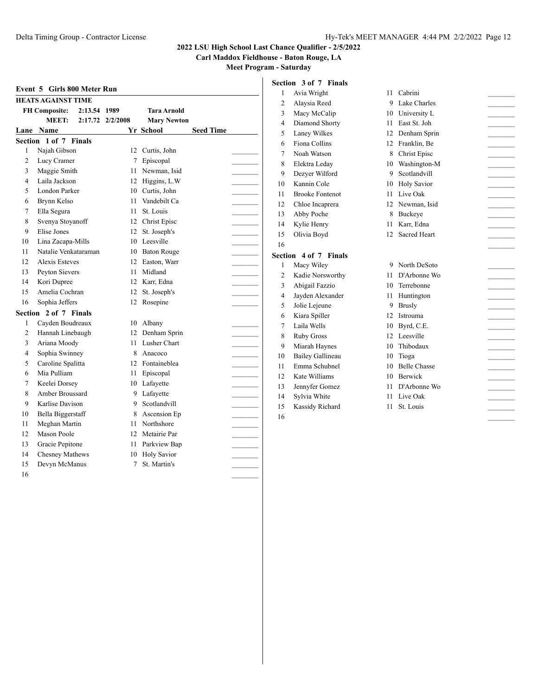**Carl Maddox Fieldhouse - Baton Rouge, LA**

|                |                                      |                  |                    |                  |                | Section 3 of 7 Finals  |                 |                                |
|----------------|--------------------------------------|------------------|--------------------|------------------|----------------|------------------------|-----------------|--------------------------------|
|                | Event 5 Girls 800 Meter Run          |                  |                    |                  |                | Avia Wright            | 11 Cabrini      |                                |
|                | <b>HEATS AGAINST TIME</b>            |                  |                    |                  | $\overline{c}$ | Alaysia Reed           | 9               | Lake Charles                   |
|                | <b>FH Composite:</b><br>2:13.54 1989 |                  | <b>Tara Arnold</b> |                  | 3              | Macy McCalip           | 10              | University L                   |
|                | <b>MEET:</b>                         | 2:17.72 2/2/2008 | <b>Mary Newton</b> |                  | $\overline{4}$ | Diamond Shorty         | 11              | East St. Joh                   |
|                | Lane Name                            |                  | Yr School          | <b>Seed Time</b> | 5              | Laney Wilkes           | 12              | Denham Sprin                   |
|                | Section 1 of 7 Finals                |                  |                    |                  | 6              | Fiona Collins          | 12 Franklin, Be |                                |
| 1              | Najah Gibson                         |                  | 12 Curtis, John    |                  | $\overline{7}$ | Noah Watson            | 8               | Christ Episc                   |
| $\overline{c}$ | Lucy Cramer                          | 7                | Episcopal          |                  | 8              | Elektra Leday          | 10              |                                |
| 3              | Maggie Smith                         |                  | 11 Newman, Isid    |                  | 9              | Dezyer Wilford         | 9               | Scotlandvill                   |
| 4              | Laila Jackson                        | 12               | Higgins, L.W       |                  | 10             | Kannin Cole            | 10              | <b>Holy Savior</b>             |
| 5              | London Parker                        | 10               | Curtis, John       |                  | 11             | <b>Brooke Fontenot</b> | 11              | Live Oak                       |
| 6              | Brynn Kelso                          | 11               | Vandebilt Ca       |                  | 12             | Chloe Incaprera        | 12 Newman, Isid |                                |
| 7              | Ella Segura                          | 11               | St. Louis          |                  | 13             | Abby Poche             | 8               | Buckeye                        |
| 8              | Svenya Stoyanoff                     | 12               | Christ Episc       |                  | 14             | Kylie Henry            | 11              |                                |
| 9              | Elise Jones                          | 12               | St. Joseph's       |                  | 15             | Olivia Boyd            | 12              |                                |
| 10             | Lina Zacapa-Mills                    | 10               | Leesville          |                  | 16             |                        |                 |                                |
| 11             | Natalie Venkataraman                 | 10               | <b>Baton Rouge</b> |                  |                | Section 4 of 7 Finals  |                 |                                |
| 12             | <b>Alexis Esteves</b>                | 12               | Easton, Warr       |                  | 1              | Macy Wiley             | 9 North DeSoto  |                                |
| 13             | Peyton Sievers                       | 11               | Midland            |                  | $\overline{c}$ | Kadie Norsworthy       | 11              |                                |
| 14             | Kori Dupree                          |                  | 12 Karr, Edna      |                  | 3              | Abigail Fazzio         | 10              | D'Arbonne Wo                   |
| 15             | Amelia Cochran                       | 12               | St. Joseph's       |                  | $\overline{4}$ | Jayden Alexander       | 11              | Huntington                     |
| 16             | Sophia Jeffers                       | 12               | Rosepine           |                  | 5              | Jolie Lejeune          | 9               |                                |
|                | Section 2 of 7 Finals                |                  |                    |                  | 6              | Kiara Spiller          | 12              |                                |
| $\mathbf{1}$   | Cayden Boudreaux                     | 10               | Albany             |                  | $\overline{7}$ | Laila Wells            | 10              | Istrouma<br>Byrd, C.E.         |
| 2              | Hannah Linebaugh                     | 12               | Denham Sprin       |                  | 8              | <b>Ruby Gross</b>      | 12              | Leesville                      |
| 3              | Ariana Moody                         | 11               | Lusher Chart       |                  | 9              | Miarah Haynes          | 10              | Thibodaux                      |
| 4              | Sophia Swinney                       | 8                | Anacoco            |                  | 10             | Bailey Gallineau       | 10              | Tioga                          |
| 5              | Caroline Spalitta                    | 12               | Fontaineblea       |                  |                | Emma Schubnel          | 10              |                                |
| 6              | Mia Pulliam                          | 11               | Episcopal          |                  | 11             | Kate Williams          | 10              | <b>Belle Chasse</b><br>Berwick |
| 7              | Keelei Dorsey                        | 10               | Lafayette          |                  | 12             |                        |                 |                                |
| 8              | Amber Broussard                      | 9                | Lafavette          |                  | 13             | Jennyfer Gomez         | 11              | D'Arbonne Wo                   |
| 9              | Karlise Davison                      | 9                | Scotlandvill       |                  | 14             | Sylvia White           | 11              | Live Oak                       |
| 10             | Bella Biggerstaff                    | 8                | Ascension Ep       |                  | 15             | Kassidy Richard        | 11              | St. Louis                      |
| 11             | Meghan Martin                        | 11               | Northshore         |                  | 16             |                        |                 |                                |
| 12             | Mason Poole                          | 12               | Metairie Par       |                  |                |                        |                 |                                |
| 13             | Gracie Pepitone                      | 11               | Parkview Bap       |                  |                |                        |                 |                                |
| 14             | Chesney Mathews                      | 10               | <b>Holy Savior</b> |                  |                |                        |                 |                                |
| 15             | Devyn McManus                        | 7                | St. Martin's       |                  |                |                        |                 |                                |
| 16             |                                      |                  |                    |                  |                |                        |                 |                                |
|                |                                      |                  |                    |                  |                |                        |                 |                                |
|                |                                      |                  |                    |                  |                |                        |                 |                                |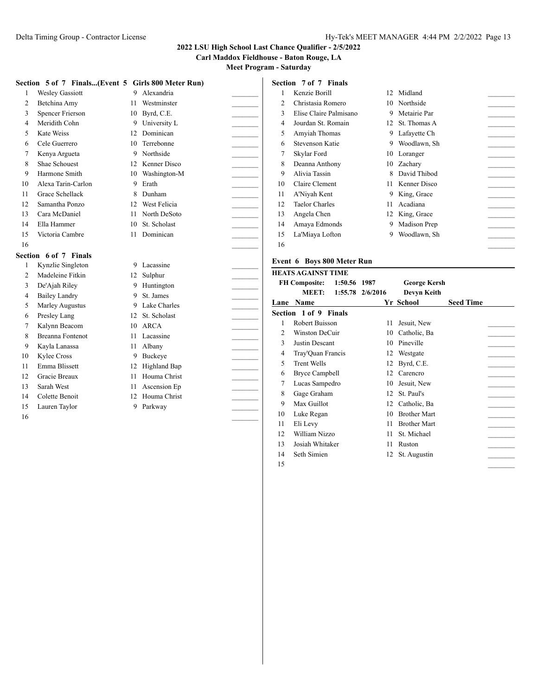**Carl Maddox Fieldhouse - Baton Rouge, LA**

**Meet Program - Saturday**

|                | Section 5 of 7 Finals(Event 5 Girls 800 Meter Run) |    |                 |                          | Section 7 of 7 Finals                |    |                     |                  |  |
|----------------|----------------------------------------------------|----|-----------------|--------------------------|--------------------------------------|----|---------------------|------------------|--|
|                | <b>Wesley Gassiott</b>                             |    | 9 Alexandria    |                          | Kenzie Borill                        |    | 12 Midland          |                  |  |
| $\overline{2}$ | Betchina Amy                                       | 11 | Westminster     | $\overline{2}$           | Christasia Romero                    |    | 10 Northside        |                  |  |
| 3              | <b>Spencer Frierson</b>                            | 10 | Byrd, C.E.      | 3                        | Elise Claire Palmisano               | 9  | Metairie Par        |                  |  |
| $\overline{4}$ | Meridith Cohn                                      | 9  | University L    | 4                        | Jourdan St. Romain                   |    | 12 St. Thomas A     |                  |  |
| 5              | Kate Weiss                                         |    | 12 Dominican    | $\overline{\phantom{0}}$ | Amyiah Thomas                        |    | 9 Lafavette Ch      |                  |  |
| 6              | Cele Guerrero                                      | 10 | Terrebonne      | 6                        | <b>Stevenson Katie</b>               |    | 9 Woodlawn, Sh      |                  |  |
| 7              | Kenya Argueta                                      |    | 9 Northside     | 7                        | Skylar Ford                          | 10 | Loranger            |                  |  |
| 8              | Shae Schouest                                      | 12 | Kenner Disco    | 8                        | Deanna Anthony                       | 10 | Zachary             |                  |  |
| 9              | Harmone Smith                                      | 10 | Washington-M    | Ç                        | Alivia Tassin                        | 8  | David Thibod        |                  |  |
| 10             | Alexa Tarin-Carlon                                 | 9  | Erath           | 10                       | Claire Clement                       | 11 | Kenner Disco        |                  |  |
| 11             | Grace Schellack                                    | 8  | Dunham          | 11                       | A'Niyah Kent                         | 9  | King, Grace         |                  |  |
| 12             | Samantha Ponzo                                     | 12 | West Felicia    | 12                       | <b>Taelor Charles</b>                | 11 | Acadiana            |                  |  |
| 13             | Cara McDaniel                                      | 11 | North DeSoto    | 13                       | Angela Chen                          | 12 | King, Grace         |                  |  |
| 14             | Ella Hammer                                        | 10 | St. Scholast    | 14                       | Amaya Edmonds                        | 9  | Madison Prep        |                  |  |
| 15             | Victoria Cambre                                    | 11 | Dominican       | 15                       | La'Miaya Lofton                      | 9  | Woodlawn, Sh        |                  |  |
| 16             |                                                    |    |                 | 16                       |                                      |    |                     |                  |  |
|                | Section 6 of 7 Finals                              |    |                 |                          |                                      |    |                     |                  |  |
|                | Kynzlie Singleton                                  |    | 9 Lacassine     |                          | Event 6 Boys 800 Meter Run           |    |                     |                  |  |
| $\overline{2}$ | Madeleine Fitkin                                   |    | 12 Sulphur      |                          | <b>HEATS AGAINST TIME</b>            |    |                     |                  |  |
| 3              | De'Ajah Riley                                      |    | 9 Huntington    |                          | <b>FH Composite:</b><br>1:50.56 1987 |    | <b>George Kersh</b> |                  |  |
| $\overline{4}$ | <b>Bailey Landry</b>                               | 9  | St. James       |                          | <b>MEET:</b><br>1:55.78 2/6/2016     |    | Devyn Keith         |                  |  |
| 5              | Marley Augustus                                    |    | 9 Lake Charles  |                          | Lane Name                            |    | Yr School           | <b>Seed Time</b> |  |
| 6              | Presley Lang                                       |    | 12 St. Scholast |                          | Section 1 of 9 Finals                |    |                     |                  |  |
| $\overline{7}$ | Kalynn Beacom                                      |    | 10 ARCA         |                          | Robert Buisson                       | 11 | Jesuit, New         |                  |  |
| 8              | <b>Breanna Fontenot</b>                            | 11 | Lacassine       | $\overline{2}$           | Winston DeCuir                       | 10 | Catholic, Ba        |                  |  |
| 9              | Kayla Lanassa                                      | 11 | Albany          | 3                        | Justin Descant                       | 10 | Pineville           |                  |  |
| 10             | Kylee Cross                                        | 9  | Buckeye         | $\overline{\mathcal{L}}$ | Tray'Quan Francis                    | 12 | Westgate            |                  |  |
| 11             | Emma Blissett                                      | 12 | Highland Bap    | 5                        | <b>Trent Wells</b>                   | 12 | Byrd, C.E.          |                  |  |
| 12             | Gracie Breaux                                      | 11 | Houma Christ    | 6                        | <b>Bryce Campbell</b>                | 12 | Carencro            |                  |  |
| 13             | Sarah West                                         | 11 | Ascension Ep    | 7                        | Lucas Sampedro                       | 10 | Jesuit, New         |                  |  |
| 14             | Colette Benoit                                     | 12 | Houma Christ    | 8                        | Gage Graham                          | 12 | St. Paul's          |                  |  |
| 15             | Lauren Taylor                                      |    | 9 Parkway       | $\mathbf Q$              | Max Guillot                          | 12 | Catholic, Ba        |                  |  |
| 16             |                                                    |    |                 | 10                       | Luke Regan                           | 10 | <b>Brother Mart</b> |                  |  |
|                |                                                    |    |                 | 11                       | Eli Levy                             | 11 | <b>Brother Mart</b> |                  |  |
|                |                                                    |    |                 | 12                       | William Nizzo                        | 11 | St. Michael         |                  |  |

13 Josiah Whitaker 11 Ruston 14 Seth Simien 12 St. Augustin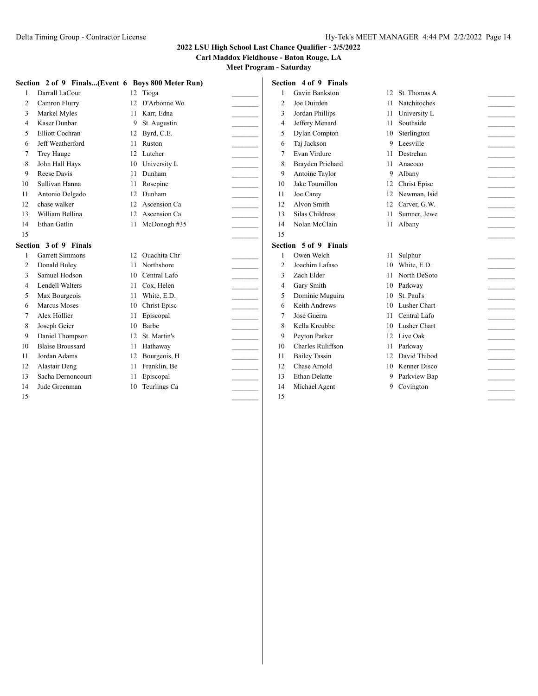## **Carl Maddox Fieldhouse - Baton Rouge, LA**

|                | Section 2 of 9 Finals(Event 6 Boys 800 Meter Run) |                 |                     |                          |                | Section 4 of 9 Finals |                 |                                                                                                                                                                                                                                                                                                                                                                                                                                                           |  |
|----------------|---------------------------------------------------|-----------------|---------------------|--------------------------|----------------|-----------------------|-----------------|-----------------------------------------------------------------------------------------------------------------------------------------------------------------------------------------------------------------------------------------------------------------------------------------------------------------------------------------------------------------------------------------------------------------------------------------------------------|--|
|                | Darrall LaCour                                    |                 | 12 Tioga            |                          |                | Gavin Bankston        |                 | 12 St. Thomas A                                                                                                                                                                                                                                                                                                                                                                                                                                           |  |
| $\overline{2}$ | Camron Flurry                                     | 12 <sub>1</sub> | D'Arbonne Wo        |                          | $\overline{2}$ | Joe Duirden           | 11              | Natchitoches                                                                                                                                                                                                                                                                                                                                                                                                                                              |  |
| 3              | Markel Myles                                      | 11              | Karr, Edna          |                          | 3              | Jordan Phillips       | 11              | University L                                                                                                                                                                                                                                                                                                                                                                                                                                              |  |
| 4              | Kaser Dunbar                                      | 9               | St. Augustin        |                          | 4              | Jeffery Menard        | 11              | Southside                                                                                                                                                                                                                                                                                                                                                                                                                                                 |  |
| 5              | Elliott Cochran                                   | 12              | Byrd, C.E.          |                          | 5              | Dylan Compton         | 10              | Sterlington                                                                                                                                                                                                                                                                                                                                                                                                                                               |  |
| 6              | Jeff Weatherford                                  | 11              | Ruston              |                          | 6              | Taj Jackson           | 9               | Leesville                                                                                                                                                                                                                                                                                                                                                                                                                                                 |  |
| 7              | Trey Hauge                                        | 12 <sub>1</sub> | Lutcher             |                          | 7              | Evan Virdure          |                 | 11 Destrehan                                                                                                                                                                                                                                                                                                                                                                                                                                              |  |
| 8              | John Hall Hays                                    | 10              | University L        |                          | 8              | Brayden Prichard      | 11              | Anacoco<br><b>Contractor</b>                                                                                                                                                                                                                                                                                                                                                                                                                              |  |
| 9              | Reese Davis                                       | 11              | Dunham              |                          | 9              | Antoine Taylor        | 9               | Albany<br>$\frac{1}{2} \left( \frac{1}{2} \right)^2 + \frac{1}{2} \left( \frac{1}{2} \right)^2 + \frac{1}{2} \left( \frac{1}{2} \right)^2 + \frac{1}{2} \left( \frac{1}{2} \right)^2 + \frac{1}{2} \left( \frac{1}{2} \right)^2 + \frac{1}{2} \left( \frac{1}{2} \right)^2 + \frac{1}{2} \left( \frac{1}{2} \right)^2 + \frac{1}{2} \left( \frac{1}{2} \right)^2 + \frac{1}{2} \left( \frac{1}{2} \right)^2 + \frac{1}{2} \left( \frac{1}{2} \right)^2 +$ |  |
| 10             | Sullivan Hanna                                    | 11              | Rosepine            |                          | 10             | Jake Tournillon       | 12              | Christ Episc                                                                                                                                                                                                                                                                                                                                                                                                                                              |  |
| 11             | Antonio Delgado                                   | 12              | Dunham              | $\overline{\phantom{a}}$ | 11             | Joe Carey             | 12              | Newman, Isid<br>$\overline{\phantom{a}}$                                                                                                                                                                                                                                                                                                                                                                                                                  |  |
| 12             | chase walker                                      | 12 <sub>1</sub> | Ascension Ca        |                          | 12             | Alvon Smith           | 12              | Carver, G.W.<br>$\mathcal{L}(\mathcal{L})$                                                                                                                                                                                                                                                                                                                                                                                                                |  |
| 13             | William Bellina                                   | 12              | Ascension Ca        |                          | 13             | Silas Childress       | 11              | Sumner, Jewe                                                                                                                                                                                                                                                                                                                                                                                                                                              |  |
| 14             | Ethan Gatlin                                      |                 | 11 McDonogh #35     |                          | 14             | Nolan McClain         |                 | 11 Albany<br><b>Contractor</b>                                                                                                                                                                                                                                                                                                                                                                                                                            |  |
| 15             |                                                   |                 |                     |                          | 15             |                       |                 |                                                                                                                                                                                                                                                                                                                                                                                                                                                           |  |
|                | Section 3 of 9 Finals                             |                 |                     |                          |                | Section 5 of 9 Finals |                 |                                                                                                                                                                                                                                                                                                                                                                                                                                                           |  |
|                | <b>Garrett Simmons</b>                            | 12 <sub>1</sub> | Ouachita Chr        |                          |                | Owen Welch            | 11              | Sulphur                                                                                                                                                                                                                                                                                                                                                                                                                                                   |  |
| $\overline{2}$ | Donald Buley                                      |                 | 11 Northshore       |                          | $\overline{2}$ | Joachim Lafaso        | 10              | White, E.D.                                                                                                                                                                                                                                                                                                                                                                                                                                               |  |
| 3              | Samuel Hodson                                     | 10              | Central Lafo        |                          | 3              | Zach Elder            | 11              | North DeSoto                                                                                                                                                                                                                                                                                                                                                                                                                                              |  |
| 4              | <b>Lendell Walters</b>                            | 11              | Cox, Helen          |                          | 4              | Gary Smith            | 10              | Parkway                                                                                                                                                                                                                                                                                                                                                                                                                                                   |  |
| 5              | Max Bourgeois                                     | 11              | White, E.D.         |                          | 5              | Dominic Muguira       | 10              | St. Paul's                                                                                                                                                                                                                                                                                                                                                                                                                                                |  |
| 6              | Marcus Moses                                      | 10              | <b>Christ Episc</b> |                          | 6              | Keith Andrews         | 10              | Lusher Chart                                                                                                                                                                                                                                                                                                                                                                                                                                              |  |
| 7              | Alex Hollier                                      | 11              | Episcopal           |                          | 7              | Jose Guerra           | 11              | Central Lafo<br><b>Contract Contract</b>                                                                                                                                                                                                                                                                                                                                                                                                                  |  |
| 8              | Joseph Geier                                      | 10              | Barbe               |                          | 8              | Kella Kreubbe         | 10              | Lusher Chart                                                                                                                                                                                                                                                                                                                                                                                                                                              |  |
| 9              | Daniel Thompson                                   | 12              | St. Martin's        |                          | 9              | Peyton Parker         |                 | 12 Live Oak                                                                                                                                                                                                                                                                                                                                                                                                                                               |  |
| 10             | <b>Blaise Broussard</b>                           | 11              | Hathaway            |                          | 10             | Charles Ruliffson     | 11              | Parkway<br>$\mathcal{L}$                                                                                                                                                                                                                                                                                                                                                                                                                                  |  |
| 11             | Jordan Adams                                      | 12              | Bourgeois, H        | $\mathcal{L}$            | 11             | <b>Bailey Tassin</b>  | 12.             | David Thibod<br>$\mathcal{L}$                                                                                                                                                                                                                                                                                                                                                                                                                             |  |
| 12             | Alastair Deng                                     | 11              | Franklin, Be        |                          | 12             | Chase Arnold          | 10 <sup>1</sup> | Kenner Disco                                                                                                                                                                                                                                                                                                                                                                                                                                              |  |
| 13             | Sacha Dernoncourt                                 | 11              | Episcopal           |                          | 13             | <b>Ethan Delatte</b>  | 9               | Parkview Bap                                                                                                                                                                                                                                                                                                                                                                                                                                              |  |
| 14             | Jude Greenman                                     | 10              | Teurlings Ca        |                          | 14             | Michael Agent         | 9               | Covington                                                                                                                                                                                                                                                                                                                                                                                                                                                 |  |
| 15             |                                                   |                 |                     |                          | 15             |                       |                 |                                                                                                                                                                                                                                                                                                                                                                                                                                                           |  |
|                |                                                   |                 |                     |                          |                |                       |                 |                                                                                                                                                                                                                                                                                                                                                                                                                                                           |  |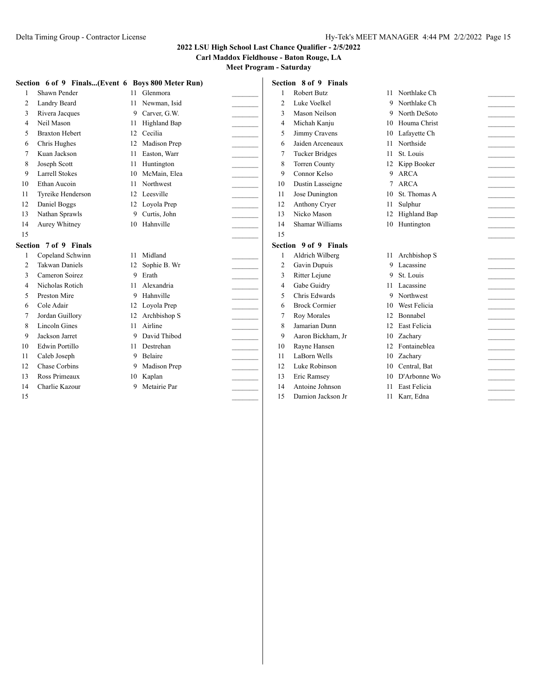**Carl Maddox Fieldhouse - Baton Rouge, LA**

|    | Section 6 of 9 Finals(Event 6 Boys 800 Meter Run) |                 |                |        |                | Section 8 of 9 Finals |    |                     |                 |
|----|---------------------------------------------------|-----------------|----------------|--------|----------------|-----------------------|----|---------------------|-----------------|
|    | Shawn Pender                                      |                 | 11 Glenmora    |        |                | <b>Robert Butz</b>    |    | 11 Northlake Ch     |                 |
| 2  | Landry Beard                                      | 11              | Newman, Isid   |        | $\overline{2}$ | Luke Voelkel          |    | 9 Northlake Ch      |                 |
| 3  | Rivera Jacques                                    | 9               | Carver, G.W.   |        | 3              | Mason Neilson         | 9  | North DeSoto        |                 |
| 4  | Neil Mason                                        | 11.             | Highland Bap   |        | 4              | Michah Kanju          | 10 | Houma Christ        |                 |
| 5  | <b>Braxton Hebert</b>                             | 12 <sup>2</sup> | Cecilia        |        | 5              | Jimmy Cravens         | 10 | Lafayette Ch        |                 |
| 6  | Chris Hughes                                      | 12              | Madison Pren   |        | 6              | Jaiden Arceneaux      | 11 | Northside           | $\mathcal{L}$   |
|    | Kuan Jackson                                      | 11              | Easton, Warr   |        | 7              | <b>Tucker Bridges</b> | 11 | St. Louis           |                 |
| 8  | Joseph Scott                                      | 11              | Huntington     |        | 8              | <b>Torren County</b>  |    | 12 Kipp Booker      |                 |
| 9  | <b>Larrell Stokes</b>                             | 10              | McMain, Elea   |        | 9              | Connor Kelso          |    | 9 ARCA              |                 |
| 10 | Ethan Aucoin                                      | 11              | Northwest      |        | 10             | Dustin Lasseigne      | 7  | <b>ARCA</b>         | $\mathcal{L}$   |
| 11 | Tyreike Henderson                                 | 12              | Leesville      |        | 11             | Jose Dunington        | 10 | St. Thomas A        | $\mathcal{L}$   |
| 12 | Daniel Boggs                                      |                 | 12 Loyola Prep |        | 12             | Anthony Cryer         | 11 | Sulphur             |                 |
| 13 | Nathan Sprawls                                    | 9               | Curtis, John   |        | 13             | Nicko Mason           | 12 | <b>Highland Bap</b> |                 |
| 14 | Aurey Whitney                                     |                 | 10 Hahnville   |        | 14             | Shamar Williams       |    | 10 Huntington       |                 |
| 15 |                                                   |                 |                |        | 15             |                       |    |                     |                 |
|    | Section 7 of 9 Finals                             |                 |                |        |                | Section 9 of 9 Finals |    |                     |                 |
|    | Copeland Schwinn                                  | 11.             | Midland        |        |                | Aldrich Wilberg       |    | 11 Archbishop S     |                 |
| 2  | <b>Takwan Daniels</b>                             | 12              | Sophie B. Wr   |        | 2              | Gavin Dupuis          | 9  | Lacassine           |                 |
| 3  | Cameron Soirez                                    | 9               | Erath          |        | 3              | Ritter Lejune         | 9  | St. Louis           | $\overline{a}$  |
| 4  | Nicholas Rotich                                   | 11              | Alexandria     |        | 4              | Gabe Guidry           |    | 11 Lacassine        | $\sim$          |
| 5  | Preston Mire                                      | 9               | Hahnville      |        | 5              | Chris Edwards         |    | 9 Northwest         |                 |
| 6  | Cole Adair                                        |                 | 12 Loyola Prep |        | 6              | <b>Brock Cormier</b>  | 10 | West Felicia        |                 |
| 7  | Jordan Guillory                                   | 12              | Archbishop S   |        | 7              | Roy Morales           | 12 | Bonnabel            |                 |
| 8  | Lincoln Gines                                     | 11              | Airline        |        | 8              | Jamarian Dunn         | 12 | <b>East Felicia</b> |                 |
| 9  | Jackson Jarret                                    | 9               | David Thibod   |        | 9              | Aaron Bickham, Jr     |    | 10 Zacharv          |                 |
| 10 | Edwin Portillo                                    | 11              | Destrehan      |        | 10             | Rayne Hansen          | 12 | Fontaineblea        | $\sim$ 10 $\mu$ |
| 11 | Caleb Joseph                                      | 9               | Belaire        | $\sim$ | 11             | LaBorn Wells          | 10 | Zacharv             |                 |
| 12 | Chase Corbins                                     | 9               | Madison Prep   |        | 12             | Luke Robinson         | 10 | Central, Bat        |                 |
| 13 | Ross Primeaux                                     | 10              | Kaplan         |        | 13             | Eric Ramsey           | 10 | D'Arbonne Wo        |                 |
| 14 | Charlie Kazour                                    | 9               | Metairie Par   |        | 14             | Antoine Johnson       | 11 | <b>East Felicia</b> |                 |
| 15 |                                                   |                 |                |        | 15             | Damion Jackson Jr     |    | 11 Karr, Edna       |                 |
|    |                                                   |                 |                |        |                |                       |    |                     |                 |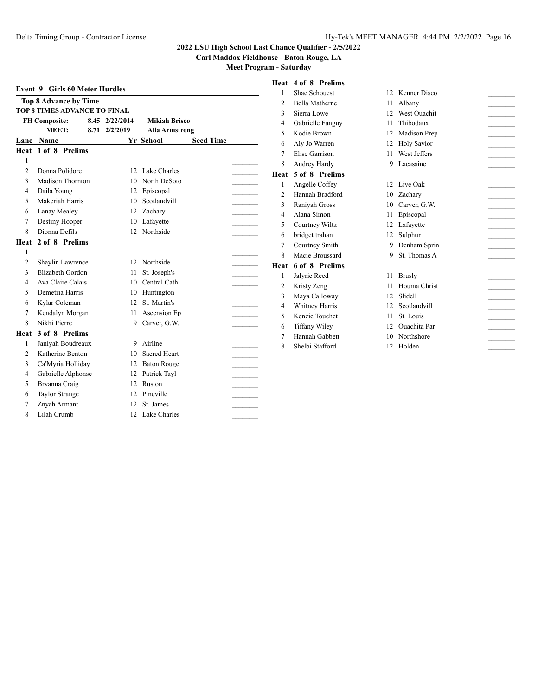## **2022 LSU High School Last Chance Qualifier - 2/5/2022**

**Carl Maddox Fieldhouse - Baton Rouge, LA**

|                | <b>Event 9 Girls 60 Meter Hurdles</b> |  |                 |                     |                       |  |  |
|----------------|---------------------------------------|--|-----------------|---------------------|-----------------------|--|--|
|                | <b>Top 8 Advance by Time</b>          |  |                 |                     |                       |  |  |
|                | <b>TOP 8 TIMES ADVANCE TO FINAL</b>   |  |                 |                     |                       |  |  |
|                | <b>FH Composite:</b>                  |  | 8.45 2/22/2014  | Mikiah Brisco       |                       |  |  |
|                | MEET:                                 |  |                 | 8.71 2/2/2019       | <b>Alia Armstrong</b> |  |  |
|                | Lane Name                             |  |                 | <b>Yr School</b>    | <b>Seed Time</b>      |  |  |
|                | Heat 1 of 8 Prelims                   |  |                 |                     |                       |  |  |
| 1              |                                       |  |                 |                     |                       |  |  |
| $\overline{c}$ | Donna Polidore                        |  | 12              | Lake Charles        |                       |  |  |
| 3              | Madison Thornton                      |  |                 | 10 North DeSoto     |                       |  |  |
| 4              | Daila Young                           |  | 12              | Episcopal           |                       |  |  |
| 5              | Makeriah Harris                       |  | 10              | Scotlandvill        |                       |  |  |
| 6              | Lanay Mealey                          |  | 12              | Zachary             |                       |  |  |
| 7              | Destiny Hooper                        |  | 10              | Lafayette           |                       |  |  |
| 8              | Dionna Defils                         |  | 12 <sub>1</sub> | Northside           |                       |  |  |
| Heat           | 2 of 8 Prelims                        |  |                 |                     |                       |  |  |
| 1              |                                       |  |                 |                     |                       |  |  |
| $\overline{2}$ | Shaylin Lawrence                      |  | 12              | Northside           |                       |  |  |
| 3              | Elizabeth Gordon                      |  | 11              | St. Joseph's        |                       |  |  |
| $\overline{4}$ | Ava Claire Calais                     |  |                 | 10 Central Cath     |                       |  |  |
| 5              | Demetria Harris                       |  |                 | 10 Huntington       |                       |  |  |
| 6              | Kylar Coleman                         |  | 12 <sup>1</sup> | St. Martin's        |                       |  |  |
| 7              | Kendalyn Morgan                       |  | 11.             | Ascension Ep        |                       |  |  |
| 8              | Nikhi Pierre                          |  |                 | 9 Carver, G.W.      |                       |  |  |
| Heat           | 3 of 8 Prelims                        |  |                 |                     |                       |  |  |
| 1              | Janiyah Boudreaux                     |  | 9               | Airline             |                       |  |  |
| $\overline{c}$ | Katherine Benton                      |  | 10              | <b>Sacred Heart</b> |                       |  |  |
| 3              | Ca'Myria Holliday                     |  |                 | 12 Baton Rouge      |                       |  |  |
| 4              | Gabrielle Alphonse                    |  |                 | 12 Patrick Tayl     |                       |  |  |
| 5              | Bryanna Craig                         |  | 12              | Ruston              |                       |  |  |
| 6              | Taylor Strange                        |  | 12              | Pineville           |                       |  |  |
| 7              | Znyah Armant                          |  | 12 <sub>1</sub> | St. James           |                       |  |  |
| 8              | Lilah Crumb                           |  | 12              | Lake Charles        |                       |  |  |
|                |                                       |  |                 |                     |                       |  |  |

| $-$                   |    |                     |              |
|-----------------------|----|---------------------|--------------|
| Heat 4 of 8 Prelims   |    |                     |              |
| Shae Schouest         | 12 | Kenner Disco        |              |
| <b>Bella Matherne</b> | 11 | Albany              |              |
| Sierra Lowe           | 12 |                     |              |
| Gabrielle Fanguy      | 11 | Thibodaux           |              |
| Kodie Brown           | 12 | Madison Prep        |              |
| Aly Jo Warren         | 12 | <b>Holy Savior</b>  |              |
| Elise Garrison        | 11 | West Jeffers        |              |
| Audrey Hardy          | 9  | Lacassine           |              |
| 5 of 8 Prelims        |    |                     |              |
| Angelle Coffey        | 12 | Live Oak            |              |
| Hannah Bradford       | 10 | Zachary             |              |
| Raniyah Gross         | 10 | Carver, G.W.        |              |
| Alana Simon           | 11 | Episcopal           |              |
| Courtney Wiltz        | 12 | Lafayette           |              |
| bridget trahan        | 12 | Sulphur             |              |
| Courtney Smith        | 9  | Denham Sprin        |              |
| Macie Broussard       | 9  | St. Thomas A        |              |
| 6 of 8 Prelims        |    |                     |              |
| Jalyric Reed          | 11 | <b>Brusly</b>       |              |
| Kristy Zeng           | 11 | Houma Christ        |              |
| Maya Calloway         | 12 | Slidell             |              |
| Whitney Harris        | 12 | Scotlandvill        |              |
| Kenzie Touchet        | 11 | St. Louis           |              |
| Tiffany Wiley         | 12 | <b>Ouachita</b> Par |              |
| Hannah Gabbett        | 10 | Northshore          |              |
| Shelbi Stafford       | 12 | Holden              |              |
|                       |    |                     |              |
|                       |    |                     |              |
|                       |    |                     |              |
|                       |    |                     |              |
|                       |    |                     |              |
|                       |    |                     | West Ouachit |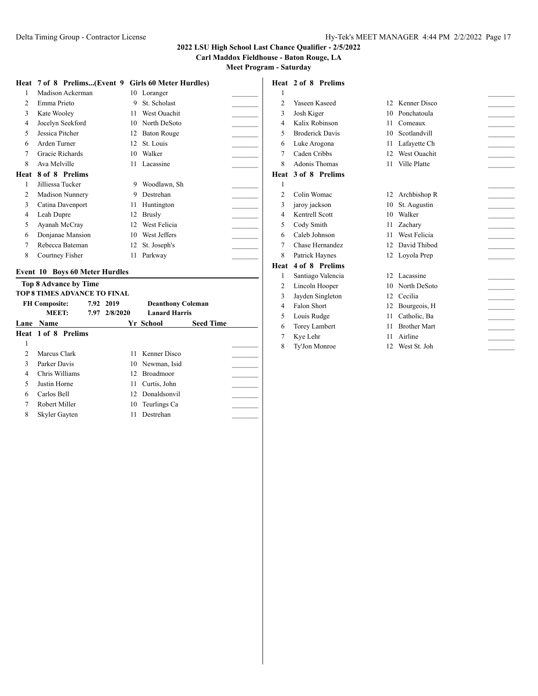**Carl Maddox Fieldhouse - Baton Rouge, LA**

**Heat 2 of 8 Prelims**

**Meet Program - Saturday**

|  | Heat 7 of 8 Prelims(Event 9 Girls 60 Meter Hurdles) |  |  |
|--|-----------------------------------------------------|--|--|
|  |                                                     |  |  |

**Heat 7 of 8 Prelims...(Event 9 Girls 60 Meter Hurdles)** 1 Madison Ackerman 10 Loranger 2 Emma Prieto 9 St. Scholast 3 Kate Wooley 11 West Ouachit 4 Jocelyn Seekford 10 North DeSoto 5 Jessica Pitcher 12 Baton Rouge 6 Arden Turner 12 St. Louis 7 Gracie Richards 10 Walker 8 Ava Melville 11 Lacassine **Heat 8 of 8 Prelims** 1 Jilliessa Tucker 9 Woodlawn, Sh 2 Madison Nunnery 9 Destrehan 3 Catina Davenport 11 Huntington 4 Leah Dupre 12 Brusly 5 Ayanah McCray 12 West Felicia 6 Donjanae Mansion 10 West Jeffers \_\_\_\_\_\_\_\_\_ 7 Rebecca Bateman 12 St. Joseph's 8 Courtney Fisher 11 Parkway

#### **Event 10 Boys 60 Meter Hurdles**

|   | <b>Top 8 Advance by Time</b><br>TOP 8 TIMES ADVANCE TO FINAL |  |                            |                                                  |                  |  |  |  |  |  |  |  |
|---|--------------------------------------------------------------|--|----------------------------|--------------------------------------------------|------------------|--|--|--|--|--|--|--|
|   | <b>FH Composite:</b><br>MEET:                                |  | 7.92 2019<br>7.97 2/8/2020 | <b>Deanthony Coleman</b><br><b>Lanard Harris</b> |                  |  |  |  |  |  |  |  |
|   | <b>Lane Name</b>                                             |  |                            | Yr School                                        | <b>Seed Time</b> |  |  |  |  |  |  |  |
|   | <b>Heat 1 of 8 Prelims</b>                                   |  |                            |                                                  |                  |  |  |  |  |  |  |  |
| 1 |                                                              |  |                            |                                                  |                  |  |  |  |  |  |  |  |
| C | Marcus Clark                                                 |  |                            | 11 Kenner Disco                                  |                  |  |  |  |  |  |  |  |
| 3 | Parker Davis                                                 |  |                            | 10 Newman, Isid                                  |                  |  |  |  |  |  |  |  |
| 4 | Chris Williams                                               |  | 12.                        | <b>Broadmoor</b>                                 |                  |  |  |  |  |  |  |  |
| 5 | Justin Horne                                                 |  | 11                         | Curtis, John                                     |                  |  |  |  |  |  |  |  |
| 6 | Carlos Bell                                                  |  |                            | 12 Donaldsonvil                                  |                  |  |  |  |  |  |  |  |
| 7 | Robert Miller                                                |  |                            | 10 Teurlings Ca                                  |                  |  |  |  |  |  |  |  |
| 8 | Skyler Gayten                                                |  | 11                         | Destrehan                                        |                  |  |  |  |  |  |  |  |

## $1$   $\overline{\phantom{a}}$ 2 Yaseen Kaseed 12 Kenner Disco 3 Josh Kiger 10 Ponchatoula 4 Kalix Robinson 11 Comeaux 5 Broderick Davis 10 Scotlandvill 6 Luke Arogona 11 Lafayette Ch \_\_\_\_\_\_\_\_\_ 7 Caden Cribbs 12 West Ouachit 8 Adonis Thomas 11 Ville Platte **Heat 3 of 8 Prelims**  $1$ 2 Colin Womac 12 Archbishop R 3 jaroy jackson 10 St. Augustin 4 Kentrell Scott 10 Walker 5 Cody Smith 11 Zachary 6 Caleb Johnson 11 West Felicia \_\_\_\_\_\_\_\_\_ 7 Chase Hernandez 12 David Thibod 8 Patrick Haynes 12 Loyola Prep **Heat 4 of 8 Prelims** 1 Santiago Valencia 12 Lacassine 2 Lincoln Hooper 10 North DeSoto 3 Jayden Singleton 12 Cecilia 4 Falon Short 12 Bourgeois, H 5 Louis Rudge 11 Catholic, Ba 6 Torey Lambert 11 Brother Mart \_\_\_\_\_\_\_\_\_ 7 Kye Lehr 11 Airline 8 Ty'Jon Monroe 12 West St. Joh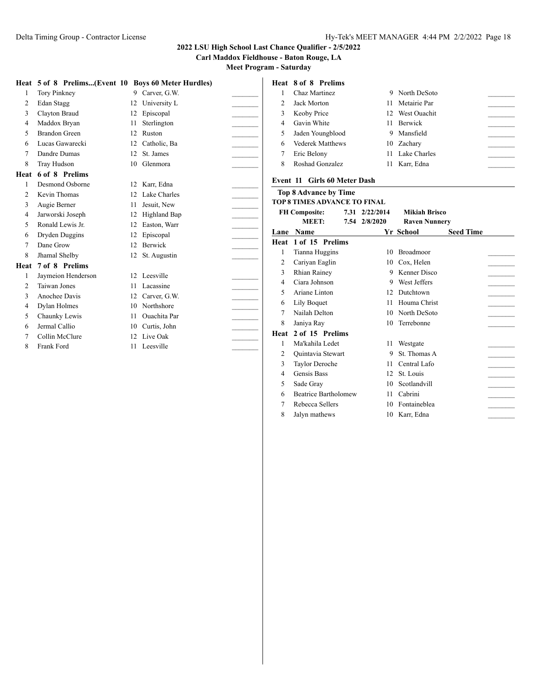**Carl Maddox Fieldhouse - Baton Rouge, LA**

**Meet Program - Saturday**

|      | Heat 5 of 8 Prelims(Event 10 Boys 60 Meter Hurdles) |    |                     |                | Heat 8 of 8 Prelims                 |                  |                      |                  |
|------|-----------------------------------------------------|----|---------------------|----------------|-------------------------------------|------------------|----------------------|------------------|
|      | <b>Tory Pinkney</b>                                 |    | 9 Carver, G.W.      |                | Chaz Martinez                       |                  | 9 North DeSoto       |                  |
|      | Edan Stagg                                          | 12 | University L        | $\overline{2}$ | Jack Morton                         |                  | 11 Metairie Par      |                  |
|      | Clayton Braud                                       | 12 | Episcopal           | 3              | Keoby Price                         | 12 <sup>12</sup> | West Ouachit         |                  |
| 4    | Maddox Bryan                                        | 11 | Sterlington         | 4              | Gavin White                         | 11               | Berwick              |                  |
|      | <b>Brandon Green</b>                                | 12 | Ruston              | 5              | Jaden Youngblood                    | 9                | Mansfield            |                  |
| 6    | Lucas Gawarecki                                     | 12 | Catholic, Ba        | 6              | <b>Vederek Matthews</b>             | 10               | Zacharv              |                  |
|      | Dandre Dumas                                        | 12 | St. James           | 7              | Eric Belony                         |                  | Lake Charles         |                  |
| 8    | <b>Tray Hudson</b>                                  |    | 10 Glenmora         | 8              | Roshad Gonzalez                     |                  | 11 Karr, Edna        |                  |
| Heat | 6 of 8 Prelims                                      |    |                     |                |                                     |                  |                      |                  |
|      | Desmond Osborne                                     |    | 12 Karr, Edna       |                | Event 11 Girls 60 Meter Dash        |                  |                      |                  |
| 2    | Kevin Thomas                                        | 12 | Lake Charles        |                | <b>Top 8 Advance by Time</b>        |                  |                      |                  |
|      | Augie Berner                                        | 11 | Jesuit, New         |                | <b>TOP 8 TIMES ADVANCE TO FINAL</b> |                  |                      |                  |
| 4    | Jarworski Joseph                                    | 12 | Highland Bap        |                | <b>FH Composite:</b>                | 7.31 2/22/2014   | <b>Mikiah Brisco</b> |                  |
|      | Ronald Lewis Jr.                                    | 12 | Easton, Warr        |                | MEET:                               | 7.54 2/8/2020    | <b>Raven Nunnery</b> |                  |
| 6    | Dryden Duggins                                      | 12 | Episcopal           |                | Lane Name                           |                  | <b>Yr School</b>     | <b>Seed Time</b> |
|      | Dane Grow                                           | 12 | Berwick             |                | Heat 1 of 15 Prelims                |                  |                      |                  |
|      | Jhamal Shelby                                       | 12 | St. Augustin        |                | Tianna Huggins                      |                  | 10 Broadmoor         |                  |
| Heat | 7 of 8 Prelims                                      |    |                     |                | Cariyan Eaglin                      |                  | 10 Cox. Helen        |                  |
|      | Jaymeion Henderson                                  |    | 12 Leesville        | 3              | <b>Rhian Rainey</b>                 |                  | 9 Kenner Disco       |                  |
| 2    | Taiwan Jones                                        | 11 | Lacassine           | 4              | Ciara Johnson                       | 9                | West Jeffers         |                  |
|      | Anochee Davis                                       | 12 | Carver, G.W.        | 5              | Ariane Linton                       | 12               | Dutchtown            |                  |
| 4    | Dylan Holmes                                        |    | 10 Northshore       | 6              | Lily Boquet                         | 11               | Houma Christ         |                  |
| 5    | Chaunky Lewis                                       | 11 | <b>Ouachita</b> Par |                | Nailah Delton                       | 10               | North DeSoto         |                  |
|      | Jermal Callio                                       | 10 | Curtis, John        | 8              | Janiya Ray                          |                  | 10 Terrebonne        |                  |
|      | Collin McClure                                      | 12 | Live Oak            | Heat           | 2 of 15 Prelims                     |                  |                      |                  |
| 8    | Frank Ford                                          |    | 11 Leesville        |                | Ma'kahila Ledet                     |                  | 11 Westgate          |                  |
|      |                                                     |    |                     | $\overline{2}$ | Quintavia Stewart                   | 9                | St. Thomas A         |                  |
|      |                                                     |    |                     | 3              | Taylor Deroche                      |                  | 11 Central Lafo      |                  |
|      |                                                     |    |                     | 4              | Gensis Bass                         | 12               | St. Louis            |                  |
|      |                                                     |    |                     | 5              | Sade Grav                           |                  | 10 Scotlandvill      |                  |

6 Beatrice Bartholomew 11 Cabrini 7 Rebecca Sellers 10 Fontaineblea 8 Jalyn mathews 10 Karr, Edna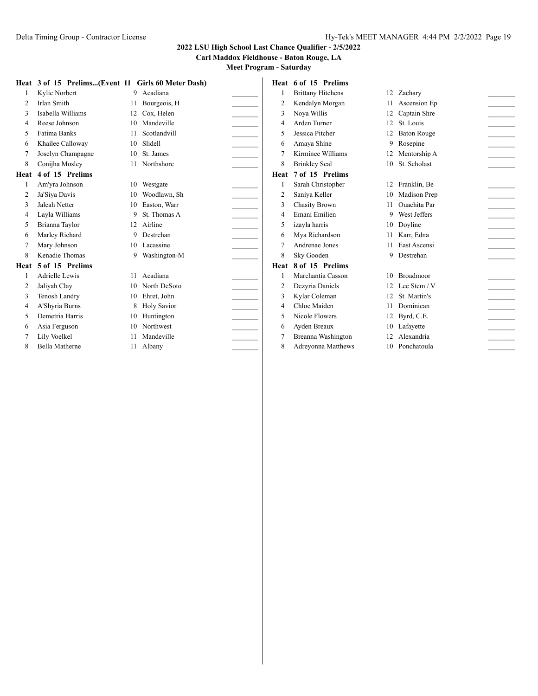**Carl Maddox Fieldhouse - Baton Rouge, LA**

|      | Heat 3 of 15 Prelims(Event 11 Girls 60 Meter Dash) |    |                    |                | Heat 6 of 15 Prelims     |    |                    |  |
|------|----------------------------------------------------|----|--------------------|----------------|--------------------------|----|--------------------|--|
|      | Kylie Norbert                                      |    | 9 Acadiana         |                | <b>Brittany Hitchens</b> |    | 12 Zachary         |  |
| 2    | <b>Irlan Smith</b>                                 | 11 | Bourgeois, H       | $\overline{2}$ | Kendalyn Morgan          | 11 | Ascension Ep       |  |
| 3    | Isabella Williams                                  | 12 | Cox. Helen         | 3              | Nova Willis              | 12 | Captain Shre       |  |
| 4    | Reese Johnson                                      | 10 | Mandeville         | 4              | Arden Turner             | 12 | St. Louis          |  |
| 5    | <b>Fatima Banks</b>                                | 11 | Scotlandvill       | 5              | Jessica Pitcher          | 12 | <b>Baton Rouge</b> |  |
| 6    | Khailee Calloway                                   | 10 | Slidell            | 6              | Amaya Shine              |    | 9 Rosepine         |  |
|      | Joselyn Champagne                                  | 10 | St. James          |                | Kirminee Williams        |    | 12 Mentorship A    |  |
| 8    | Conijha Mosley                                     |    | 11 Northshore      | 8              | <b>Brinkley Seal</b>     |    | 10 St. Scholast    |  |
| Heat | 4 of 15 Prelims                                    |    |                    | Heat           | 7 of 15 Prelims          |    |                    |  |
|      | Am'yra Johnson                                     | 10 | Westgate           |                | Sarah Christopher        |    | 12 Franklin, Be    |  |
| 2    | Ja'Siya Davis                                      | 10 | Woodlawn, Sh       | $\overline{2}$ | Saniya Keller            |    | 10 Madison Prep    |  |
| 3    | Jaleah Netter                                      | 10 | Easton, Warr       | 3              | <b>Chasity Brown</b>     | 11 | Ouachita Par       |  |
| 4    | Layla Williams                                     | 9  | St. Thomas A       | 4              | Emani Emilien            | 9  | West Jeffers       |  |
| 5    | Brianna Taylor                                     |    | 12 Airline         | 5              | izayla harris            |    | 10 Doyline         |  |
| 6    | Marley Richard                                     | 9  | Destrehan          | 6              | Mva Richardson           |    | 11 Karr, Edna      |  |
|      | Mary Johnson                                       |    | 10 Lacassine       |                | Andrenae Jones           | 11 | East Ascensi       |  |
| 8    | Kenadie Thomas                                     | 9. | Washington-M       | 8              | Sky Gooden               |    | 9 Destrehan        |  |
| Heat | 5 of 15 Prelims                                    |    |                    |                | Heat 8 of 15 Prelims     |    |                    |  |
|      | Adrielle Lewis                                     | 11 | Acadiana           |                | Marchantia Casson        |    | 10 Broadmoor       |  |
|      | Jaliyah Clay                                       | 10 | North DeSoto       | $\overline{2}$ | Dezyria Daniels          |    | 12 Lee Stem / V    |  |
| 3    | Tenosh Landry                                      | 10 | Ehret, John        | 3              | Kylar Coleman            | 12 | St. Martin's       |  |
| 4    | A'Shyria Burns                                     | 8  | <b>Holy Savior</b> | 4              | Chloe Maiden             | 11 | Dominican          |  |
| 5    | Demetria Harris                                    | 10 | Huntington         | 5              | Nicole Flowers           |    | 12 Byrd, C.E.      |  |
| 6    | Asia Ferguson                                      | 10 | Northwest          | 6              | Ayden Breaux             |    | 10 Lafayette       |  |
|      | Lily Voelkel                                       | 11 | Mandeville         | 7              | Breanna Washington       |    | 12 Alexandria      |  |
| 8    | <b>Bella Matherne</b>                              |    | 11 Albany          | 8              | Adreyonna Matthews       |    | 10 Ponchatoula     |  |
|      |                                                    |    |                    |                |                          |    |                    |  |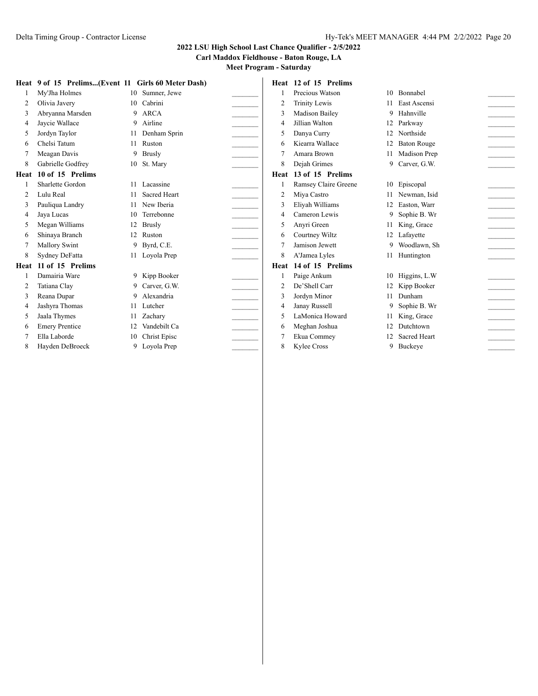**Carl Maddox Fieldhouse - Baton Rouge, LA**

|      | Heat 9 of 15 Prelims(Event 11 Girls 60 Meter Dash) |     |                     |   | Heat 12 of 15 Prelims |    |                     |  |
|------|----------------------------------------------------|-----|---------------------|---|-----------------------|----|---------------------|--|
|      | My'Jha Holmes                                      |     | 10 Sumner, Jewe     |   | Precious Watson       |    | 10 Bonnabel         |  |
| 2    | Olivia Javery                                      | 10  | Cabrini             | 2 | <b>Trinity Lewis</b>  |    | 11 East Ascensi     |  |
| 3    | Abryanna Marsden                                   |     | 9 ARCA              | 3 | Madison Bailey        |    | 9 Hahnville         |  |
| 4    | Jaycie Wallace                                     | 9   | Airline             | 4 | Jillian Walton        |    | 12 Parkway          |  |
| 5    | Jordyn Taylor                                      | 11  | Denham Sprin        | 5 | Danya Curry           | 12 | Northside           |  |
| 6    | Chelsi Tatum                                       | 11  | Ruston              | 6 | Kiearra Wallace       | 12 | <b>Baton Rouge</b>  |  |
|      | Meagan Davis                                       |     | 9 Brusly            |   | Amara Brown           |    | 11 Madison Prep     |  |
| 8    | Gabrielle Godfrey                                  |     | 10 St. Mary         | 8 | Dejah Grimes          | 9  | Carver, G.W.        |  |
| Heat | 10 of 15 Prelims                                   |     |                     |   | Heat 13 of 15 Prelims |    |                     |  |
|      | Sharlette Gordon                                   |     | 11 Lacassine        |   | Ramsey Claire Greene  |    | 10 Episcopal        |  |
| 2    | Lulu Real                                          | 11  | <b>Sacred Heart</b> | 2 | Miya Castro           |    | Newman, Isid        |  |
| 3    | Pauliqua Landry                                    |     | 11 New Iberia       | 3 | Eliyah Williams       |    | 12 Easton, Warr     |  |
| 4    | Jaya Lucas                                         | 10. | Terrebonne          | 4 | Cameron Lewis         |    | 9 Sophie B. Wr      |  |
| 5    | Megan Williams                                     | 12  | <b>Brusly</b>       | 5 | Anyri Green           |    | 11 King, Grace      |  |
| 6    | Shinaya Branch                                     | 12  | Ruston              | 6 | Courtney Wiltz        |    | 12 Lafavette        |  |
|      | Mallory Swint                                      |     | 9 Byrd, C.E.        |   | Jamison Jewett        |    | 9 Woodlawn, Sh      |  |
| 8    | Sydney DeFatta                                     |     | 11 Loyola Prep      | 8 | A'Jamea Lyles         |    | 11 Huntington       |  |
| Heat | 11 of 15 Prelims                                   |     |                     |   | Heat 14 of 15 Prelims |    |                     |  |
|      | Damairia Ware                                      |     | 9 Kipp Booker       |   | Paige Ankum           |    | 10 Higgins, L.W     |  |
| 2    | Tatiana Clay                                       | 9.  | Carver, G.W.        | 2 | De'Shell Carr         | 12 | Kipp Booker         |  |
| 3    | Reana Dupar                                        | 9   | Alexandria          |   | Jordyn Minor          |    | 11 Dunham           |  |
| 4    | Jashyra Thomas                                     |     | 11 Lutcher          | 4 | Janay Russell         |    | 9 Sophie B. Wr      |  |
| 5    | Jaala Thymes                                       | 11  | Zachary             | 5 | LaMonica Howard       | 11 | King, Grace         |  |
| 6    | <b>Emery Prentice</b>                              |     | Vandebilt Ca        | 6 | Meghan Joshua         | 12 | Dutchtown           |  |
|      | Ella Laborde                                       | 10  | Christ Episc        |   | Ekua Commey           |    | <b>Sacred Heart</b> |  |
| 8    | Hayden DeBroeck                                    | 9.  | Loyola Prep         | 8 | Kylee Cross           |    | 9 Buckeye           |  |
|      |                                                    |     |                     |   |                       |    |                     |  |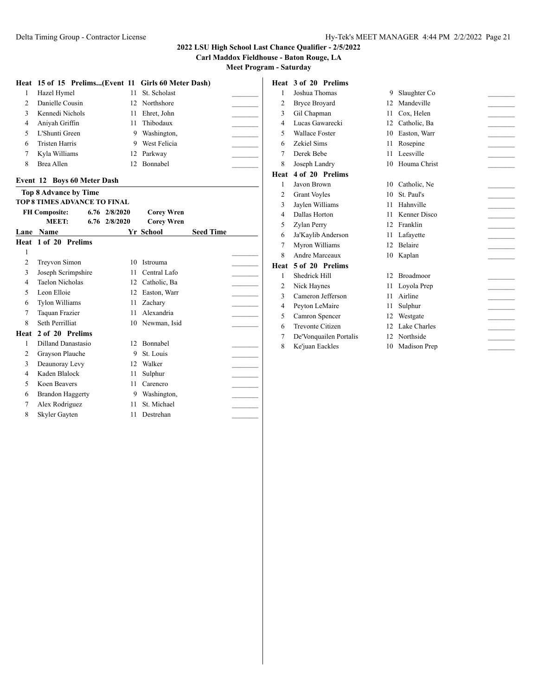**Carl Maddox Fieldhouse - Baton Rouge, LA**

**Meet Program - Saturday**

### **Heat 15 of 15 Prelims...(Event 11 Girls 60 Meter Dash)**

|               | Hazel Hymel           |     | 11 St. Scholast |  |
|---------------|-----------------------|-----|-----------------|--|
| $\mathcal{D}$ | Danielle Cousin       |     | 12 Northshore   |  |
|               | Kennedi Nichols       |     | 11 Ehret, John  |  |
| 4             | Aniyah Griffin        |     | 11 Thibodaux    |  |
| 5             | L'Shunti Green        | 9.  | Washington.     |  |
| 6             | <b>Tristen Harris</b> | 9   | West Felicia    |  |
|               | Kyla Williams         |     | 12 Parkway      |  |
|               | Brea Allen            | 12. | Bonnabel        |  |

#### **Event 12 Boys 60 Meter Dash**

|                | <b>Top 8 Advance by Time</b> |  |                   |                   |                  |  |  |  |  |  |  |  |  |  |
|----------------|------------------------------|--|-------------------|-------------------|------------------|--|--|--|--|--|--|--|--|--|
|                | TOP 8 TIMES ADVANCE TO FINAL |  |                   |                   |                  |  |  |  |  |  |  |  |  |  |
|                | <b>FH Composite:</b>         |  | $6.76$ $2/8/2020$ | <b>Corey Wren</b> |                  |  |  |  |  |  |  |  |  |  |
|                | MEET:                        |  | $6.76$ $2/8/2020$ | <b>Corey Wren</b> |                  |  |  |  |  |  |  |  |  |  |
| Lane           | Name                         |  |                   | <b>Yr School</b>  | <b>Seed Time</b> |  |  |  |  |  |  |  |  |  |
| Heat           | 1 of 20 Prelims              |  |                   |                   |                  |  |  |  |  |  |  |  |  |  |
| 1              |                              |  |                   |                   |                  |  |  |  |  |  |  |  |  |  |
| $\overline{c}$ | Treyvon Simon                |  | 10                | Istrouma          |                  |  |  |  |  |  |  |  |  |  |
| 3              | Joseph Scrimpshire           |  | 11                | Central Lafo      |                  |  |  |  |  |  |  |  |  |  |
| 4              | <b>Taelon Nicholas</b>       |  | 12                | Catholic, Ba      |                  |  |  |  |  |  |  |  |  |  |
| 5              | Leon Elloie                  |  | 12                | Easton, Warr      |                  |  |  |  |  |  |  |  |  |  |
| 6              | <b>Tylon Williams</b>        |  | 11                | Zacharv           |                  |  |  |  |  |  |  |  |  |  |
| 7              | Taquan Frazier               |  | 11                | Alexandria        |                  |  |  |  |  |  |  |  |  |  |
| 8              | Seth Perrilliat              |  | 10                | Newman, Isid      |                  |  |  |  |  |  |  |  |  |  |
| Heat           | 2 of 20 Prelims              |  |                   |                   |                  |  |  |  |  |  |  |  |  |  |
| 1              | Dilland Danastasio           |  | 12                | Bonnabel          |                  |  |  |  |  |  |  |  |  |  |
| 2              | Grayson Plauche              |  | 9                 | St. Louis         |                  |  |  |  |  |  |  |  |  |  |
| 3              | Deaunoray Levy               |  | 12                | Walker            |                  |  |  |  |  |  |  |  |  |  |
| 4              | Kaden Blalock                |  | 11                | Sulphur           |                  |  |  |  |  |  |  |  |  |  |
| 5              | Koen Beavers                 |  | 11                | Carencro          |                  |  |  |  |  |  |  |  |  |  |
| 6              | <b>Brandon Haggerty</b>      |  | 9                 | Washington,       |                  |  |  |  |  |  |  |  |  |  |
| 7              | Alex Rodriguez               |  | 11                | St. Michael       |                  |  |  |  |  |  |  |  |  |  |
| 8              | Skyler Gayten                |  | 11                | Destrehan         |                  |  |  |  |  |  |  |  |  |  |
|                |                              |  |                   |                   |                  |  |  |  |  |  |  |  |  |  |

# **Heat 3 of 20 Prelims**

| 1              | Joshua Thomas          | 9   | Slaughter Co     |  |
|----------------|------------------------|-----|------------------|--|
| 2              | <b>Bryce Broyard</b>   | 12. | Mandeville       |  |
| 3              | Gil Chapman            | 11  | Cox, Helen       |  |
| 4              | Lucas Gawarecki        | 12  | Catholic, Ba     |  |
| 5              | <b>Wallace Foster</b>  | 10  | Easton, Warr     |  |
| 6              | Zekiel Sims            | 11  | Rosepine         |  |
| 7              | Derek Bebe             | 11  | Leesville        |  |
| 8              | Joseph Landry          | 10  | Houma Christ     |  |
| Heat           | 4 of 20 Prelims        |     |                  |  |
| $\mathbf{1}$   | Javon Brown            | 10  | Catholic, Ne     |  |
| $\overline{2}$ | <b>Grant Voyles</b>    | 10  | St. Paul's       |  |
| 3              | Jaylen Williams        | 11  | Hahnville        |  |
| 4              | Dallas Horton          | 11  | Kenner Disco     |  |
| 5              | Zylan Perry            | 12  | Franklin         |  |
| 6              | Ja'Kaylib Anderson     | 11  | Lafayette        |  |
| 7              | Myron Williams         | 12  | <b>Belaire</b>   |  |
| 8              | Andre Marceaux         | 10  | Kaplan           |  |
| Heat           | 5 of 20 Prelims        |     |                  |  |
| 1              | Shedrick Hill          | 12  | <b>Broadmoor</b> |  |
| 2              | Nick Haynes            | 11  | Loyola Prep      |  |
| 3              | Cameron Jefferson      | 11  | Airline          |  |
| 4              | Peyton LeMaire         | 11  | Sulphur          |  |
| 5              | Camron Spencer         | 12  | Westgate         |  |
| 6              | Trevonte Citizen       | 12  | Lake Charles     |  |
| 7              | De'Vonquailen Portalis | 12  | Northside        |  |
| 8              | Ke'juan Eackles        | 10  | Madison Prep     |  |
|                |                        |     |                  |  |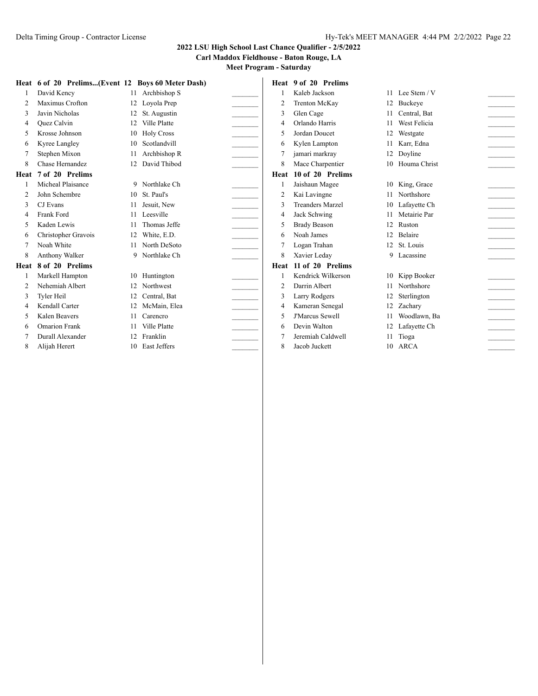**Carl Maddox Fieldhouse - Baton Rouge, LA**

|      | Heat 6 of 20 Prelims(Event 12 Boys 60 Meter Dash) |     |                   |                | Heat 9 of 20 Prelims    |    |                 |  |
|------|---------------------------------------------------|-----|-------------------|----------------|-------------------------|----|-----------------|--|
|      | David Kency                                       | 11  | Archbishop S      |                | Kaleb Jackson           |    | 11 Lee Stem / V |  |
|      | Maximus Crofton                                   | 12  | Loyola Prep       | $\overline{2}$ | Trenton McKay           | 12 | Buckeye         |  |
|      | Javin Nicholas                                    | 12  | St. Augustin      | 3              | Glen Cage               |    | 11 Central, Bat |  |
|      | Ouez Calvin                                       | 12  | Ville Platte      | 4              | Orlando Harris          | 11 | West Felicia    |  |
|      | Krosse Johnson                                    | 10  | <b>Holy Cross</b> | 5              | Jordan Doucet           | 12 | Westgate        |  |
| 6    | Kyree Langley                                     | 10  | Scotlandvill      | 6              | Kylen Lampton           |    | 11 Karr, Edna   |  |
|      | Stephen Mixon                                     | 11  | Archbishop R      |                | jamari markray          | 12 | Doyline         |  |
| 8    | Chase Hernandez                                   | 12  | David Thibod      | 8              | Mace Charpentier        |    | 10 Houma Christ |  |
| Heat | 7 of 20 Prelims                                   |     |                   |                | Heat 10 of 20 Prelims   |    |                 |  |
|      | Micheal Plaisance                                 |     | 9 Northlake Ch    |                | Jaishaun Magee          | 10 | King, Grace     |  |
|      | John Schembre                                     |     | 10 St. Paul's     | $\overline{2}$ | Kai Lavingne            |    | 11 Northshore   |  |
| 3    | CJ Evans                                          | 11  | Jesuit. New       | 3              | <b>Treanders Marzel</b> |    | 10 Lafavette Ch |  |
| 4    | Frank Ford                                        | 11  | Leesville         | 4              | Jack Schwing            | 11 | Metairie Par    |  |
|      | Kaden Lewis                                       | 11  | Thomas Jeffe      | 5              | <b>Brady Beason</b>     |    | 12 Ruston       |  |
| 6    | Christopher Gravois                               | 12  | White, E.D.       | 6              | Noah James              | 12 | Belaire         |  |
|      | Noah White                                        | 11  | North DeSoto      | 7              | Logan Trahan            |    | 12 St. Louis    |  |
| 8    | Anthony Walker                                    |     | 9 Northlake Ch    | 8              | Xavier Leday            |    | 9 Lacassine     |  |
| Heat | 8 of 20 Prelims                                   |     |                   |                | Heat 11 of 20 Prelims   |    |                 |  |
|      | Markell Hampton                                   | 10  | Huntington        |                | Kendrick Wilkerson      |    | 10 Kipp Booker  |  |
|      | Nehemiah Albert                                   | 12. | Northwest         | $\overline{c}$ | Darrin Albert           |    | 11 Northshore   |  |
| 3    | Tyler Heil                                        | 12  | Central, Bat      | 3              | Larry Rodgers           | 12 | Sterlington     |  |
| 4    | Kendall Carter                                    | 12  | McMain, Elea      | 4              | Kameran Senegal         |    | 12 Zacharv      |  |
|      | Kalen Beavers                                     | 11  | Carencro          | 5              | <b>J'Marcus Sewell</b>  |    | Woodlawn, Ba    |  |
| 6    | <b>Omarion Frank</b>                              | 11  | Ville Platte      | 6              | Devin Walton            | 12 | Lafayette Ch    |  |
|      | Durall Alexander                                  | 12  | Franklin          |                | Jeremiah Caldwell       |    | 11 Tioga        |  |
| 8    | Alijah Herert                                     | 10  | East Jeffers      | 8              | Jacob Juckett           |    | 10 ARCA         |  |
|      |                                                   |     |                   |                |                         |    |                 |  |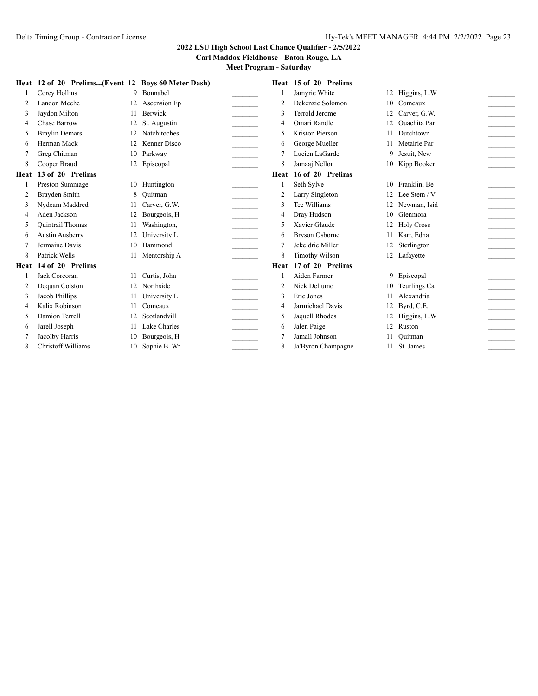**Carl Maddox Fieldhouse - Baton Rouge, LA**

|                | Heat 12 of 20 Prelims(Event 12 Boys 60 Meter Dash) |    |                 |                          | Heat 15 of 20 Prelims |                 |                 |  |
|----------------|----------------------------------------------------|----|-----------------|--------------------------|-----------------------|-----------------|-----------------|--|
|                | Corey Hollins                                      |    | 9 Bonnabel      |                          | Jamyrie White         |                 | 12 Higgins, L.W |  |
| 2              | Landon Meche                                       |    | 12 Ascension Ep | $\overline{2}$           | Dekenzie Solomon      | 10              | Comeaux         |  |
| 3              | Jaydon Milton                                      | 11 | Berwick         | 3                        | Terrold Jerome        | 12              | Carver, G.W.    |  |
| 4              | Chase Barrow                                       | 12 | St. Augustin    | $\overline{4}$           | Omari Randle          | 12 <sup>°</sup> | Ouachita Par    |  |
| 5              | <b>Braylin Demars</b>                              | 12 | Natchitoches    | $\overline{\phantom{0}}$ | Kriston Pierson       | 11              | Dutchtown       |  |
| 6              | Herman Mack                                        | 12 | Kenner Disco    | 6                        | George Mueller        | 11              | Metairie Par    |  |
|                | Greg Chitman                                       | 10 | Parkway         |                          | Lucien LaGarde        | 9               | Jesuit, New     |  |
| 8              | Cooper Braud                                       |    | 12 Episcopal    | 8                        | Jamaaj Nellon         |                 | 10 Kipp Booker  |  |
| Heat           | 13 of 20 Prelims                                   |    |                 | Heat                     | 16 of 20 Prelims      |                 |                 |  |
|                | Preston Summage                                    | 10 | Huntington      |                          | Seth Sylve            |                 | 10 Franklin, Be |  |
| 2              | Brayden Smith                                      | 8  | Ouitman         | 2                        | Larry Singleton       |                 | 12 Lee Stem / V |  |
| 3              | Nydeam Maddred                                     | 11 | Carver, G.W.    | $\mathcal{R}$            | Tee Williams          |                 | 12 Newman, Isid |  |
| 4              | Aden Jackson                                       | 12 | Bourgeois, H    | $\overline{4}$           | Dray Hudson           | 10 <sup>1</sup> | Glenmora        |  |
| 5              | <b>Ouintrail Thomas</b>                            | 11 | Washington,     | $\overline{\phantom{0}}$ | Xavier Glaude         |                 | 12 Holy Cross   |  |
| 6              | <b>Austin Ausberry</b>                             |    | University L    | 6                        | <b>Bryson Osborne</b> |                 | 11 Karr, Edna   |  |
|                | Jermaine Davis                                     | 10 | Hammond         |                          | Jekeldric Miller      | 12              | Sterlington     |  |
| 8              | Patrick Wells                                      |    | 11 Mentorship A | 8                        | <b>Timothy Wilson</b> |                 | 12 Lafayette    |  |
| Heat           | 14 of 20 Prelims                                   |    |                 | Heat                     | 17 of 20 Prelims      |                 |                 |  |
|                | Jack Corcoran                                      | 11 | Curtis, John    |                          | Aiden Farmer          |                 | 9 Episcopal     |  |
|                | Dequan Colston                                     |    | 12 Northside    | $\overline{2}$           | Nick Dellumo          |                 | 10 Teurlings Ca |  |
| 3              | Jacob Phillips                                     |    | University L    | 3                        | Eric Jones            |                 | Alexandria      |  |
| $\overline{4}$ | Kalix Robinson                                     | 11 | Comeaux         | $\overline{4}$           | Jarmichael Davis      | 12              | Byrd, C.E.      |  |
| 5              | Damion Terrell                                     | 12 | Scotlandvill    | 5                        | Jaquell Rhodes        |                 | 12 Higgins, L.W |  |
| 6              | Jarell Joseph                                      | 11 | Lake Charles    | 6                        | Jalen Paige           | 12              | Ruston          |  |
|                | Jacolby Harris                                     | 10 | Bourgeois, H    |                          | Jamall Johnson        | 11              | Ouitman         |  |
| 8              | <b>Christoff Williams</b>                          | 10 | Sophie B. Wr    | 8                        | Ja'Byron Champagne    | 11              | St. James       |  |
|                |                                                    |    |                 |                          |                       |                 |                 |  |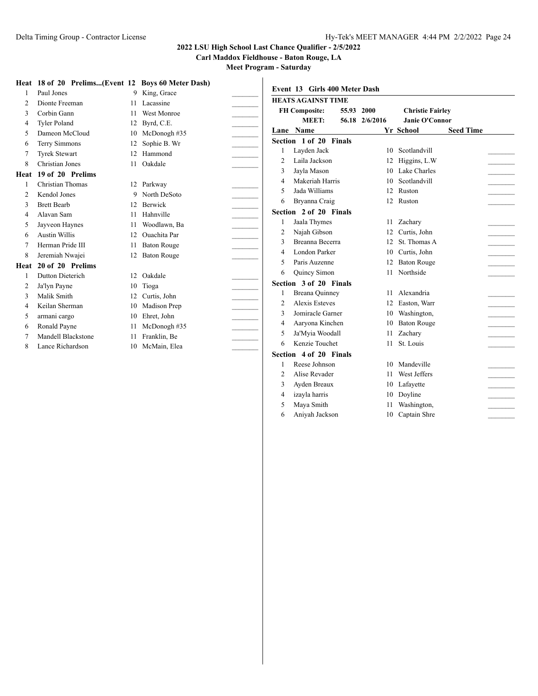**Carl Maddox Fieldhouse - Baton Rouge, LA**

**Meet Program - Saturday**

|                | Heat 18 of 20 Prelims(Event 12 Boys 60 Meter Dash) |                 |                     |                |                               |                   |    |                         |                  |
|----------------|----------------------------------------------------|-----------------|---------------------|----------------|-------------------------------|-------------------|----|-------------------------|------------------|
|                | Paul Jones                                         |                 | 9 King, Grace       |                | Event 13 Girls 400 Meter Dash |                   |    |                         |                  |
| $\overline{2}$ | Dionte Freeman                                     | 11              | Lacassine           |                | <b>HEATS AGAINST TIME</b>     |                   |    |                         |                  |
| 3              | Corbin Gann                                        |                 | <b>West Monroe</b>  |                | <b>FH Composite:</b>          | 2000<br>55.93     |    | <b>Christie Fairley</b> |                  |
| 4              | <b>Tyler Poland</b>                                | 12              | Byrd, C.E.          |                | MEET:                         | 56.18<br>2/6/2016 |    | Janie O'Connor          |                  |
| 5              | Dameon McCloud                                     | 10              | McDonogh #35        |                | Lane Name                     |                   |    | <b>Yr School</b>        | <b>Seed Time</b> |
| 6              | <b>Terry Simmons</b>                               | 12              | Sophie B. Wr        |                | Section 1 of 20 Finals        |                   |    |                         |                  |
|                | <b>Tyrek Stewart</b>                               | 12              | Hammond             |                | Layden Jack                   |                   |    | 10 Scotlandvill         |                  |
| 8              | Christian Jones                                    | 11              | Oakdale             | $\overline{2}$ | Laila Jackson                 |                   |    | 12 Higgins, L.W         |                  |
| Heat           | 19 of 20 Prelims                                   |                 |                     | 3              | Javla Mason                   |                   |    | Lake Charles            |                  |
|                | <b>Christian Thomas</b>                            |                 | 12 Parkway          | $\overline{4}$ | Makeriah Harris               |                   | 10 | Scotlandvill            |                  |
| 2              | Kendol Jones                                       |                 | 9 North DeSoto      | 5              | Jada Williams                 |                   | 12 | Ruston                  |                  |
| 3              | <b>Brett Bearb</b>                                 | 12 <sub>1</sub> | Berwick             | 6              | Bryanna Craig                 |                   | 12 | Ruston                  |                  |
| 4              | Alavan Sam                                         | 11              | Hahnville           |                | Section 2 of 20 Finals        |                   |    |                         |                  |
| 5              | Jayveon Haynes                                     | 11              | Woodlawn, Ba        |                | Jaala Thymes                  |                   | 11 | Zachary                 |                  |
| 6              | <b>Austin Willis</b>                               | 12              | <b>Ouachita</b> Par | $\overline{2}$ | Najah Gibson                  |                   | 12 | Curtis, John            |                  |
| 7              | Herman Pride III                                   | 11              | <b>Baton Rouge</b>  | 3              | Breanna Becerra               |                   | 12 | St. Thomas A            |                  |
| 8              | Jeremiah Nwajei                                    | 12              | <b>Baton Rouge</b>  | 4              | London Parker                 |                   | 10 | Curtis, John            |                  |
| Heat           | 20 of 20 Prelims                                   |                 |                     | 5              | Paris Auzenne                 |                   | 12 | <b>Baton Rouge</b>      |                  |
|                | Dutton Dieterich                                   | 12 <sub>1</sub> | Oakdale             | 6              | Quincy Simon                  |                   |    | 11 Northside            |                  |
| 2              | Ja'lyn Payne                                       | 10              | Tioga               |                | Section 3 of 20 Finals        |                   |    |                         |                  |
| 3              | Malik Smith                                        | 12              | Curtis, John        |                | <b>Breana Quinney</b>         |                   | 11 | Alexandria              |                  |
| 4              | Keilan Sherman                                     | 10              | Madison Prep        | $\overline{2}$ | Alexis Esteves                |                   | 12 | Easton, Warr            |                  |
| 5              | armani cargo                                       | 10              | Ehret, John         | 3              | Jomiracle Garner              |                   | 10 | Washington,             |                  |
| 6              | Ronald Payne                                       |                 | McDonogh#35         | 4              | Aaryona Kinchen               |                   | 10 | <b>Baton Rouge</b>      |                  |
|                | Mandell Blackstone                                 | 11              | Franklin, Be        | 5              | Ja'Myia Woodall               |                   | 11 | Zachary                 |                  |
| 8              | Lance Richardson                                   | 10              | McMain, Elea        | 6              | Kenzie Touchet                |                   | 11 | St. Louis               |                  |
|                |                                                    |                 |                     |                | Section 4 of 20 Finals        |                   |    |                         |                  |
|                |                                                    |                 |                     |                | Reese Johnson                 |                   | 10 | Mandeville              |                  |
|                |                                                    |                 |                     | $\overline{2}$ | Alise Revader                 |                   | 11 | West Jeffers            |                  |
|                |                                                    |                 |                     | 3              | Avden Breaux                  |                   |    | 10 Lafavette            |                  |

4 izayla harris 10 Doyline 5 Maya Smith 11 Washington, Aniyah Jackson 10 Captain Shre \_\_\_\_\_\_\_\_\_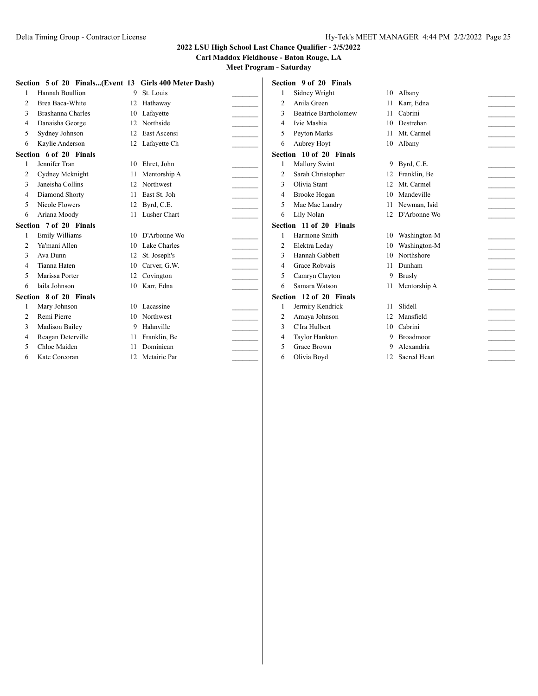**Carl Maddox Fieldhouse - Baton Rouge, LA**

|   | Section 5 of 20 Finals(Event 13 Girls 400 Meter Dash) |     |                 |                | Section 9 of 20 Finals      |     |                 |  |
|---|-------------------------------------------------------|-----|-----------------|----------------|-----------------------------|-----|-----------------|--|
|   | Hannah Boullion                                       |     | 9 St. Louis     |                | Sidney Wright               |     | 10 Albany       |  |
| 2 | Brea Baca-White                                       |     | 12 Hathaway     | $\overline{2}$ | Anila Green                 |     | 11 Karr, Edna   |  |
| 3 | Brashanna Charles                                     |     | 10 Lafavette    | 3              | <b>Beatrice Bartholomew</b> | 11  | Cabrini         |  |
| 4 | Danaisha George                                       | 12  | Northside       | 4              | Ivie Mashia                 | 10  | Destrehan       |  |
| 5 | Sydney Johnson                                        | 12  | East Ascensi    | 5              | Peyton Marks                |     | 11 Mt. Carmel   |  |
| 6 | Kaylie Anderson                                       | 12  | Lafayette Ch    | 6              | Aubrey Hoyt                 | 10  | Albany          |  |
|   | Section 6 of 20 Finals                                |     |                 |                | Section 10 of 20 Finals     |     |                 |  |
|   | Jennifer Tran                                         | 10  | Ehret, John     |                | Mallory Swint               |     | 9 Byrd, C.E.    |  |
| 2 | Cydney Mcknight                                       |     | Mentorship A    |                | Sarah Christopher           |     | 12 Franklin, Be |  |
| 3 | Janeisha Collins                                      | 12  | Northwest       | 3              | Olivia Stant                | 12. | Mt. Carmel      |  |
|   | Diamond Shorty                                        | 11  | East St. Joh    | 4              | Brooke Hogan                | 10  | Mandeville      |  |
| 5 | Nicole Flowers                                        | 12  | Byrd, C.E.      | 5              | Mae Mae Landry              | 11  | Newman, Isid    |  |
| 6 | Ariana Moody                                          |     | Lusher Chart    | 6              | Lily Nolan                  | 12  | D'Arbonne Wo    |  |
|   | Section 7 of 20 Finals                                |     |                 |                | Section 11 of 20 Finals     |     |                 |  |
|   | Emily Williams                                        | 10. | D'Arbonne Wo    |                | Harmone Smith               | 10  | Washington-M    |  |
|   | Ya'mani Allen                                         |     | 10 Lake Charles | 2              | Elektra Leday               | 10  | Washington-M    |  |
|   | Ava Dunn                                              | 12  | St. Joseph's    | 3              | Hannah Gabbett              | 10  | Northshore      |  |
| 4 | Tianna Haten                                          | 10  | Carver, G.W.    | 4              | Grace Robvais               | 11  | Dunham          |  |
|   | Marissa Porter                                        | 12  | Covington       | 5              | Camryn Clayton              |     | 9 Brusly        |  |
| 6 | laila Johnson                                         | 10  | Karr, Edna      | 6              | Samara Watson               |     | 11 Mentorship A |  |
|   | Section 8 of 20 Finals                                |     |                 |                | Section 12 of 20 Finals     |     |                 |  |
|   | Mary Johnson                                          | 10. | Lacassine       |                | Jermiry Kendrick            | 11  | Slidell         |  |
| 2 | Remi Pierre                                           |     | 10 Northwest    | 2              | Amaya Johnson               | 12  | Mansfield       |  |
| 3 | <b>Madison Bailey</b>                                 |     | 9 Hahnville     | 3              | C'Ira Hulbert               | 10  | Cabrini         |  |
| 4 | Reagan Deterville                                     |     | Franklin, Be    | 4              | Taylor Hankton              | 9   | Broadmoor       |  |
| 5 | Chloe Maiden                                          |     | Dominican       | 5              | Grace Brown                 | 9   | Alexandria      |  |
| 6 | Kate Corcoran                                         | 12  | Metairie Par    | 6              | Olivia Boyd                 |     | 12 Sacred Heart |  |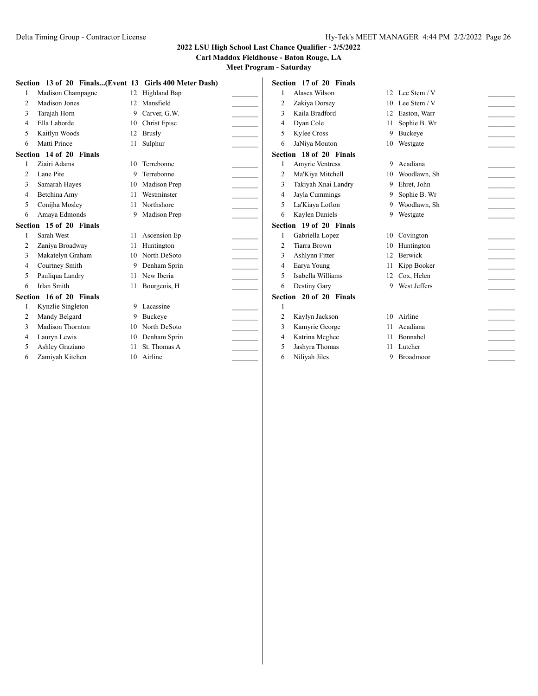**Carl Maddox Fieldhouse - Baton Rouge, LA**

|                | Section 13 of 20 Finals(Event 13 Girls 400 Meter Dash) |                 |                 |                | Section 17 of 20 Finals |    |                 |  |
|----------------|--------------------------------------------------------|-----------------|-----------------|----------------|-------------------------|----|-----------------|--|
|                | Madison Champagne                                      | 12              | Highland Bap    |                | Alasca Wilson           |    | 12 Lee Stem / V |  |
| 2              | Madison Jones                                          | 12 <sub>1</sub> | Mansfield       | $\overline{2}$ | Zakiya Dorsey           |    | 10 Lee Stem / V |  |
| 3              | Tarajah Horn                                           | 9               | Carver, G.W.    | $\mathbf{3}$   | Kaila Bradford          | 12 | Easton, Warr    |  |
| 4              | Ella Laborde                                           | 10              | Christ Episc    | 4              | Dyan Cole               | 11 | Sophie B. Wr    |  |
| 5              | Kaitlyn Woods                                          | 12              | <b>Brusly</b>   | 5              | Kylee Cross             | 9  | Buckeye         |  |
| 6              | Matti Prince                                           |                 | Sulphur         | 6              | JaNiya Mouton           |    | 10 Westgate     |  |
|                | Section 14 of 20 Finals                                |                 |                 |                | Section 18 of 20 Finals |    |                 |  |
|                | Ziairi Adams                                           | 10.             | Terrebonne      |                | <b>Amvrie Ventress</b>  |    | 9 Acadiana      |  |
| $\overline{2}$ | Lane Pite                                              | 9               | Terrebonne      | $\overline{2}$ | Ma'Kiya Mitchell        | 10 | Woodlawn, Sh    |  |
| 3              | Samarah Hayes                                          | 10              | Madison Prep    | 3              | Takiyah Xnai Landry     |    | 9 Ehret, John   |  |
| 4              | Betchina Amy                                           | 11              | Westminster     | $\overline{4}$ | Jayla Cummings          | 9  | Sophie B. Wr    |  |
| 5              | Conijha Mosley                                         | 11              | Northshore      | 5              | La'Kiaya Lofton         | 9  | Woodlawn, Sh    |  |
| 6              | Amaya Edmonds                                          | 9               | Madison Prep    | 6              | Kaylen Daniels          |    | 9 Westgate      |  |
|                | Section 15 of 20 Finals                                |                 |                 |                | Section 19 of 20 Finals |    |                 |  |
|                | Sarah West                                             |                 | 11 Ascension Ep |                | Gabriella Lopez         |    | 10 Covington    |  |
| 2              | Zaniya Broadway                                        | 11              | Huntington      | $\overline{2}$ | <b>Tiarra Brown</b>     |    | Huntington      |  |
| 3              | Makatelyn Graham                                       | 10              | North DeSoto    | 3              | Ashlynn Fitter          | 12 | Berwick         |  |
| 4              | Courtney Smith                                         |                 | Denham Sprin    | 4              | Earya Young             |    | Kipp Booker     |  |
| 5              | Pauliqua Landry                                        | 11              | New Iberia      | 5              | Isabella Williams       | 12 | Cox, Helen      |  |
| 6              | Irlan Smith                                            |                 | 11 Bourgeois, H | 6              | Destiny Gary            |    | 9 West Jeffers  |  |
|                | Section 16 of 20 Finals                                |                 |                 |                | Section 20 of 20 Finals |    |                 |  |
|                | Kynzlie Singleton                                      | 9               | Lacassine       |                |                         |    |                 |  |
|                | Mandy Belgard                                          | 9               | Buckeve         | $\overline{2}$ | Kaylyn Jackson          |    | 10 Airline      |  |
|                | Madison Thornton                                       | 10              | North DeSoto    | 3              | Kamyrie George          | 11 | Acadiana        |  |
| 4              | Lauryn Lewis                                           | 10              | Denham Sprin    | 4              | Katrina Mcghee          | 11 | Bonnabel        |  |
| 5              | Ashley Graziano                                        | 11              | St. Thomas A    | 5              | Jashyra Thomas          |    | 11 Lutcher      |  |
| 6              | Zamiyah Kitchen                                        | 10              | Airline         | 6              | Niliyah Jiles           |    | 9 Broadmoor     |  |
|                |                                                        |                 |                 |                |                         |    |                 |  |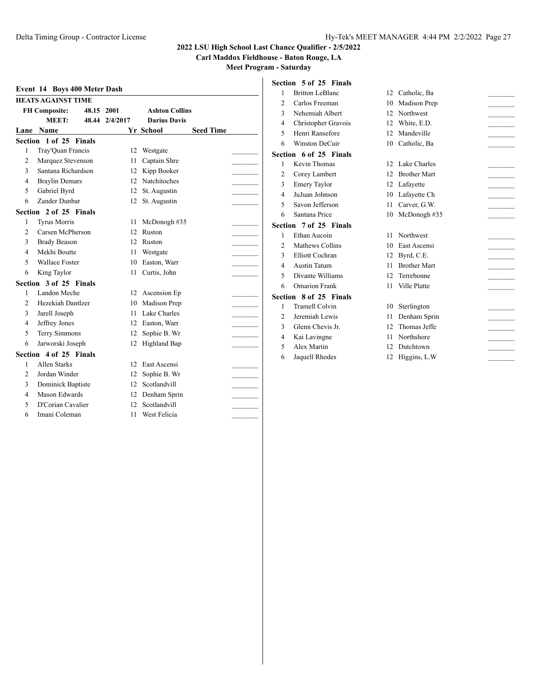**Carl Maddox Fieldhouse - Baton Rouge, LA**

|                | <b>HEATS AGAINST TIME</b> |       |          |                       |                  |  |
|----------------|---------------------------|-------|----------|-----------------------|------------------|--|
|                | <b>FH Composite:</b>      | 48.15 | 2001     | <b>Ashton Collins</b> |                  |  |
|                | MEET:                     | 48.44 | 2/4/2017 | <b>Darius Davis</b>   |                  |  |
| Lane           | Name                      |       |          | Yr School             | <b>Seed Time</b> |  |
|                | Section 1 of 25 Finals    |       |          |                       |                  |  |
| 1              | Tray'Quan Francis         |       | 12       | Westgate              |                  |  |
| $\overline{c}$ | Marquez Stevenson         |       | 11       | Captain Shre          |                  |  |
| 3              | Santana Richardson        |       | 12       | Kipp Booker           |                  |  |
| 4              | <b>Braylin Demars</b>     |       | 12       | Natchitoches          |                  |  |
| 5              | Gabriel Byrd              |       | 12       | St. Augustin          |                  |  |
| 6              | Zander Dunbar             |       | 12       | St. Augustin          |                  |  |
|                | Section 2 of 25 Finals    |       |          |                       |                  |  |
| 1              | <b>Tyrus Morris</b>       |       | 11       | McDonogh #35          |                  |  |
| $\overline{c}$ | Carsen McPherson          |       | 12       | Ruston                |                  |  |
| 3              | <b>Brady Beason</b>       |       | 12       | Ruston                |                  |  |
| 4              | Mekhi Boutte              |       | 11       | Westgate              |                  |  |
| 5              | <b>Wallace Foster</b>     |       | 10       | Easton, Warr          |                  |  |
| 6              | King Taylor               |       | 11       | Curtis, John          |                  |  |
|                | Section 3 of 25 Finals    |       |          |                       |                  |  |
| 1              | Landon Meche              |       | 12       | Ascension Ep          |                  |  |
| $\overline{c}$ | Hezekiah Dantlzer         |       | 10       | Madison Prep          |                  |  |
| 3              | Jarell Joseph             |       | 11       | Lake Charles          |                  |  |
| 4              | Jeffrey Jones             |       |          | 12 Easton, Warr       |                  |  |
| 5              | <b>Terry Simmons</b>      |       | 12       | Sophie B. Wr          |                  |  |
| 6              | Jarworski Joseph          |       | 12       | Highland Bap          |                  |  |
|                | Section 4 of 25 Finals    |       |          |                       |                  |  |
| 1              | Allen Starks              |       | 12       | East Ascensi          |                  |  |
| $\overline{c}$ | Jordan Winder             |       | 12       | Sophie B. Wr          |                  |  |
| 3              | Dominick Baptiste         |       | 12       | Scotlandvill          |                  |  |
| 4              | Mason Edwards             |       | 12       | Denham Sprin          |                  |  |
| 5              | D'Corian Cavalier         |       | 12       | Scotlandvill          |                  |  |
| 6              | Imani Coleman             |       | 11       | West Felicia          |                  |  |

| Section 5 of 25 Finals |  |  |  |
|------------------------|--|--|--|
|------------------------|--|--|--|

| 1              | <b>Britton LeBlanc</b> | 12 | Catholic, Ba        |  |
|----------------|------------------------|----|---------------------|--|
| $\overline{2}$ | Carlos Freeman         | 10 | Madison Prep        |  |
| 3              | Nehemiah Albert        | 12 | Northwest           |  |
| $\overline{4}$ | Christopher Gravois    | 12 | White, E.D.         |  |
| 5              | Henri Ransefore        | 12 | Mandeville          |  |
| 6              | <b>Winston DeCuir</b>  | 10 | Catholic, Ba        |  |
|                | Section 6 of 25 Finals |    |                     |  |
| 1              | Kevin Thomas           | 12 | Lake Charles        |  |
| $\overline{2}$ | Corey Lambert          | 12 | <b>Brother Mart</b> |  |
| 3              | <b>Emery Taylor</b>    | 12 | Lafayette           |  |
| 4              | JuJuan Johnson         | 10 | Lafayette Ch        |  |
| 5              | Savon Jefferson        | 11 | Carver, G.W.        |  |
| 6              | Santana Price          | 10 | McDonogh #35        |  |
|                | Section 7 of 25 Finals |    |                     |  |
| 1              | Ethan Aucoin           | 11 | Northwest           |  |
| $\overline{2}$ | Mathews Collins        | 10 | East Ascensi        |  |
| 3              | <b>Elliott Cochran</b> | 12 | Byrd, C.E.          |  |
| $\overline{4}$ | <b>Austin Tatum</b>    | 11 | <b>Brother Mart</b> |  |
| 5              | Divante Williams       | 12 | Terrebonne          |  |
| 6              | <b>Omarion Frank</b>   | 11 | Ville Platte        |  |
|                | Section 8 of 25 Finals |    |                     |  |
| 1              | <b>Tramell Colvin</b>  | 10 | Sterlington         |  |
| $\overline{c}$ | Jeremiah Lewis         | 11 | Denham Sprin        |  |
| 3              | Glenn Chevis Jr.       | 12 | Thomas Jeffe        |  |
| 4              | Kai Lavingne           | 11 | Northshore          |  |
| 5              | Alex Martin            | 12 | Dutchtown           |  |
| 6              | Jaquell Rhodes         | 12 | Higgins, L.W        |  |
|                |                        |    |                     |  |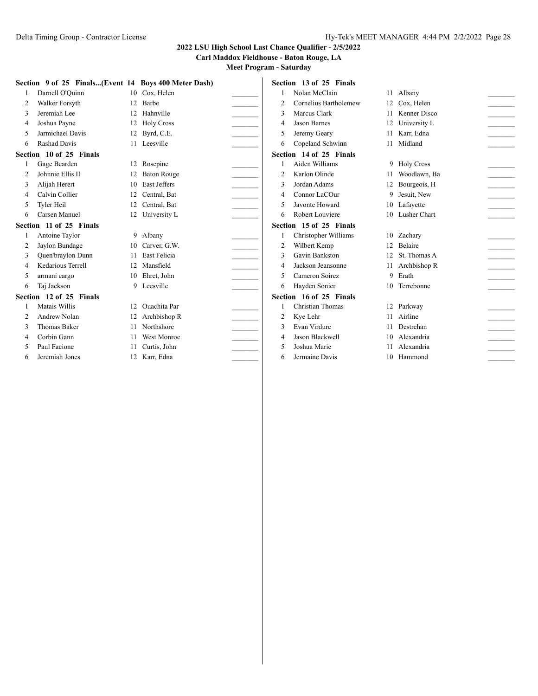**Carl Maddox Fieldhouse - Baton Rouge, LA**

|                | Section 9 of 25 Finals(Event 14 Boys 400 Meter Dash) |                 |                     |                | Section 13 of 25 Finals |     |                 |  |
|----------------|------------------------------------------------------|-----------------|---------------------|----------------|-------------------------|-----|-----------------|--|
|                | Darnell O'Quinn                                      |                 | 10 Cox, Helen       |                | Nolan McClain           |     | 11 Albany       |  |
| $\overline{2}$ | Walker Forsyth                                       | 12              | Barbe               | $\overline{2}$ | Cornelius Bartholemew   | 12  | Cox, Helen      |  |
| 3              | Jeremiah Lee                                         | 12              | Hahnville           | 3              | Marcus Clark            |     | Kenner Disco    |  |
| 4              | Joshua Payne                                         | 12              | <b>Holy Cross</b>   | 4              | <b>Jason Barnes</b>     | 12  | University L    |  |
| 5              | Jarmichael Davis                                     | 12              | Byrd, C.E.          | 5              | Jeremy Geary            | 11  | Karr, Edna      |  |
| 6              | <b>Rashad Davis</b>                                  |                 | Leesville           | 6              | Copeland Schwinn        | 11  | Midland         |  |
|                | Section 10 of 25 Finals                              |                 |                     |                | Section 14 of 25 Finals |     |                 |  |
|                | Gage Bearden                                         | 12              | Rosepine            |                | Aiden Williams          |     | 9 Holy Cross    |  |
| $\mathfrak{D}$ | Johnnie Ellis II                                     | 12              | <b>Baton Rouge</b>  | $\overline{2}$ | Karlon Olinde           |     | Woodlawn, Ba    |  |
| 3              | Alijah Herert                                        | 10              | <b>East Jeffers</b> | 3              | Jordan Adams            | 12  | Bourgeois, H    |  |
| 4              | Calvin Collier                                       |                 | Central, Bat        | 4              | Connor LaCOur           |     | 9 Jesuit, New   |  |
| 5              | Tyler Heil                                           | 12              | Central, Bat        | 5              | Javonte Howard          |     | 10 Lafayette    |  |
| 6              | Carsen Manuel                                        | 12              | University L        | 6              | Robert Louviere         |     | 10 Lusher Chart |  |
|                | Section 11 of 25 Finals                              |                 |                     |                | Section 15 of 25 Finals |     |                 |  |
|                | Antoine Taylor                                       | 9.              | Albany              |                | Christopher Williams    |     | 10 Zachary      |  |
|                | Jaylon Bundage                                       | 10              | Carver, G.W.        | 2              | Wilbert Kemp            | 12  | <b>Belaire</b>  |  |
| 3              | <b>Ouen'braylon Dunn</b>                             | 11              | <b>East Felicia</b> | 3              | Gavin Bankston          | 12. | St. Thomas A    |  |
| 4              | Kedarious Terrell                                    | 12              | Mansfield           | 4              | Jackson Jeansonne       |     | 11 Archbishop R |  |
| 5              | armani cargo                                         | 10              | Ehret, John         | 5              | Cameron Soirez          |     | 9 Erath         |  |
| 6              | Taj Jackson                                          | 9               | Leesville           | 6              | Hayden Sonier           |     | 10 Terrebonne   |  |
|                | Section 12 of 25 Finals                              |                 |                     |                | Section 16 of 25 Finals |     |                 |  |
|                | Matais Willis                                        | 12 <sub>1</sub> | Quachita Par        |                | Christian Thomas        |     | 12 Parkway      |  |
| 2              | Andrew Nolan                                         | 12              | Archbishop R        | 2              | Kye Lehr                | 11  | Airline         |  |
|                | <b>Thomas Baker</b>                                  |                 | Northshore          | 3              | Evan Virdure            |     | Destrehan       |  |
| 4              | Corbin Gann                                          | 11              | <b>West Monroe</b>  | 4              | Jason Blackwell         | 10  | Alexandria      |  |
| 5              | Paul Facione                                         |                 | Curtis, John        | $\overline{2}$ | Joshua Marie            | 11  | Alexandria      |  |
| 6              | Jeremiah Jones                                       | 12              | Karr, Edna          | 6              | Jermaine Davis          |     | 10 Hammond      |  |
|                |                                                      |                 |                     |                |                         |     |                 |  |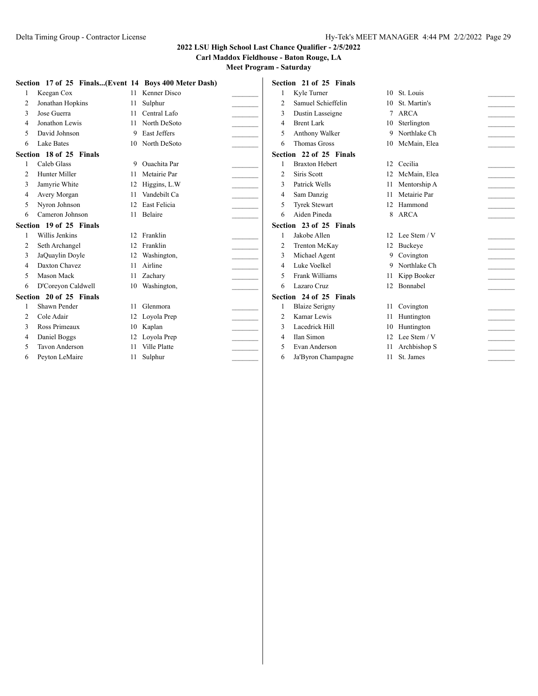**Carl Maddox Fieldhouse - Baton Rouge, LA**

|   | Section 17 of 25 Finals(Event 14 Boys 400 Meter Dash) |    |                     |                | Section 21 of 25 Finals |    |                 |  |
|---|-------------------------------------------------------|----|---------------------|----------------|-------------------------|----|-----------------|--|
|   | Keegan Cox                                            | 11 | Kenner Disco        |                | Kyle Turner             |    | 10 St. Louis    |  |
|   | Jonathan Hopkins                                      | 11 | Sulphur             | 2              | Samuel Schieffelin      | 10 | St. Martin's    |  |
|   | Jose Guerra                                           | 11 | Central Lafo        | 3              | Dustin Lasseigne        |    | 7 ARCA          |  |
|   | Jonathon Lewis                                        | 11 | North DeSoto        | 4              | <b>Brent Lark</b>       |    | 10 Sterlington  |  |
|   | David Johnson                                         | 9  | <b>East Jeffers</b> | 5              | Anthony Walker          |    | 9 Northlake Ch  |  |
| 6 | Lake Bates                                            | 10 | North DeSoto        | 6              | <b>Thomas Gross</b>     |    | 10 McMain, Elea |  |
|   | Section 18 of 25 Finals                               |    |                     |                | Section 22 of 25 Finals |    |                 |  |
|   | Caleb Glass                                           | 9. | Quachita Par        |                | <b>Braxton Hebert</b>   |    | 12 Cecilia      |  |
|   | Hunter Miller                                         | 11 | Metairie Par        | $\overline{2}$ | Siris Scott             | 12 | McMain, Elea    |  |
|   | Jamyrie White                                         | 12 | Higgins, L.W        | 3              | Patrick Wells           |    | Mentorship A    |  |
|   | Avery Morgan                                          |    | Vandebilt Ca        | 4              | Sam Danzig              |    | Metairie Par    |  |
|   | Nyron Johnson                                         | 12 | <b>East Felicia</b> | 5              | <b>Tyrek Stewart</b>    | 12 | Hammond         |  |
| 6 | Cameron Johnson                                       | 11 | Belaire             | 6              | Aiden Pineda            |    | 8 ARCA          |  |
|   | Section 19 of 25 Finals                               |    |                     |                | Section 23 of 25 Finals |    |                 |  |
|   | Willis Jenkins                                        | 12 | Franklin            |                | Jakobe Allen            |    | 12 Lee Stem / V |  |
| 2 | Seth Archangel                                        | 12 | Franklin            | 2              | Trenton McKay           |    | 12 Buckeye      |  |
|   | JaQuaylin Doyle                                       | 12 | Washington,         |                | Michael Agent           |    | 9 Covington     |  |
|   | Daxton Chavez                                         | 11 | Airline             | 4              | Luke Voelkel            | 9  | Northlake Ch    |  |
|   | Mason Mack                                            | 11 | Zachary             | 5              | Frank Williams          |    | 11 Kipp Booker  |  |
| 6 | D'Coreyon Caldwell                                    |    | 10 Washington,      | 6              | Lazaro Cruz             |    | 12 Bonnabel     |  |
|   | Section 20 of 25 Finals                               |    |                     |                | Section 24 of 25 Finals |    |                 |  |
|   | Shawn Pender                                          | 11 | Glenmora            |                | <b>Blaize Serigny</b>   |    | 11 Covington    |  |
|   | Cole Adair                                            | 12 | Loyola Prep         | 2              | Kamar Lewis             |    | 11 Huntington   |  |
|   | Ross Primeaux                                         | 10 | Kaplan              | 3              | Lacedrick Hill          | 10 | Huntington      |  |
|   | Daniel Boggs                                          | 12 | Loyola Prep         | 4              | Ilan Simon              |    | 12 Lee Stem / V |  |
|   | <b>Tavon Anderson</b>                                 |    | Ville Platte        | 5              | Evan Anderson           |    | Archbishop S    |  |
| 6 | Peyton LeMaire                                        | 11 | Sulphur             | 6              | Ja'Byron Champagne      | 11 | St. James       |  |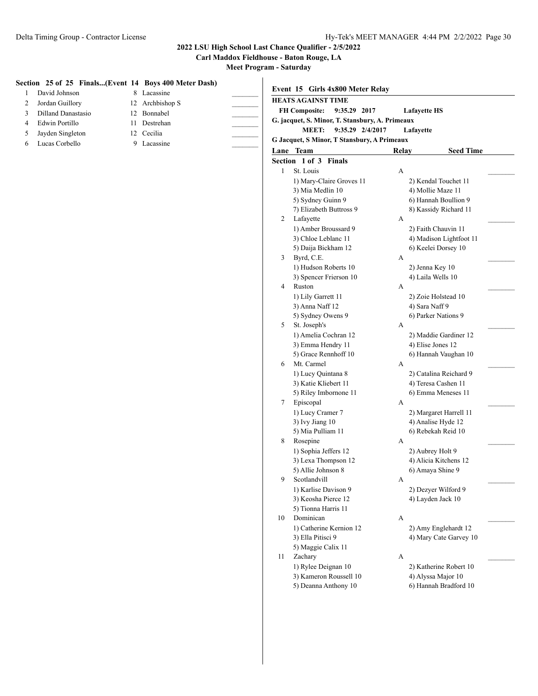**Carl Maddox Fieldhouse - Baton Rouge, LA**

|   | Section 25 of 25 Finals(Event 14 Boys 400 Meter Dash) |    |                 |    | Event 15 Girls 4x800 Meter Relay                |              |                     |                         |  |
|---|-------------------------------------------------------|----|-----------------|----|-------------------------------------------------|--------------|---------------------|-------------------------|--|
|   | David Johnson                                         |    | 8 Lacassine     |    | <b>HEATS AGAINST TIME</b>                       |              |                     |                         |  |
|   | Jordan Guillory                                       |    | 12 Archbishop S |    | <b>FH Composite:</b><br>9:35.29 2017            |              | <b>Lafayette HS</b> |                         |  |
| 3 | Dilland Danastasio                                    | 12 | Bonnabel        |    | G. jacquet, S. Minor, T. Stansbury, A. Primeaux |              |                     |                         |  |
| 4 | Edwin Portillo                                        | 11 | Destrehan       |    | <b>MEET:</b><br>9:35.29 2/4/2017                |              | Lafayette           |                         |  |
| 5 | Jayden Singleton                                      |    | 12 Cecilia      |    | G Jacquet, S Minor, T Stansbury, A Primeaux     |              |                     |                         |  |
| 6 | Lucas Corbello                                        |    | 9 Lacassine     |    | Lane Team                                       | Relay        |                     | <b>Seed Time</b>        |  |
|   |                                                       |    |                 |    | Section 1 of 3 Finals                           |              |                     |                         |  |
|   |                                                       |    |                 | 1  | St. Louis                                       | A            |                     |                         |  |
|   |                                                       |    |                 |    | 1) Mary-Claire Groves 11                        |              |                     | 2) Kendal Touchet 11    |  |
|   |                                                       |    |                 |    | 3) Mia Medlin 10                                |              | 4) Mollie Maze 11   |                         |  |
|   |                                                       |    |                 |    | 5) Sydney Guinn 9                               |              |                     | 6) Hannah Boullion 9    |  |
|   |                                                       |    |                 |    | 7) Elizabeth Buttross 9                         |              |                     | 8) Kassidy Richard 11   |  |
|   |                                                       |    |                 | 2  | Lafayette                                       | A            |                     |                         |  |
|   |                                                       |    |                 |    | 1) Amber Broussard 9                            |              | 2) Faith Chauvin 11 |                         |  |
|   |                                                       |    |                 |    | 3) Chloe Leblanc 11                             |              |                     | 4) Madison Lightfoot 11 |  |
|   |                                                       |    |                 |    | 5) Daija Bickham 12                             |              | 6) Keelei Dorsey 10 |                         |  |
|   |                                                       |    |                 | 3  | Byrd, C.E.                                      | А            |                     |                         |  |
|   |                                                       |    |                 |    | 1) Hudson Roberts 10                            |              | 2) Jenna Key 10     |                         |  |
|   |                                                       |    |                 |    | 3) Spencer Frierson 10                          |              | 4) Laila Wells 10   |                         |  |
|   |                                                       |    |                 | 4  | Ruston                                          | А            |                     |                         |  |
|   |                                                       |    |                 |    | 1) Lily Garrett 11                              |              | 2) Zoie Holstead 10 |                         |  |
|   |                                                       |    |                 |    | 3) Anna Naff 12                                 |              | 4) Sara Naff 9      |                         |  |
|   |                                                       |    |                 | 5  | 5) Sydney Owens 9<br>St. Joseph's               |              | 6) Parker Nations 9 |                         |  |
|   |                                                       |    |                 |    | 1) Amelia Cochran 12                            | А            |                     | 2) Maddie Gardiner 12   |  |
|   |                                                       |    |                 |    | 3) Emma Hendry 11                               |              | 4) Elise Jones 12   |                         |  |
|   |                                                       |    |                 |    | 5) Grace Rennhoff 10                            |              |                     | 6) Hannah Vaughan 10    |  |
|   |                                                       |    |                 | 6  | Mt. Carmel                                      | А            |                     |                         |  |
|   |                                                       |    |                 |    | 1) Lucy Quintana 8                              |              |                     | 2) Catalina Reichard 9  |  |
|   |                                                       |    |                 |    | 3) Katie Kliebert 11                            |              | 4) Teresa Cashen 11 |                         |  |
|   |                                                       |    |                 |    | 5) Riley Imbornone 11                           |              |                     | 6) Emma Meneses 11      |  |
|   |                                                       |    |                 | 7  | Episcopal                                       | А            |                     |                         |  |
|   |                                                       |    |                 |    | 1) Lucy Cramer 7                                |              |                     | 2) Margaret Harrell 11  |  |
|   |                                                       |    |                 |    | 3) Ivy Jiang 10                                 |              | 4) Analise Hyde 12  |                         |  |
|   |                                                       |    |                 |    | 5) Mia Pulliam 11                               |              | 6) Rebekah Reid 10  |                         |  |
|   |                                                       |    |                 | 8  | Rosepine<br>1) Sophia Jeffers 12                | A            |                     |                         |  |
|   |                                                       |    |                 |    | 3) Lexa Thompson 12                             |              | 2) Aubrey Holt 9    | 4) Alicia Kitchens 12   |  |
|   |                                                       |    |                 |    | 5) Allie Johnson 8                              |              | 6) Amaya Shine 9    |                         |  |
|   |                                                       |    |                 | 9  | Scotlandvill                                    | A            |                     |                         |  |
|   |                                                       |    |                 |    | 1) Karlise Davison 9                            |              | 2) Dezyer Wilford 9 |                         |  |
|   |                                                       |    |                 |    | 3) Keosha Pierce 12                             |              | 4) Layden Jack 10   |                         |  |
|   |                                                       |    |                 |    | 5) Tionna Harris 11                             |              |                     |                         |  |
|   |                                                       |    |                 | 10 | Dominican                                       | $\mathbf{A}$ |                     |                         |  |
|   |                                                       |    |                 |    | 1) Catherine Kernion 12                         |              |                     | 2) Amy Englehardt 12    |  |
|   |                                                       |    |                 |    | 3) Ella Pitisci 9                               |              |                     | 4) Mary Cate Garvey 10  |  |
|   |                                                       |    |                 |    | 5) Maggie Calix 11                              |              |                     |                         |  |
|   |                                                       |    |                 | 11 | Zachary                                         | A            |                     |                         |  |
|   |                                                       |    |                 |    | 1) Rylee Deignan 10<br>3) Kameron Roussell 10   |              |                     | 2) Katherine Robert 10  |  |
|   |                                                       |    |                 |    | 5) Deanna Anthony 10                            |              | 4) Alyssa Major 10  | 6) Hannah Bradford 10   |  |
|   |                                                       |    |                 |    |                                                 |              |                     |                         |  |
|   |                                                       |    |                 |    |                                                 |              |                     |                         |  |
|   |                                                       |    |                 |    |                                                 |              |                     |                         |  |
|   |                                                       |    |                 |    |                                                 |              |                     |                         |  |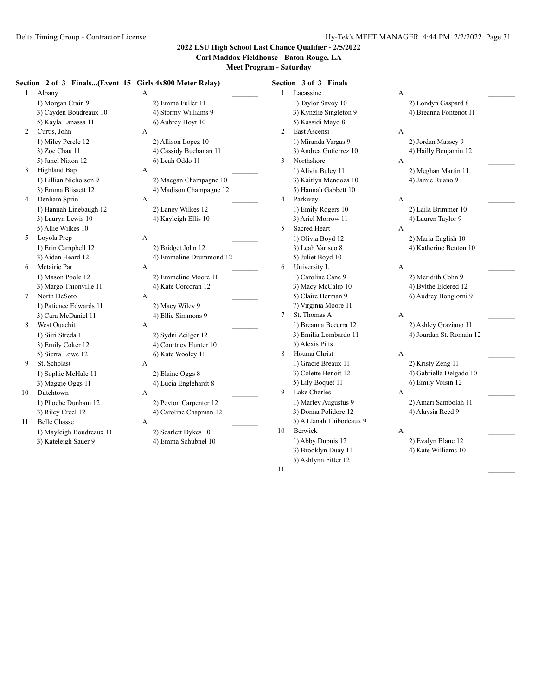### **Carl Maddox Fieldhouse - Baton Rouge, LA**

**Meet Program - Saturday**

#### **Section 2 of 3 Finals...(Event 15 Girls 4x800 Meter Relay)**

| non 2 of 3 Finals(Event 1 |  |
|---------------------------|--|
| Albany                    |  |
| 1) Morgan Crain 9         |  |
| 3) Cayden Boudreaux 10    |  |
| 5) Kayla Lanassa 11       |  |
| Curtis, John              |  |
| 1) Miley Percle 12        |  |
| 3) Zoe Chau 11            |  |
| 5) Janel Nixon 12         |  |
| <b>Highland Bap</b>       |  |
| 1) Lillian Nicholson 9    |  |
| 3) Emma Blissett 12       |  |
| Denham Sprin              |  |
| 1) Hannah Linebaugh 12    |  |
| 3) Lauryn Lewis 10        |  |
| 5) Allie Wilkes 10        |  |
| Loyola Prep               |  |
| 1) Erin Campbell 12       |  |
| 3) Aidan Heard 12         |  |
| Metairie Par              |  |
| 1) Mason Poole 12         |  |
| 3) Margo Thionville 11    |  |
| North DeSoto              |  |
| 1) Patience Edwards 11    |  |
| 3) Cara McDaniel 11       |  |
| West Ouachit              |  |
| 1) Siiri Streda 11        |  |
| 3) Emily Coker 12         |  |
| 5) Sierra Lowe 12         |  |
| St. Scholast              |  |
| 1) Sophie McHale 11       |  |
| 3) Maggie Oggs 11         |  |
| Dutchtown                 |  |
| 1) Phoebe Dunham 12       |  |
|                           |  |

11 Belle Chasse A 1) Mayleigh Boudreaux 11 2) Scarlett Dykes 10 3) Kateleigh Sauer 9 4) Emma Schubnel 10

1 Albany A \_\_\_\_\_\_\_\_\_ 2) Emma Fuller 11 4) Stormy Williams 9 6) Aubrey Hoyt 10 2 Curtis, John A \_\_\_\_\_\_\_\_\_ 2) Allison Lopez 10 4) Cassidy Buchanan 11 6) Leah Oddo 11 3 Highland Bap A \_\_\_\_\_\_\_\_\_ 2) Maegan Champagne 10 4) Madison Champagne 12 4 Denham Sprin A \_\_\_\_\_\_\_\_\_ 2) Laney Wilkes 12 4) Kayleigh Ellis 10 5 Loyola Prep A \_\_\_\_\_\_\_\_\_ 2) Bridget John 12 4) Emmaline Drummond 12 6 Metairie Par A \_\_\_\_\_\_\_\_\_ 2) Emmeline Moore 11 4) Kate Corcoran 12 7 North DeSoto A \_\_\_\_\_\_\_\_\_ 2) Macy Wiley 9 4) Ellie Simmons 9 8 West Ouachit A \_\_\_\_\_\_\_\_\_ 2) Sydni Zeilger 12 4) Courtney Hunter 10 6) Kate Wooley 11 9 St. Scholast A \_\_\_\_\_\_\_\_\_ 2) Elaine Oggs 8 4) Lucia Englehardt 8 10 Dutchtown A \_\_\_\_\_\_\_\_\_ 2) Peyton Carpenter 12 3) Riley Creel 12 4) Caroline Chapman 12

**Section 3 of 3 Finals** 1 Lacassine A \_\_\_\_\_\_\_\_\_ 1) Taylor Savoy 10 2) Londyn Gaspard 8 3) Kynzlie Singleton 9 4) Breanna Fontenot 11 5) Kassidi Mayo 8 2 East Ascensi A \_\_\_\_\_\_\_\_\_ 1) Miranda Vargas 9 2) Jordan Massey 9 3) Andrea Gutierrez 10 4) Hailly Benjamin 12 3 Northshore A 1) Alivia Buley 11 2) Meghan Martin 11 3) Kaitlyn Mendoza 10 4) Jamie Ruano 9 5) Hannah Gabbett 10 4 Parkway A 1) Emily Rogers 10 2) Laila Brimmer 10 3) Ariel Morrow 11 4) Lauren Taylor 9 5 Sacred Heart A 1) Olivia Boyd 12 2) Maria English 10 3) Leah Varisco 8 4) Katherine Benton 10 5) Juliet Boyd 10 6 University L A \_\_\_\_\_\_\_\_\_ 1) Caroline Cane 9 2) Meridith Cohn 9 3) Macy McCalip 10 4) Bylthe Eldered 12 5) Claire Herman 9 6) Audrey Bongiorni 9 7) Virginia Moore 11 7 St. Thomas A  $A$ 1) Breanna Becerra 12 2) Ashley Graziano 11 3) Emilia Lombardo 11 4) Jourdan St. Romain 12 5) Alexis Pitts 8 Houma Christ A \_\_\_\_\_\_\_\_\_ 1) Gracie Breaux 11 2) Kristy Zeng 11 3) Colette Benoit 12 4) Gabriella Delgado 10 5) Lily Boquet 11 6) Emily Voisin 12 9 Lake Charles A 1) Marley Augustus 9 2) Amari Sambolah 11 3) Donna Polidore 12 4) Alaysia Reed 9 5) A'Llanah Thibodeaux 9 10 Berwick A \_\_\_\_\_\_\_\_\_ 1) Abby Dupuis 12 2) Evalyn Blanc 12 3) Brooklyn Duay 11 4) Kate Williams 10 5) Ashlynn Fitter 12

 $11$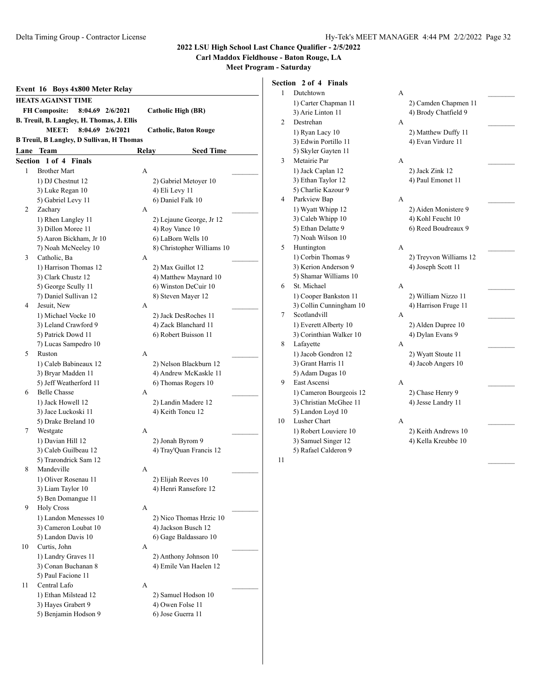#### **Carl Maddox Fieldhouse - Baton Rouge, LA**

**Meet Program - Saturday**

|    | Event 16 Boys 4x800 Meter Relay                  |       |                              |  |
|----|--------------------------------------------------|-------|------------------------------|--|
|    | HEATS AGAINST TIME                               |       |                              |  |
|    | <b>FH Composite:</b><br>8:04.69 2/6/2021         |       | Catholic High (BR)           |  |
|    | B. Treuil, B. Langley, H. Thomas, J. Ellis       |       |                              |  |
|    | <b>MEET:</b><br>8:04.69 2/6/2021                 |       | <b>Catholic, Baton Rouge</b> |  |
|    | <b>B Treuil, B Langley, D Sullivan, H Thomas</b> |       |                              |  |
|    | <b>Lane Team</b>                                 | Relay | <b>Seed Time</b>             |  |
|    | <b>Section 1 of 4 Finals</b>                     |       |                              |  |
| 1  | <b>Brother Mart</b>                              | A     |                              |  |
|    | 1) DJ Chestnut 12                                |       | 2) Gabriel Metoyer 10        |  |
|    | 3) Luke Regan 10                                 |       | 4) Eli Levy 11               |  |
|    | 5) Gabriel Levy 11                               |       | 6) Daniel Falk 10            |  |
| 2  | Zachary                                          | A     |                              |  |
|    | 1) Rhen Langley 11                               |       | 2) Lejaune George, Jr 12     |  |
|    | 3) Dillon Moree 11                               |       | 4) Roy Vance 10              |  |
|    | 5) Aaron Bickham, Jr 10                          |       | 6) LaBorn Wells 10           |  |
|    | 7) Noah McNeeley 10                              |       | 8) Christopher Williams 10   |  |
| 3  | Catholic, Ba                                     | А     |                              |  |
|    | 1) Harrison Thomas 12                            |       | 2) Max Guillot 12            |  |
|    | 3) Clark Chustz 12                               |       | 4) Matthew Maynard 10        |  |
|    | 5) George Scully 11                              |       | 6) Winston DeCuir 10         |  |
|    | 7) Daniel Sullivan 12                            |       | 8) Steven Mayer 12           |  |
| 4  | Jesuit, New                                      | A     |                              |  |
|    | 1) Michael Vocke 10                              |       | 2) Jack DesRoches 11         |  |
|    | 3) Leland Crawford 9                             |       | 4) Zack Blanchard 11         |  |
|    | 5) Patrick Dowd 11                               |       | 6) Robert Buisson 11         |  |
|    | 7) Lucas Sampedro 10                             |       |                              |  |
| 5  | Ruston                                           | A     |                              |  |
|    | 1) Caleb Babineaux 12                            |       | 2) Nelson Blackburn 12       |  |
|    | 3) Bryar Madden 11                               |       | 4) Andrew McKaskle 11        |  |
|    | 5) Jeff Weatherford 11                           |       | 6) Thomas Rogers 10          |  |
| 6  | <b>Belle Chasse</b>                              | A     |                              |  |
|    | 1) Jack Howell 12                                |       | 2) Landin Madere 12          |  |
|    | 3) Jace Luckoski 11                              |       | 4) Keith Toncu 12            |  |
|    | 5) Drake Breland 10                              |       |                              |  |
| 7  | Westgate                                         | A     |                              |  |
|    | 1) Davian Hill 12                                |       | 2) Jonah Byrom 9             |  |
|    | 3) Caleb Guilbeau 12                             |       | 4) Tray'Quan Francis 12      |  |
|    | 5) Trarondrick Sam 12                            |       |                              |  |
| 8  | Mandeville                                       | Α     |                              |  |
|    | 1) Oliver Rosenau 11                             |       | 2) Elijah Reeves 10          |  |
|    | 3) Liam Taylor 10                                |       | 4) Henri Ransefore 12        |  |
|    | 5) Ben Domangue 11                               |       |                              |  |
| 9  | <b>Holy Cross</b>                                | A     |                              |  |
|    | 1) Landon Menesses 10                            |       | 2) Nico Thomas Hrzic 10      |  |
|    | 3) Cameron Loubat 10                             |       | 4) Jackson Busch 12          |  |
|    | 5) Landon Davis 10                               |       | 6) Gage Baldassaro 10        |  |
| 10 | Curtis, John                                     | А     |                              |  |
|    | 1) Landry Graves 11                              |       | 2) Anthony Johnson 10        |  |
|    | 3) Conan Buchanan 8                              |       | 4) Emile Van Haelen 12       |  |
|    | 5) Paul Facione 11                               |       |                              |  |
| 11 | Central Lafo                                     | А     |                              |  |
|    | 1) Ethan Milstead 12                             |       | 2) Samuel Hodson 10          |  |
|    | 3) Hayes Grabert 9                               |       | 4) Owen Folse 11             |  |
|    | 5) Benjamin Hodson 9                             |       | 6) Jose Guerra 11            |  |

|                | Section 2 of 4 Finals   |   |                        |  |
|----------------|-------------------------|---|------------------------|--|
| 1              | Dutchtown               | A |                        |  |
|                | 1) Carter Chapman 11    |   | 2) Camden Chapmen 11   |  |
|                | 3) Arie Linton 11       |   | 4) Brody Chatfield 9   |  |
| $\overline{2}$ | Destrehan               | A |                        |  |
|                | 1) Ryan Lacy 10         |   | 2) Matthew Duffy 11    |  |
|                | 3) Edwin Portillo 11    |   | 4) Evan Virdure 11     |  |
|                | 5) Skyler Gayten 11     |   |                        |  |
| 3              | Metairie Par            | A |                        |  |
|                | 1) Jack Caplan 12       |   | 2) Jack Zink 12        |  |
|                | 3) Ethan Taylor 12      |   | 4) Paul Emonet 11      |  |
|                | 5) Charlie Kazour 9     |   |                        |  |
| 4              | Parkview Bap            | A |                        |  |
|                | 1) Wyatt Whipp 12       |   | 2) Aiden Monistere 9   |  |
|                | 3) Caleb Whipp 10       |   | 4) Kohl Feucht 10      |  |
|                | 5) Ethan Delatte 9      |   | 6) Reed Boudreaux 9    |  |
|                | 7) Noah Wilson 10       |   |                        |  |
| 5              | Huntington              | A |                        |  |
|                | 1) Corbin Thomas 9      |   | 2) Treyvon Williams 12 |  |
|                | 3) Kerion Anderson 9    |   | 4) Joseph Scott 11     |  |
|                | 5) Shamar Williams 10   |   |                        |  |
| 6              | St. Michael             | A |                        |  |
|                | 1) Cooper Bankston 11   |   | 2) William Nizzo 11    |  |
|                | 3) Collin Cunningham 10 |   | 4) Harrison Fruge 11   |  |
| 7              | Scotlandvill            | A |                        |  |
|                | 1) Everett Alberty 10   |   | 2) Alden Dupree 10     |  |
|                | 3) Corinthian Walker 10 |   | 4) Dylan Evans 9       |  |
| 8              | Lafayette               | A |                        |  |
|                | 1) Jacob Gondron 12     |   | 2) Wyatt Stoute 11     |  |

- 3) Grant Harris 11 4) Jacob Angers 10 5) Adam Dugas 10 9 East Ascensi A \_\_\_\_\_\_\_\_\_ 1) Cameron Bourgeois 12 2) Chase Henry 9 3) Christian McGhee 11 4) Jesse Landry 11
- 5) Landon Loyd 10 10 Lusher Chart A 1) Robert Louviere 10 2) Keith Andrews 10 3) Samuel Singer 12 4) Kella Kreubbe 10 5) Rafael Calderon 9

 $11$ 

2) Camden Chapmen 11 4) Brody Chatfield 9 2) Matthew Duffy 11 4) Evan Virdure 11 2) Jack Zink 12 4) Paul Emonet 11 2) Aiden Monistere 9 4) Kohl Feucht 10 6) Reed Boudreaux 9 2) Treyvon Williams 12 4) Joseph Scott 11 2) William Nizzo 11 4) Harrison Fruge 11 2) Alden Dupree 10 4) Dylan Evans 9 2) Wyatt Stoute 11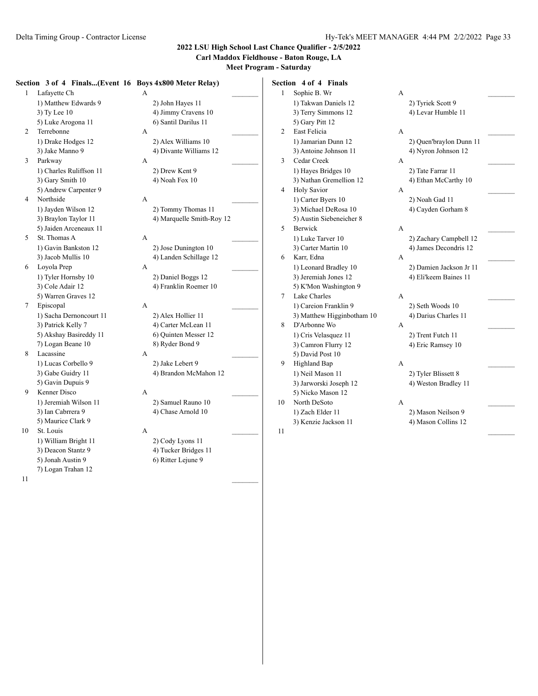**Carl Maddox Fieldhouse - Baton Rouge, LA**

**Meet Program - Saturday**

#### **Section 3 of 4 Finals...(Event 16 Boys 4x800 Meter Relay)**

1 Lafayette Ch A 1) Matthew Edwards 9 2) John Hayes 11  $3)$  Ty Lee 10  $\hspace{1cm}$  4) Jimmy Cravens 10 5) Luke Arogona 11 6) Santil Darilus 11 2 Terrebonne A 1) Drake Hodges 12 2) Alex Williams 10 3 Parkway A 1) Charles Ruliffson 11 2) Drew Kent 9 3) Gary Smith 10 4) Noah Fox 10 5) Andrew Carpenter 9 4 Northside A \_\_\_\_\_\_\_\_\_

1) Jayden Wilson 12 2) Tommy Thomas 11 5) Jaiden Arceneaux 11 5 St. Thomas A  $A$ 1) Gavin Bankston 12 2) Jose Dunington 10

6 Loyola Prep A \_\_\_\_\_\_\_\_\_ 5) Warren Graves 12

7 Episcopal A 1) Sacha Dernoncourt 11 2) Alex Hollier 11 3) Patrick Kelly 7 4) Carter McLean 11 5) Akshay Basireddy 11 6) Quinten Messer 12 7) Logan Beane 10 8) Ryder Bond 9 8 Lacassine A

1) Lucas Corbello 9 2) Jake Lebert 9 5) Gavin Dupuis 9

9 Kenner Disco A \_\_\_\_\_\_\_\_\_ 1) Jeremiah Wilson 11 2) Samuel Rauno 10<br>3) Ian Cabrrera 9 4) Chase Arnold 10 5) Maurice Clark 9

10 St. Louis A

7) Logan Trahan 12

 $11$   $\overline{\phantom{a}}$ 

3) Jake Manno 9 4) Divante Williams 12

3) Braylon Taylor 11 4) Marquelle Smith-Roy 12

3) Jacob Mullis 10 4) Landen Schillage 12

1) Tyler Hornsby 10 2) Daniel Boggs 12 3) Cole Adair 12 4) Franklin Roemer 10

3) Gabe Guidry 11 4) Brandon McMahon 12

4) Chase Arnold 10

1) William Bright 11 2) Cody Lyons 11 3) Deacon Stantz 9 4) Tucker Bridges 11 5) Jonah Austin 9 6) Ritter Lejune 9

**Section 4 of 4 Finals** 1 Sophie B. Wr A 1) Takwan Daniels 12 2) Tyriek Scott 9 3) Terry Simmons 12 4) Levar Humble 11 5) Gary Pitt 12 2 East Felicia A 1) Jamarian Dunn 12 2) Quen'braylon Dunn 11 3) Antoine Johnson 11 4) Nyron Johnson 12 3 Cedar Creek A \_\_\_\_\_\_\_\_\_ 1) Hayes Bridges 10 2) Tate Farrar 11 3) Nathan Gremellion 12 4) Ethan McCarthy 10 4 Holy Savior A \_\_\_\_\_\_\_\_\_ 1) Carter Byers 10 2) Noah Gad 11 3) Michael DeRosa 10 4) Cayden Gorham 8 5) Austin Siebeneicher 8 5 Berwick A 1) Luke Tarver 10 2) Zachary Campbell 12 3) Carter Martin 10 4) James Decondris 12 6 Karr, Edna A \_\_\_\_\_\_\_\_\_ 1) Leonard Bradley 10 2) Damien Jackson Jr 11 3) Jeremiah Jones 12 4) Eli'keem Baines 11 5) K'Mon Washington 9 7 Lake Charles A 1) Careion Franklin 9 2) Seth Woods 10 3) Matthew Higginbotham 10 4) Darius Charles 11 8 D'Arbonne Wo A \_\_\_\_\_\_\_\_\_ 1) Cris Velasquez 11 2) Trent Futch 11 3) Camron Flurry 12 4) Eric Ramsey 10 5) David Post 10 9 Highland Bap A 1) Neil Mason 11 2) Tyler Blissett 8 3) Jarworski Joseph 12 4) Weston Bradley 11 5) Nicko Mason 12 10 North DeSoto A 1) Zach Elder 11 2) Mason Neilson 9 3) Kenzie Jackson 11 4) Mason Collins 12  $11$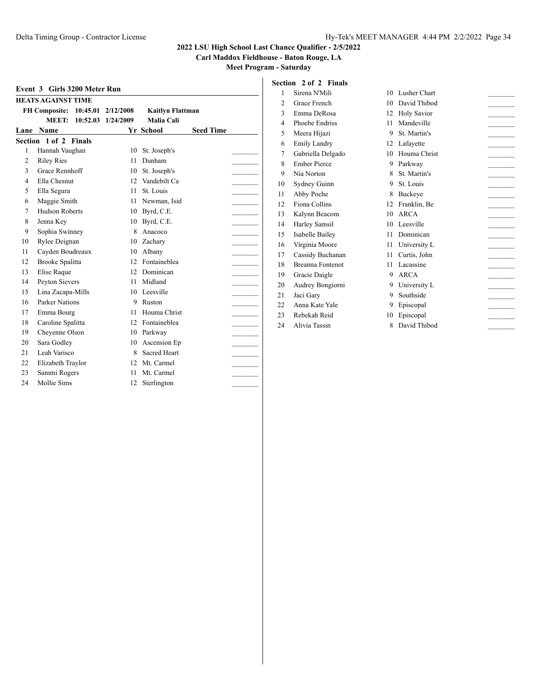**Carl Maddox Fieldhouse - Baton Rouge, LA**

**Meet Program - Saturday**

|                | <b>HEATS AGAINST TIME</b> |          |           |                         |                  |
|----------------|---------------------------|----------|-----------|-------------------------|------------------|
|                | <b>FH Composite:</b>      | 10:45.01 | 2/12/2008 | <b>Kaitlyn Flattman</b> |                  |
|                | MEET:                     | 10:52.03 | 1/24/2009 | Malia Cali              |                  |
| Lane           | Name                      |          |           | Yr School               | <b>Seed Time</b> |
|                | Section 1 of 2 Finals     |          |           |                         |                  |
| 1              | Hannah Vaughan            |          | 10        | St. Joseph's            |                  |
| $\overline{c}$ | <b>Riley Ries</b>         |          | 11        | Dunham                  |                  |
| 3              | Grace Rennhoff            |          | $10-10$   | St. Joseph's            |                  |
| 4              | Ella Chesnut              |          | 12        | Vandebilt Ca            |                  |
| 5              | Ella Segura               |          | 11        | St. Louis               |                  |
| 6              | Maggie Smith              |          | 11        | Newman, Isid            |                  |
| 7              | <b>Hudson Roberts</b>     |          | 10        | Byrd, C.E.              |                  |
| 8              | Jenna Key                 |          | 10        | Byrd, C.E.              |                  |
| 9              | Sophia Swinney            |          | 8         | Anacoco                 |                  |
| 10             | Rylee Deignan             |          |           | 10 Zachary              |                  |
| 11             | Cayden Boudreaux          |          | 10        | Albany                  |                  |
| 12             | Brooke Spalitta           |          | 12        | Fontaineblea            |                  |
| 13             | Elise Raque               |          | 12        | Dominican               |                  |
| 14             | Peyton Sievers            |          | 11        | Midland                 |                  |
| 15             | Lina Zacapa-Mills         |          | 10        | Leesville               |                  |
| 16             | Parker Nations            |          | 9         | Ruston                  |                  |
| 17             | Emma Bourg                |          | 11        | Houma Christ            |                  |
| 18             | Caroline Spalitta         |          | 12        | Fontaineblea            |                  |
| 19             | Cheyenne Olson            |          |           | 10 Parkway              |                  |
| 20             | Sara Godley               |          | 10        | Ascension Ep            |                  |
| 21             | Leah Varisco              |          | 8         | <b>Sacred Heart</b>     |                  |
| 22             | Elizabeth Traylor         |          | 12        | Mt. Carmel              |                  |
| 23             | Sammi Rogers              |          | 11        | Mt. Carmel              |                  |
| 24             | Mollie Sims               |          | 12        | Sterlington             |                  |
|                |                           |          |           |                         |                  |

## **Section 2 of 2 Finals**

| 1                | Sirena N'Mili                                                                                                                                                                                                                                                                                                                                     | 10       | Lusher Chart       |  |
|------------------|---------------------------------------------------------------------------------------------------------------------------------------------------------------------------------------------------------------------------------------------------------------------------------------------------------------------------------------------------|----------|--------------------|--|
| $\overline{2}$   | Grace French                                                                                                                                                                                                                                                                                                                                      | 10       | David Thibod       |  |
| 3                | Emma DeRosa                                                                                                                                                                                                                                                                                                                                       | 12       | <b>Holy Savior</b> |  |
| $\overline{4}$   | Phoebe Endriss                                                                                                                                                                                                                                                                                                                                    | 11       | Mandeville         |  |
| 5                | Meera Hijazi                                                                                                                                                                                                                                                                                                                                      | 9        | St. Martin's       |  |
| 6                | <b>Emily Landry</b>                                                                                                                                                                                                                                                                                                                               | 12       | Lafayette          |  |
| 7                | Gabriella Delgado                                                                                                                                                                                                                                                                                                                                 | 10       | Houma Christ       |  |
| 8                | <b>Ember Pierce</b>                                                                                                                                                                                                                                                                                                                               | 9        | Parkway            |  |
| 9                | Nia Norton                                                                                                                                                                                                                                                                                                                                        | 8        | St. Martin's       |  |
| 10               | Sydney Guinn                                                                                                                                                                                                                                                                                                                                      | 9        | St. Louis          |  |
| 11               | Abby Poche                                                                                                                                                                                                                                                                                                                                        | 8        | Buckeye            |  |
| 12               | Fiona Collins                                                                                                                                                                                                                                                                                                                                     | 12       | Franklin, Be       |  |
| 13               | Kalynn Beacom                                                                                                                                                                                                                                                                                                                                     | 10       | ARCA               |  |
| 14               | Harley Samsil                                                                                                                                                                                                                                                                                                                                     | 10       | Leesville          |  |
| 15               | Isabelle Bailey                                                                                                                                                                                                                                                                                                                                   | 11       | Dominican          |  |
| 16               | Virginia Moore                                                                                                                                                                                                                                                                                                                                    | 11       | University L       |  |
| 17               | Cassidy Buchanan                                                                                                                                                                                                                                                                                                                                  | 11       | Curtis, John       |  |
| 18               | <b>Breanna Fontenot</b>                                                                                                                                                                                                                                                                                                                           | 11       | Lacassine          |  |
| 19               | Gracie Daigle                                                                                                                                                                                                                                                                                                                                     | 9        | <b>ARCA</b>        |  |
| 20               | Audrey Bongiorni                                                                                                                                                                                                                                                                                                                                  | 9        | University L       |  |
| 21               | Jaci Gary                                                                                                                                                                                                                                                                                                                                         | 9        | Southside          |  |
| 22.              | Anna Kate Yale                                                                                                                                                                                                                                                                                                                                    | 9        | Episcopal          |  |
| 23               | Rebekah Reid                                                                                                                                                                                                                                                                                                                                      | 10       | Episcopal          |  |
| $\sim$ $\lambda$ | $\lambda$ 12 $\lambda$ 2007 $\lambda$ 2007 $\lambda$ 2007 $\lambda$ 2007 $\lambda$ 2007 $\lambda$ 2007 $\lambda$ 2007 $\lambda$ 2007 $\lambda$ 2007 $\lambda$ 2007 $\lambda$ 2007 $\lambda$ 2007 $\lambda$ 2007 $\lambda$ 2007 $\lambda$ 2007 $\lambda$ 2007 $\lambda$ 2007 $\lambda$ 2007 $\lambda$ 2007 $\lambda$ 2007 $\lambda$ 2007 $\lambda$ | $\Omega$ | $T = 1.7111111$    |  |

24 Alivia Tassin 8 David Thibod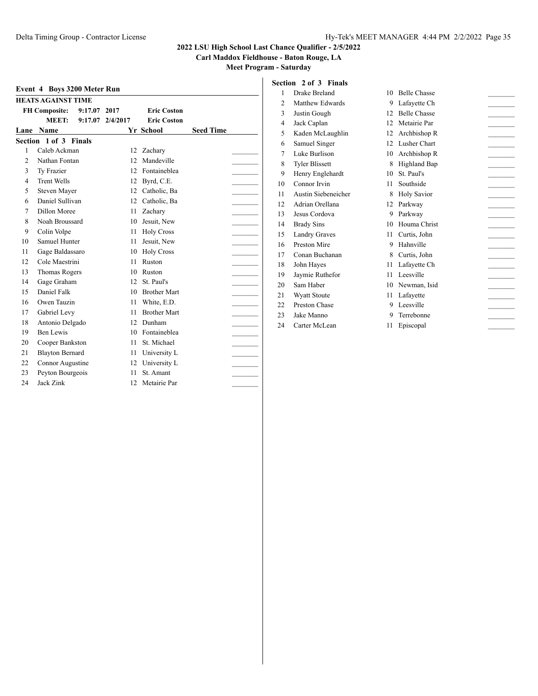**Carl Maddox Fieldhouse - Baton Rouge, LA**

**Meet Program - Saturday**

|                | <b>HEATS AGAINST TIME</b> |         |          |                     |                  |  |
|----------------|---------------------------|---------|----------|---------------------|------------------|--|
|                | <b>FH Composite:</b>      | 9:17.07 | 2017     | <b>Eric Coston</b>  |                  |  |
|                | MEET:                     | 9:17.07 | 2/4/2017 | <b>Eric Coston</b>  |                  |  |
| Lane           | <b>Name</b>               |         |          | Yr School           | <b>Seed Time</b> |  |
|                | Section 1 of 3 Finals     |         |          |                     |                  |  |
| 1              | Caleb Ackman              |         | 12       | Zachary             |                  |  |
| $\overline{c}$ | Nathan Fontan             |         | 12       | Mandeville          |                  |  |
| 3              | Ty Frazier                |         | 12       | Fontaineblea        |                  |  |
| 4              | <b>Trent Wells</b>        |         | 12       | Byrd, C.E.          |                  |  |
| 5              | Steven Mayer              |         | 12       | Catholic, Ba        |                  |  |
| 6              | Daniel Sullivan           |         | 12       | Catholic, Ba        |                  |  |
| 7              | Dillon Moree              |         | 11       | Zachary             |                  |  |
| 8              | Noah Broussard            |         | 10       | Jesuit, New         |                  |  |
| 9              | Colin Volpe               |         | 11       | <b>Holy Cross</b>   |                  |  |
| 10             | Samuel Hunter             |         | 11.      | Jesuit, New         |                  |  |
| 11             | Gage Baldassaro           |         | 10       | <b>Holy Cross</b>   |                  |  |
| 12             | Cole Maestrini            |         | 11       | Ruston              |                  |  |
| 13             | <b>Thomas Rogers</b>      |         | 10       | Ruston              |                  |  |
| 14             | Gage Graham               |         | 12       | St. Paul's          |                  |  |
| 15             | Daniel Falk               |         | 10       | <b>Brother Mart</b> |                  |  |
| 16             | Owen Tauzin               |         | 11       | White, E.D.         |                  |  |
| 17             | Gabriel Levy              |         | 11       | <b>Brother Mart</b> |                  |  |
| 18             | Antonio Delgado           |         | 12       | Dunham              |                  |  |
| 19             | Ben Lewis                 |         | 10       | Fontaineblea        |                  |  |
| 20             | Cooper Bankston           |         | 11       | St. Michael         |                  |  |
| 21             | <b>Blayton Bernard</b>    |         | 11       | University L        |                  |  |
| 22             | Connor Augustine          |         | 12       | University L        |                  |  |
| 23             | Peyton Bourgeois          |         | 11       | St. Amant           |                  |  |
| 24             | Jack Zink                 |         | 12       | Metairie Par        |                  |  |
|                |                           |         |          |                     |                  |  |

|  |  | <b>Section 2 of 3 Finals</b> |  |
|--|--|------------------------------|--|
|  |  |                              |  |

| 1  | Drake Breland         | 10 | <b>Belle Chasse</b> |  |
|----|-----------------------|----|---------------------|--|
| 2  | Matthew Edwards       | 9  | Lafayette Ch        |  |
| 3  | Justin Gough          | 12 | <b>Belle Chasse</b> |  |
| 4  | Jack Caplan           | 12 | Metairie Par        |  |
| 5  | Kaden McLaughlin      | 12 | Archbishop R        |  |
| 6  | Samuel Singer         | 12 | Lusher Chart        |  |
| 7  | Luke Burlison         | 10 | Archbishop R        |  |
| 8  | <b>Tyler Blissett</b> | 8  | Highland Bap        |  |
| 9  | Henry Englehardt      | 10 | St. Paul's          |  |
| 10 | Connor Irvin          | 11 | Southside           |  |
| 11 | Austin Siebeneicher   | 8  | <b>Holy Savior</b>  |  |
| 12 | Adrian Orellana       | 12 | Parkway             |  |
| 13 | Jesus Cordova         | 9  | Parkway             |  |
| 14 | <b>Brady Sins</b>     | 10 | Houma Christ        |  |
| 15 | <b>Landry Graves</b>  | 11 | Curtis, John        |  |
| 16 | Preston Mire          | 9  | Hahnville           |  |
| 17 | Conan Buchanan        | 8  | Curtis, John        |  |
| 18 | John Hayes            | 11 | Lafayette Ch        |  |
| 19 | Jaymie Ruthefor       | 11 | Leesville           |  |
| 20 | Sam Haber             | 10 | Newman, Isid        |  |
| 21 | <b>Wyatt Stoute</b>   | 11 | Lafayette           |  |
| 22 | Preston Chase         | 9  | Leesville           |  |
| 23 | Jake Manno            | 9  | Terrebonne          |  |

24 Carter McLean 11 Episcopal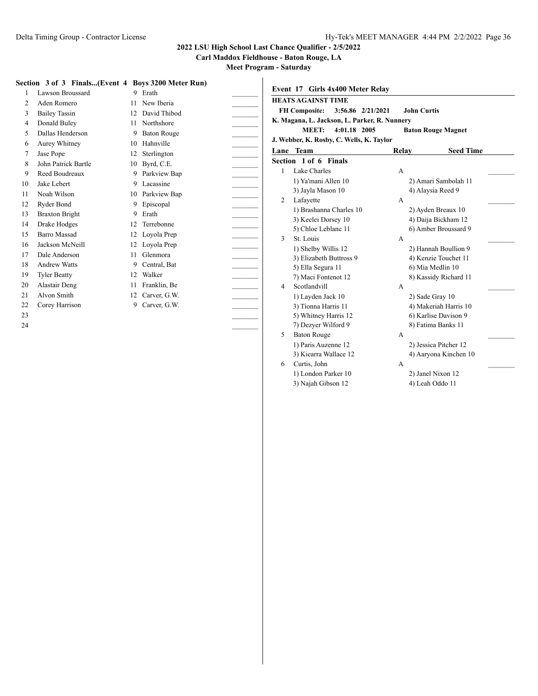**Carl Maddox Fieldhouse - Baton Rouge, LA**

|                | Section 3 of 3 Finals(Event 4 Boys 3200 Meter Run) |    |                    |              |
|----------------|----------------------------------------------------|----|--------------------|--------------|
| 1              | Lawson Broussard                                   | 9  | Erath              | Eve          |
| $\overline{c}$ | Aden Romero                                        | 11 | New Iberia         | HE.          |
| 3              | <b>Bailey Tassin</b>                               | 12 | David Thibod       | $\mathbf{F}$ |
| $\overline{4}$ | Donald Buley                                       | 11 | Northshore         | K. N         |
| 5              | Dallas Henderson                                   | 9  | <b>Baton Rouge</b> |              |
| 6              | Aurey Whitney                                      | 10 | Hahnville          | J.W          |
| 7              | Jase Pope                                          | 12 | Sterlington        | Lan          |
| 8              | John Patrick Bartle                                | 10 | Byrd, C.E.         | Sec          |
| 9              | Reed Boudreaux                                     | 9  | Parkview Bap       | 1            |
| 10             | Jake Lebert                                        | 9  | Lacassine          |              |
| 11             | Noah Wilson                                        | 10 | Parkview Bap       |              |
| 12             | Ryder Bond                                         | 9  | Episcopal          | 2            |
| 13             | <b>Braxton Bright</b>                              | 9  | Erath              |              |
| 14             | Drake Hodges                                       | 12 | Terrebonne         |              |
| 15             | <b>Barro Massad</b>                                | 12 | Loyola Prep        | 3            |
| 16             | Jackson McNeill                                    | 12 | Loyola Prep        |              |
| 17             | Dale Anderson                                      | 11 | Glenmora           |              |
| 18             | <b>Andrew Watts</b>                                | 9  | Central, Bat       |              |
| 19             | <b>Tyler Beatty</b>                                | 12 | Walker             |              |
| 20             | Alastair Deng                                      | 11 | Franklin, Be       |              |
| 21             | Alvon Smith                                        | 12 | Carver, G.W.       |              |
| 22             | Corey Harrison                                     | 9  | Carver, G.W.       |              |
| 23             |                                                    |    |                    |              |
| 24             |                                                    |    |                    |              |

|                                                    | <b>HEATS AGAINST TIME</b><br><b>FH Composite:</b><br>3:56.86 2/21/2021 |       | <b>John Curtis</b>    |  |  |  |  |  |
|----------------------------------------------------|------------------------------------------------------------------------|-------|-----------------------|--|--|--|--|--|
| K. Magana, L. Jackson, L. Parker, R. Nunnery       |                                                                        |       |                       |  |  |  |  |  |
| 4:01.18 2005<br>MEET:<br><b>Baton Rouge Magnet</b> |                                                                        |       |                       |  |  |  |  |  |
|                                                    | J. Webber, K. Rosby, C. Wells, K. Taylor                               |       |                       |  |  |  |  |  |
|                                                    | Lane Team                                                              | Relay | <b>Seed Time</b>      |  |  |  |  |  |
|                                                    | Section 1 of 6 Finals                                                  |       |                       |  |  |  |  |  |
| 1                                                  | Lake Charles                                                           | A     |                       |  |  |  |  |  |
|                                                    | 1) Ya'mani Allen 10                                                    |       | 2) Amari Sambolah 11  |  |  |  |  |  |
|                                                    | 3) Jayla Mason 10                                                      |       | 4) Alaysia Reed 9     |  |  |  |  |  |
| 2                                                  | Lafayette                                                              | A     |                       |  |  |  |  |  |
|                                                    | 1) Brashanna Charles 10                                                |       | 2) Ayden Breaux 10    |  |  |  |  |  |
|                                                    | 3) Keelei Dorsey 10                                                    |       | 4) Daija Bickham 12   |  |  |  |  |  |
|                                                    | 5) Chloe Leblanc 11                                                    |       | 6) Amber Broussard 9  |  |  |  |  |  |
| 3                                                  | St. Louis                                                              | A     |                       |  |  |  |  |  |
|                                                    | 1) Shelby Willis 12                                                    |       | 2) Hannah Boullion 9  |  |  |  |  |  |
|                                                    | 3) Elizabeth Buttross 9                                                |       | 4) Kenzie Touchet 11  |  |  |  |  |  |
|                                                    | 5) Ella Segura 11                                                      |       | 6) Mia Medlin 10      |  |  |  |  |  |
|                                                    | 7) Maci Fontenot 12                                                    |       | 8) Kassidy Richard 11 |  |  |  |  |  |
| 4                                                  | Scotlandvill                                                           | A     |                       |  |  |  |  |  |
|                                                    | 1) Layden Jack 10                                                      |       | 2) Sade Gray 10       |  |  |  |  |  |
|                                                    | 3) Tionna Harris 11                                                    |       | 4) Makeriah Harris 10 |  |  |  |  |  |
|                                                    | 5) Whitney Harris 12                                                   |       | 6) Karlise Davison 9  |  |  |  |  |  |
|                                                    | 7) Dezyer Wilford 9                                                    |       | 8) Fatima Banks 11    |  |  |  |  |  |
| 5                                                  | <b>Baton Rouge</b>                                                     | A     |                       |  |  |  |  |  |
|                                                    | 1) Paris Auzenne 12                                                    |       | 2) Jessica Pitcher 12 |  |  |  |  |  |
|                                                    | 3) Kiearra Wallace 12                                                  |       | 4) Aaryona Kinchen 10 |  |  |  |  |  |
| 6                                                  | Curtis, John                                                           | A     |                       |  |  |  |  |  |
|                                                    | 1) London Parker 10                                                    |       | 2) Janel Nixon 12     |  |  |  |  |  |
|                                                    | 3) Najah Gibson 12                                                     |       | 4) Leah Oddo 11       |  |  |  |  |  |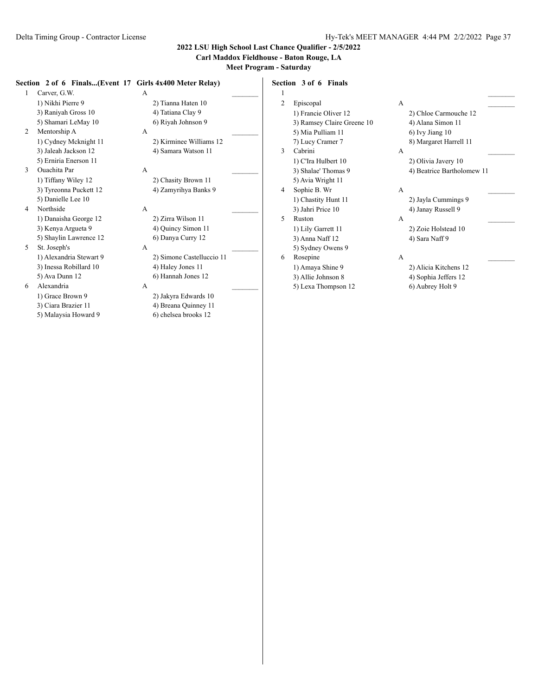### **Carl Maddox Fieldhouse - Baton Rouge, LA**

**Meet Program - Saturday**

#### **Section 2 of 6 Finals...(Event 17 Girls 4x400 Meter Relay)**

- 1 Carver, G.W. A 1) Nikhi Pierre 9 2) Tianna Haten 10 3) Raniyah Gross 10 4) Tatiana Clay 9 5) Shamari LeMay 10 6) Riyah Johnson 9 2 Mentorship A A \_\_\_\_\_\_\_\_\_
- 3) Jaleah Jackson 12 4) Samara Watson 11 5) Erniria Enerson 11 3 Ouachita Par A \_\_\_\_\_\_\_\_\_
- 1) Tiffany Wiley 12 2) Chasity Brown 11 3) Tyreonna Puckett 12 4) Zamyrihya Banks 9 5) Danielle Lee 10
- 4 Northside A \_\_\_\_\_\_\_\_\_ 1) Danaisha George 12 2) Zirra Wilson 11 3) Kenya Argueta 9 4) Quincy Simon 11
- 5) Shaylin Lawrence 12 6) Danya Curry 12 5 St. Joseph's A \_\_\_\_\_\_\_\_\_ 3) Inessa Robillard 10 4) Haley Jones 11 5) Ava Dunn 12 6) Hannah Jones 12
- 6 Alexandria A \_\_\_\_\_\_\_\_\_
	-
	-
	- 5) Malaysia Howard 9 6) chelsea brooks 12

1) Cydney Mcknight 11 2) Kirminee Williams 12

- 
- 
- 
- 1) Alexandria Stewart 9 2) Simone Castelluccio 11
	-

1) Grace Brown 9 2) Jakyra Edwards 10 3) Ciara Brazier 11 4) Breana Quinney 11

 $1$   $\overline{\phantom{a}}$ 2 Episcopal A 1) Francie Oliver 12 2) Chloe Carmouche 12 3) Ramsey Claire Greene 10 4) Alana Simon 11 5) Mia Pulliam 11 6) Ivy Jiang 10 7) Lucy Cramer 7 8) Margaret Harrell 11 1) C'Ira Hulbert 10 2) Olivia Javery 10 5) Avia Wright 11 4 Sophie B. Wr A

5 Ruston A \_\_\_\_\_\_\_\_\_

3) Anna Naff 12 4) Sara Naff 9

**Section 3 of 6 Finals**

- 5) Sydney Owens 9
- 6 Rosepine A \_\_\_\_\_\_\_\_\_
- -
	- 5) Lexa Thompson 12 6) Aubrey Holt 9

3 Cabrini A \_\_\_\_\_\_\_\_\_ 3) Shalae' Thomas 9 4) Beatrice Bartholomew 11 1) Chastity Hunt 11 2) Jayla Cummings 9 3) Jahri Price 10 4) Janay Russell 9

1) Lily Garrett 11 2) Zoie Holstead 10

1) Amaya Shine 9 2) Alicia Kitchens 12 3) Allie Johnson 8 4) Sophia Jeffers 12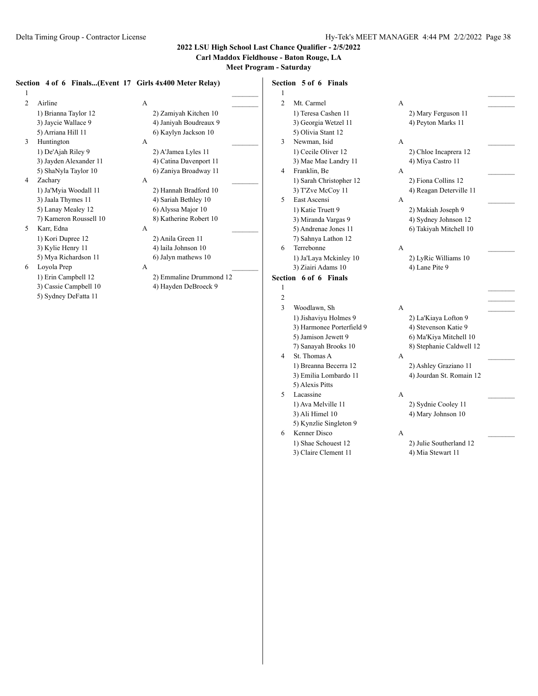**Carl Maddox Fieldhouse - Baton Rouge, LA**

**Meet Program - Saturday**

#### **Section 4 of 6 Finals...(Event 17 Girls 4x400 Meter Relay)**  $1$   $\overline{\phantom{a}}$ 2 Airline A 1) Brianna Taylor 12 2) Zamiyah Kitchen 10 3) Jaycie Wallace 9 4) Janiyah Boudreaux 9 5) Arriana Hill 11 6) Kaylyn Jackson 10 3 Huntington A 1) De'Ajah Riley 9 2) A'Jamea Lyles 11 3) Jayden Alexander 11 4) Catina Davenport 11 5) ShaNyla Taylor 10 6) Zaniya Broadway 11 4 Zachary A 1) Ja'Myia Woodall 11 2) Hannah Bradford 10 3) Jaala Thymes 11 4) Sariah Bethley 10 5) Lanay Mealey 12 6) Alyssa Major 10 7) Kameron Roussell 10 8) Katherine Robert 10 5 Karr, Edna A 1) Kori Dupree 12 2) Anila Green 11 3) Kylie Henry 11 4) laila Johnson 10 5) Mya Richardson 11 6) Jalyn mathews 10 6 Loyola Prep A \_\_\_\_\_\_\_\_\_ 1) Erin Campbell 12 2) Emmaline Drummond 12 3) Cassie Campbell 10 4) Hayden DeBroeck 9 5) Sydney DeFatta 11 **Section 5 of 6 Finals**  $1$   $\overline{\phantom{a}}$ 2 Mt. Carmel A 1) Teresa Cashen 11 2) Mary Ferguson 11 3) Georgia Wetzel 11 4) Peyton Marks 11 5) Olivia Stant 12 3 Newman, Isid A \_\_\_\_\_\_\_\_\_ 1) Cecile Oliver 12 2) Chloe Incaprera 12 3) Mae Mae Landry 11 4) Miya Castro 11 4 Franklin, Be A 1) Sarah Christopher 12 2) Fiona Collins 12 3) T'Zve McCoy 11 4) Reagan Deterville 11 5 East Ascensi A \_\_\_\_\_\_\_\_\_ 1) Katie Truett 9 2) Makiah Joseph 9 3) Miranda Vargas 9 4) Sydney Johnson 12 5) Andrenae Jones 11 6) Takiyah Mitchell 10 7) Sahnya Lathon 12 6 Terrebonne A \_\_\_\_\_\_\_\_\_ 1) Ja'Laya Mckinley 10 2) LyRic Williams 10 3) Ziairi Adams 10 4) Lane Pite 9 **Section 6 of 6 Finals**  $1$   $\overline{\phantom{a}}$  $2 \overline{ }$ 3 Woodlawn, Sh A 1) Jishaviyu Holmes 9 2) La'Kiaya Lofton 9 3) Harmonee Porterfield 9 4) Stevenson Katie 9 5) Jamison Jewett 9 6) Ma'Kiya Mitchell 10 7) Sanayah Brooks 10 8) Stephanie Caldwell 12 4 St. Thomas A  $\overline{A}$ 1) Breanna Becerra 12 2) Ashley Graziano 11 3) Emilia Lombardo 11 4) Jourdan St. Romain 12 5) Alexis Pitts 5 Lacassine A \_\_\_\_\_\_\_\_\_ 1) Ava Melville 11 2) Sydnie Cooley 11 3) Ali Himel 10 4) Mary Johnson 10 5) Kynzlie Singleton 9 6 Kenner Disco A \_\_\_\_\_\_\_\_\_ 1) Shae Schouest 12 2) Julie Southerland 12 3) Claire Clement 11 4) Mia Stewart 11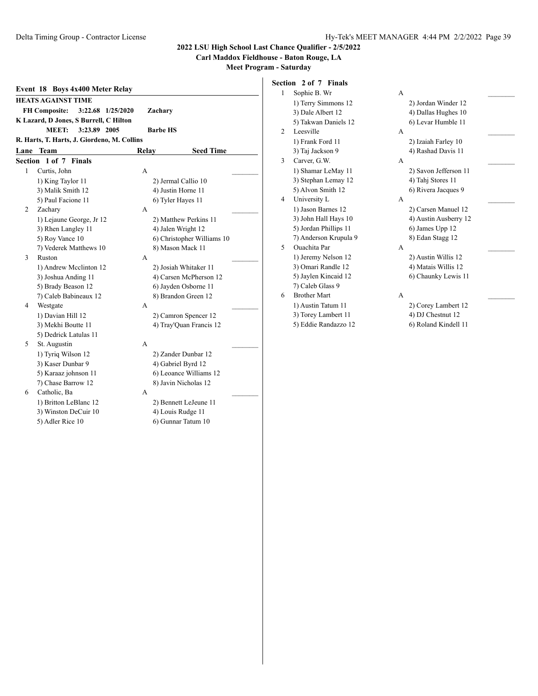### **Carl Maddox Fieldhouse - Baton Rouge, LA**

**Meet Program - Saturday**

|   | Event 18 Boys 4x400 Meter Relay             |                            |  |  |  |  |  |  |  |  |  |
|---|---------------------------------------------|----------------------------|--|--|--|--|--|--|--|--|--|
|   | <b>HEATS AGAINST TIME</b>                   |                            |  |  |  |  |  |  |  |  |  |
|   | <b>FH Composite:</b><br>3:22.68 1/25/2020   | Zachary                    |  |  |  |  |  |  |  |  |  |
|   | K Lazard, D Jones, S Burrell, C Hilton      |                            |  |  |  |  |  |  |  |  |  |
|   | MEET:<br>3:23.89 2005                       | <b>Barbe HS</b>            |  |  |  |  |  |  |  |  |  |
|   | R. Harts, T. Harts, J. Giordeno, M. Collins |                            |  |  |  |  |  |  |  |  |  |
|   | Lane Team                                   | <b>Seed Time</b><br>Relay  |  |  |  |  |  |  |  |  |  |
|   | Section 1 of 7 Finals                       |                            |  |  |  |  |  |  |  |  |  |
| 1 | Curtis, John                                | A                          |  |  |  |  |  |  |  |  |  |
|   | 1) King Taylor 11                           | 2) Jermal Callio 10        |  |  |  |  |  |  |  |  |  |
|   | 3) Malik Smith 12                           | 4) Justin Horne 11         |  |  |  |  |  |  |  |  |  |
|   | 5) Paul Facione 11                          | 6) Tyler Hayes 11          |  |  |  |  |  |  |  |  |  |
| 2 | Zachary                                     | A                          |  |  |  |  |  |  |  |  |  |
|   | 1) Lejaune George, Jr 12                    | 2) Matthew Perkins 11      |  |  |  |  |  |  |  |  |  |
|   | 3) Rhen Langley 11                          | 4) Jalen Wright 12         |  |  |  |  |  |  |  |  |  |
|   | 5) Roy Vance 10                             | 6) Christopher Williams 10 |  |  |  |  |  |  |  |  |  |
|   | 7) Vederek Matthews 10                      | 8) Mason Mack 11           |  |  |  |  |  |  |  |  |  |
| 3 | Ruston                                      | A                          |  |  |  |  |  |  |  |  |  |
|   | 1) Andrew Mcclinton 12                      | 2) Josiah Whitaker 11      |  |  |  |  |  |  |  |  |  |
|   | 3) Joshua Anding 11                         | 4) Carsen McPherson 12     |  |  |  |  |  |  |  |  |  |
|   | 5) Brady Beason 12                          | 6) Jayden Osborne 11       |  |  |  |  |  |  |  |  |  |
|   | 7) Caleb Babineaux 12                       | 8) Brandon Green 12        |  |  |  |  |  |  |  |  |  |
| 4 | Westgate                                    | A                          |  |  |  |  |  |  |  |  |  |
|   | 1) Davian Hill 12                           | 2) Camron Spencer 12       |  |  |  |  |  |  |  |  |  |
|   | 3) Mekhi Boutte 11                          | 4) Tray'Quan Francis 12    |  |  |  |  |  |  |  |  |  |
|   | 5) Dedrick Latulas 11                       |                            |  |  |  |  |  |  |  |  |  |
| 5 | St. Augustin                                | A                          |  |  |  |  |  |  |  |  |  |
|   | 1) Tyriq Wilson 12                          | 2) Zander Dunbar 12        |  |  |  |  |  |  |  |  |  |
|   | 3) Kaser Dunbar 9                           | 4) Gabriel Byrd 12         |  |  |  |  |  |  |  |  |  |
|   | 5) Karaaz johnson 11                        | 6) Leoance Williams 12     |  |  |  |  |  |  |  |  |  |
|   | 7) Chase Barrow 12                          | 8) Javin Nicholas 12       |  |  |  |  |  |  |  |  |  |
| 6 | Catholic, Ba                                | A                          |  |  |  |  |  |  |  |  |  |
|   | 1) Britton LeBlanc 12                       | 2) Bennett LeJeune 11      |  |  |  |  |  |  |  |  |  |
|   | 3) Winston DeCuir 10                        | 4) Louis Rudge 11          |  |  |  |  |  |  |  |  |  |

5) Adler Rice 10 6) Gunnar Tatum 10

**Section 2 of 7 Finals** 1 Sophie B. Wr 1) Terry Simmons 12 3) Dale Albert 12 5) Takwan Daniels 12 2 Leesville 1) Frank Ford 11 3) Taj Jackson 9 3 Carver, G.W. 1) Shamar LeMay 11 3) Stephan Lemay 12 5) Alvon Smith 12 4 University L 1) Jason Barnes 12 3) John Hall Hays 10 5) Jordan Phillips 11 7) Anderson Krupula 9 5 Ouachita Par 1) Jeremy Nelson 12 3) Omari Randle 12 5) Jaylen Kincaid 12 7) Caleb Glass 9 6 Brother Mart 1) Austin Tatum 11 3) Torey Lambert 11 4) DJ Chestnut 12 5) Eddie Randazzo 12 6) Roland Kindell 11

| 2) Jordan Winder 12   |  |
|-----------------------|--|
| 4) Dallas Hughes 10   |  |
| 6) Levar Humble 11    |  |
|                       |  |
| 2) Izaiah Farley 10   |  |
| 4) Rashad Davis 11    |  |
|                       |  |
| 2) Savon Jefferson 11 |  |
| 4) Tahj Stores 11     |  |
| 6) Rivera Jacques 9   |  |
|                       |  |
| 2) Carsen Manuel 12   |  |
| 4) Austin Ausberry 12 |  |
| 6) James Upp 12       |  |
| 8) Edan Stagg 12      |  |
|                       |  |
| 2) Austin Willis 12   |  |
| 4) Matais Willis 12   |  |
| 6) Chaunky Lewis 11   |  |
|                       |  |
|                       |  |
| 2) Corey Lambert 12   |  |
|                       |  |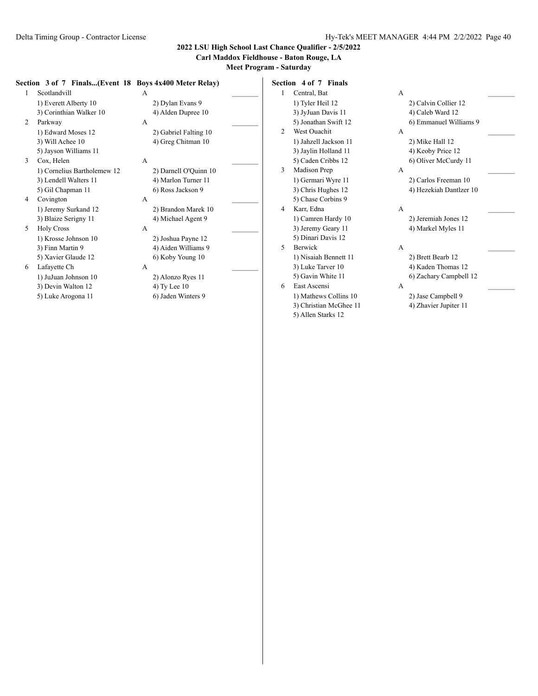### **Carl Maddox Fieldhouse - Baton Rouge, LA**

**Meet Program - Saturday**

#### **Section 3 of 7 Finals...(Event 18 Boys 4x400 Meter Relay)**

| 1 | Scotlandvill                | A            |                       |  |
|---|-----------------------------|--------------|-----------------------|--|
|   | 1) Everett Alberty 10       |              | 2) Dylan Evans 9      |  |
|   | 3) Corinthian Walker 10     |              | 4) Alden Dupree 10    |  |
| 2 | Parkway                     | A            |                       |  |
|   | 1) Edward Moses 12          |              | 2) Gabriel Falting 10 |  |
|   | 3) Will Achee 10            |              | 4) Greg Chitman 10    |  |
|   | 5) Jayson Williams 11       |              |                       |  |
| 3 | Cox, Helen                  | A            |                       |  |
|   | 1) Cornelius Bartholemew 12 |              | 2) Darnell O'Quinn 10 |  |
|   | 3) Lendell Walters 11       |              | 4) Marlon Turner 11   |  |
|   | 5) Gil Chapman 11           |              | 6) Ross Jackson 9     |  |
| 4 | Covington                   | A            |                       |  |
|   | 1) Jeremy Surkand 12        |              | 2) Brandon Marek 10   |  |
|   | 3) Blaize Serigny 11        |              | 4) Michael Agent 9    |  |
| 5 | <b>Holy Cross</b>           | $\mathsf{A}$ |                       |  |
|   | 1) Krosse Johnson 10        |              | 2) Joshua Payne 12    |  |
|   | 3) Finn Martin 9            |              | 4) Aiden Williams 9   |  |
|   | 5) Xavier Glaude 12         |              | 6) Koby Young 10      |  |
| 6 | Lafayette Ch                | A            |                       |  |
|   | 1) JuJuan Johnson 10        |              | 2) Alonzo Ryes 11     |  |
|   | 3) Devin Walton 12          |              | 4) Ty Lee 10          |  |
|   | 5) Luke Arogona 11          |              | 6) Jaden Winters 9    |  |
|   |                             |              |                       |  |

**Section 4 of 7 Finals** 1 Central, Bat A 1) Tyler Heil 12 2) Calvin Collier 12 3) JyJuan Davis 11 4) Caleb Ward 12 5) Jonathan Swift 12 6) Emmanuel Williams 9 2 West Ouachit A 1) Jahzell Jackson 11 2) Mike Hall 12 3) Jaylin Holland 11 4) Keoby Price 12 5) Caden Cribbs 12 6) Oliver McCurdy 11 3 Madison Prep A 1) Germari Wyre 11 2) Carlos Freeman 10 3) Chris Hughes 12 4) Hezekiah Dantlzer 10 5) Chase Corbins 9 4 Karr, Edna A \_\_\_\_\_\_\_\_\_ 1) Camren Hardy 10 2) Jeremiah Jones 12 3) Jeremy Geary 11 4) Markel Myles 11 5) Dinari Davis 12 5 Berwick A \_\_\_\_\_\_\_\_\_ 1) Nisaiah Bennett 11 2) Brett Bearb 12 3) Luke Tarver 10 4) Kaden Thomas 12 5) Gavin White 11 6) Zachary Campbell 12 6 East Ascensi A \_\_\_\_\_\_\_\_\_ 1) Mathews Collins 10 2) Jase Campbell 9 3) Christian McGhee 11 4) Zhavier Jupiter 11

5) Allen Starks 12

- 
- 
- 
-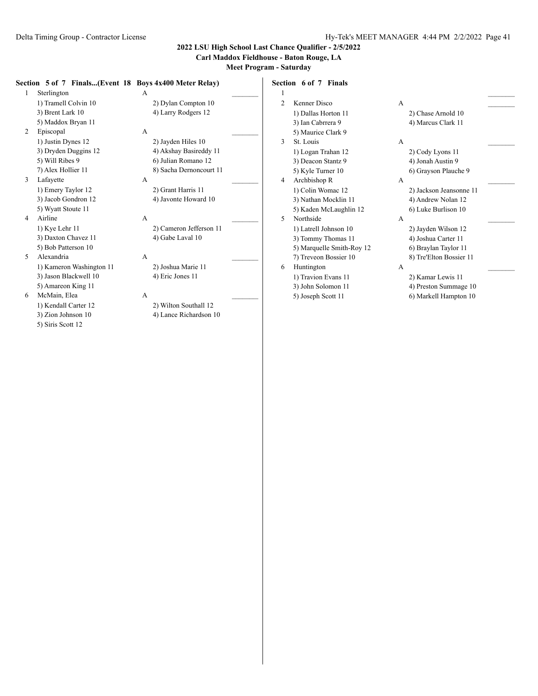3) Zion Johnson 10 4) Lance Richardson 10

5) Siris Scott 12

### **2022 LSU High School Last Chance Qualifier - 2/5/2022**

#### **Carl Maddox Fieldhouse - Baton Rouge, LA**

**Meet Program - Saturday**

#### **Section 5 of 7 Finals...(Event 18 Boys 4x400 Meter Relay)** 1 Sterlington A \_\_\_\_\_\_\_\_\_ 1) Tramell Colvin 10 2) Dylan Compton 10 3) Brent Lark 10 4) Larry Rodgers 12 5) Maddox Bryan 11 2 Episcopal A 1) Justin Dynes 12 2) Jayden Hiles 10 3) Dryden Duggins 12 4) Akshay Basireddy 11 5) Will Ribes 9 6) Julian Romano 12 7) Alex Hollier 11 8) Sacha Dernoncourt 11 3 Lafayette A \_\_\_\_\_\_\_\_\_ 1) Emery Taylor 12 2) Grant Harris 11 3) Jacob Gondron 12 4) Javonte Howard 10 5) Wyatt Stoute 11 4 Airline A \_\_\_\_\_\_\_\_\_ 1) Kye Lehr 11 2) Cameron Jefferson 11 3) Daxton Chavez 11 4) Gabe Laval 10 5) Bob Patterson 10 5 Alexandria A \_\_\_\_\_\_\_\_\_ 1) Kameron Washington 11 2) Joshua Marie 11 3) Jason Blackwell 10 4) Eric Jones 11 5) Amareon King 11 6 McMain, Elea A 1) Kendall Carter 12 2) Wilton Southall 12 **Section 6 of 7 Finals**  $1$   $\overline{\phantom{a}}$ 2 Kenner Disco A 1) Dallas Horton 11 2) Chase Arnold 10 3) Ian Cabrrera 9 4) Marcus Clark 11 5) Maurice Clark 9 3 St. Louis A \_\_\_\_\_\_\_\_\_ 1) Logan Trahan 12 2) Cody Lyons 11 3) Deacon Stantz 9 4) Jonah Austin 9 5) Kyle Turner 10 6) Grayson Plauche 9 4 Archbishop R A 1) Colin Womac 12 2) Jackson Jeansonne 11 3) Nathan Mocklin 11 4) Andrew Nolan 12 5) Kaden McLaughlin 12 6) Luke Burlison 10 5 Northside A \_\_\_\_\_\_\_\_\_ 1) Latrell Johnson 10 2) Jayden Wilson 12 3) Tommy Thomas 11 4) Joshua Carter 11 5) Marquelle Smith-Roy 12 6) Braylan Taylor 11 7) Treveon Bossier 10 8) Tre'Elton Bossier 11 6 Huntington A \_\_\_\_\_\_\_\_\_ 1) Travion Evans 11 2) Kamar Lewis 11 3) John Solomon 11 4) Preston Summage 10 5) Joseph Scott 11 6) Markell Hampton 10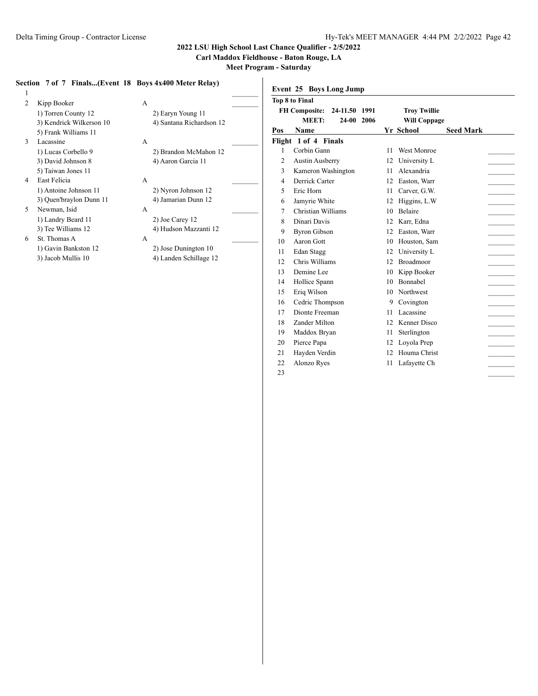**Carl Maddox Fieldhouse - Baton Rouge, LA**

**Meet Program - Saturday**

## **Section 7 of 7 Finals...(Event 18 Boys 4x400 Meter Relay)**

| $\mathbf{1}$   |                          |   |                          |  |
|----------------|--------------------------|---|--------------------------|--|
| $\overline{c}$ | Kipp Booker              | A |                          |  |
|                | 1) Torren County 12      |   | 2) Earyn Young 11        |  |
|                | 3) Kendrick Wilkerson 10 |   | 4) Santana Richardson 12 |  |
|                | 5) Frank Williams 11     |   |                          |  |
| 3              | Lacassine                | A |                          |  |
|                | 1) Lucas Corbello 9      |   | 2) Brandon McMahon 12    |  |
|                | 3) David Johnson 8       |   | 4) Aaron Garcia 11       |  |
|                | 5) Taiwan Jones 11       |   |                          |  |
| 4              | East Felicia             | A |                          |  |
|                | 1) Antoine Johnson 11    |   | 2) Nyron Johnson 12      |  |
|                | 3) Quen'braylon Dunn 11  |   | 4) Jamarian Dunn 12      |  |
| 5              | Newman, Isid             | A |                          |  |
|                | 1) Landry Beard 11       |   | 2) Joe Carey 12          |  |
|                | 3) Tee Williams 12       |   | 4) Hudson Mazzanti 12    |  |
| 6              | St. Thomas A             | A |                          |  |
|                | 1) Gavin Bankston 12     |   | 2) Jose Dunington 10     |  |
|                | 3) Jacob Mullis 10       |   | 4) Landen Schillage 12   |  |

| 2) Earyn Young 11                              |   |
|------------------------------------------------|---|
| 4) Santana Richardson 12                       | F |
| 2) Brandon McMahon 12<br>4) Aaron Garcia 11    |   |
| 2) Nyron Johnson 12<br>4) Jamarian Dunn 12     |   |
| 2) Joe Carey 12<br>4) Hudson Mazzanti 12       |   |
| 2) Jose Dunington 10<br>4) Landen Schillage 12 |   |

| <b>Top 8 to Final</b><br><b>FH Composite:</b><br>24-11.50<br>1991<br><b>Troy Twillie</b><br>MEET:<br>24-00<br>2006<br><b>Will Coppage</b><br><b>Yr School</b><br>Name<br><b>Seed Mark</b><br>Flight 1 of 4 Finals<br>Corbin Gann<br><b>West Monroe</b><br>$\mathbf{1}$<br>11<br>$\overline{2}$<br>University L<br><b>Austin Ausberry</b><br>12<br>3<br>Alexandria<br>Kameron Washington<br>11<br>Derrick Carter<br>Easton, Warr<br>4<br>12<br>Eric Horn<br>5<br>Carver, G.W.<br>11<br>Jamyrie White<br>Higgins, L.W.<br>6<br>12<br>Christian Williams<br><b>Belaire</b><br>7<br>10<br>Dinari Davis<br>8<br>Karr, Edna<br>12<br>9<br><b>Byron Gibson</b><br>Easton, Warr<br>12<br>Aaron Gott<br>10<br>Houston, Sam<br>10<br>Edan Stagg<br>12<br>University L<br>11<br>Chris Williams<br><b>Broadmoor</b><br>12.<br>12<br>Demine Lee<br>Kipp Booker<br>13<br>10<br>Bonnabel<br>14<br>Hollice Spann<br>10<br>Eriq Wilson<br>Northwest<br>15<br>10<br>16<br>Cedric Thompson<br>Covington<br>9<br>Dionte Freeman<br>Lacassine<br>17<br>11<br>Kenner Disco<br>18<br>Zander Milton<br>12<br>19<br>Sterlington<br>Maddox Bryan<br>11<br>20<br>Pierce Papa<br>12<br>Loyola Prep<br>21<br>Hayden Verdin<br>Houma Christ<br>12<br>22<br>Alonzo Ryes<br>Lafayette Ch<br>11<br>23 |     | Event 25 Boys Long Jump |  |  |  |  |  |  |  |  |  |
|----------------------------------------------------------------------------------------------------------------------------------------------------------------------------------------------------------------------------------------------------------------------------------------------------------------------------------------------------------------------------------------------------------------------------------------------------------------------------------------------------------------------------------------------------------------------------------------------------------------------------------------------------------------------------------------------------------------------------------------------------------------------------------------------------------------------------------------------------------------------------------------------------------------------------------------------------------------------------------------------------------------------------------------------------------------------------------------------------------------------------------------------------------------------------------------------------------------------------------------------------------------------|-----|-------------------------|--|--|--|--|--|--|--|--|--|
|                                                                                                                                                                                                                                                                                                                                                                                                                                                                                                                                                                                                                                                                                                                                                                                                                                                                                                                                                                                                                                                                                                                                                                                                                                                                      |     |                         |  |  |  |  |  |  |  |  |  |
|                                                                                                                                                                                                                                                                                                                                                                                                                                                                                                                                                                                                                                                                                                                                                                                                                                                                                                                                                                                                                                                                                                                                                                                                                                                                      |     |                         |  |  |  |  |  |  |  |  |  |
|                                                                                                                                                                                                                                                                                                                                                                                                                                                                                                                                                                                                                                                                                                                                                                                                                                                                                                                                                                                                                                                                                                                                                                                                                                                                      |     |                         |  |  |  |  |  |  |  |  |  |
|                                                                                                                                                                                                                                                                                                                                                                                                                                                                                                                                                                                                                                                                                                                                                                                                                                                                                                                                                                                                                                                                                                                                                                                                                                                                      | Pos |                         |  |  |  |  |  |  |  |  |  |
|                                                                                                                                                                                                                                                                                                                                                                                                                                                                                                                                                                                                                                                                                                                                                                                                                                                                                                                                                                                                                                                                                                                                                                                                                                                                      |     |                         |  |  |  |  |  |  |  |  |  |
|                                                                                                                                                                                                                                                                                                                                                                                                                                                                                                                                                                                                                                                                                                                                                                                                                                                                                                                                                                                                                                                                                                                                                                                                                                                                      |     |                         |  |  |  |  |  |  |  |  |  |
|                                                                                                                                                                                                                                                                                                                                                                                                                                                                                                                                                                                                                                                                                                                                                                                                                                                                                                                                                                                                                                                                                                                                                                                                                                                                      |     |                         |  |  |  |  |  |  |  |  |  |
|                                                                                                                                                                                                                                                                                                                                                                                                                                                                                                                                                                                                                                                                                                                                                                                                                                                                                                                                                                                                                                                                                                                                                                                                                                                                      |     |                         |  |  |  |  |  |  |  |  |  |
|                                                                                                                                                                                                                                                                                                                                                                                                                                                                                                                                                                                                                                                                                                                                                                                                                                                                                                                                                                                                                                                                                                                                                                                                                                                                      |     |                         |  |  |  |  |  |  |  |  |  |
|                                                                                                                                                                                                                                                                                                                                                                                                                                                                                                                                                                                                                                                                                                                                                                                                                                                                                                                                                                                                                                                                                                                                                                                                                                                                      |     |                         |  |  |  |  |  |  |  |  |  |
|                                                                                                                                                                                                                                                                                                                                                                                                                                                                                                                                                                                                                                                                                                                                                                                                                                                                                                                                                                                                                                                                                                                                                                                                                                                                      |     |                         |  |  |  |  |  |  |  |  |  |
|                                                                                                                                                                                                                                                                                                                                                                                                                                                                                                                                                                                                                                                                                                                                                                                                                                                                                                                                                                                                                                                                                                                                                                                                                                                                      |     |                         |  |  |  |  |  |  |  |  |  |
|                                                                                                                                                                                                                                                                                                                                                                                                                                                                                                                                                                                                                                                                                                                                                                                                                                                                                                                                                                                                                                                                                                                                                                                                                                                                      |     |                         |  |  |  |  |  |  |  |  |  |
|                                                                                                                                                                                                                                                                                                                                                                                                                                                                                                                                                                                                                                                                                                                                                                                                                                                                                                                                                                                                                                                                                                                                                                                                                                                                      |     |                         |  |  |  |  |  |  |  |  |  |
|                                                                                                                                                                                                                                                                                                                                                                                                                                                                                                                                                                                                                                                                                                                                                                                                                                                                                                                                                                                                                                                                                                                                                                                                                                                                      |     |                         |  |  |  |  |  |  |  |  |  |
|                                                                                                                                                                                                                                                                                                                                                                                                                                                                                                                                                                                                                                                                                                                                                                                                                                                                                                                                                                                                                                                                                                                                                                                                                                                                      |     |                         |  |  |  |  |  |  |  |  |  |
|                                                                                                                                                                                                                                                                                                                                                                                                                                                                                                                                                                                                                                                                                                                                                                                                                                                                                                                                                                                                                                                                                                                                                                                                                                                                      |     |                         |  |  |  |  |  |  |  |  |  |
|                                                                                                                                                                                                                                                                                                                                                                                                                                                                                                                                                                                                                                                                                                                                                                                                                                                                                                                                                                                                                                                                                                                                                                                                                                                                      |     |                         |  |  |  |  |  |  |  |  |  |
|                                                                                                                                                                                                                                                                                                                                                                                                                                                                                                                                                                                                                                                                                                                                                                                                                                                                                                                                                                                                                                                                                                                                                                                                                                                                      |     |                         |  |  |  |  |  |  |  |  |  |
|                                                                                                                                                                                                                                                                                                                                                                                                                                                                                                                                                                                                                                                                                                                                                                                                                                                                                                                                                                                                                                                                                                                                                                                                                                                                      |     |                         |  |  |  |  |  |  |  |  |  |
|                                                                                                                                                                                                                                                                                                                                                                                                                                                                                                                                                                                                                                                                                                                                                                                                                                                                                                                                                                                                                                                                                                                                                                                                                                                                      |     |                         |  |  |  |  |  |  |  |  |  |
|                                                                                                                                                                                                                                                                                                                                                                                                                                                                                                                                                                                                                                                                                                                                                                                                                                                                                                                                                                                                                                                                                                                                                                                                                                                                      |     |                         |  |  |  |  |  |  |  |  |  |
|                                                                                                                                                                                                                                                                                                                                                                                                                                                                                                                                                                                                                                                                                                                                                                                                                                                                                                                                                                                                                                                                                                                                                                                                                                                                      |     |                         |  |  |  |  |  |  |  |  |  |
|                                                                                                                                                                                                                                                                                                                                                                                                                                                                                                                                                                                                                                                                                                                                                                                                                                                                                                                                                                                                                                                                                                                                                                                                                                                                      |     |                         |  |  |  |  |  |  |  |  |  |
|                                                                                                                                                                                                                                                                                                                                                                                                                                                                                                                                                                                                                                                                                                                                                                                                                                                                                                                                                                                                                                                                                                                                                                                                                                                                      |     |                         |  |  |  |  |  |  |  |  |  |
|                                                                                                                                                                                                                                                                                                                                                                                                                                                                                                                                                                                                                                                                                                                                                                                                                                                                                                                                                                                                                                                                                                                                                                                                                                                                      |     |                         |  |  |  |  |  |  |  |  |  |
|                                                                                                                                                                                                                                                                                                                                                                                                                                                                                                                                                                                                                                                                                                                                                                                                                                                                                                                                                                                                                                                                                                                                                                                                                                                                      |     |                         |  |  |  |  |  |  |  |  |  |
|                                                                                                                                                                                                                                                                                                                                                                                                                                                                                                                                                                                                                                                                                                                                                                                                                                                                                                                                                                                                                                                                                                                                                                                                                                                                      |     |                         |  |  |  |  |  |  |  |  |  |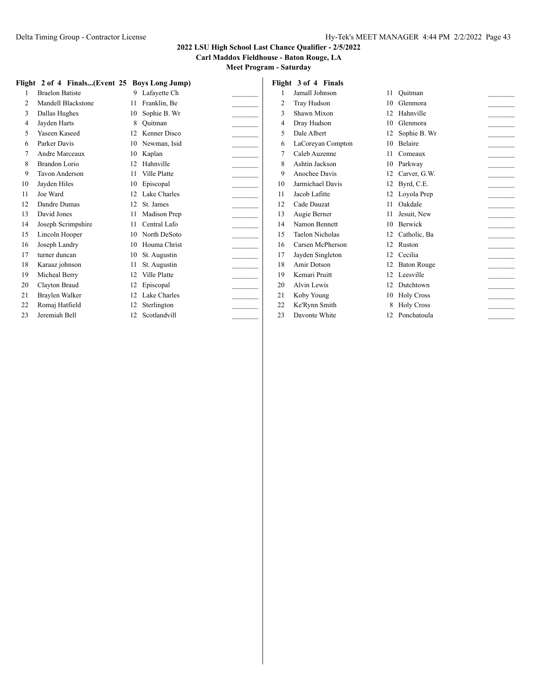## **2022 LSU High School Last Chance Qualifier - 2/5/2022**

## **Carl Maddox Fieldhouse - Baton Rouge, LA**

|    | Flight 2 of 4 Finals(Event 25 Boys Long Jump) |                 |                 |    | Flight 3 of 4 Finals   |    |                    |  |
|----|-----------------------------------------------|-----------------|-----------------|----|------------------------|----|--------------------|--|
|    | <b>Braelon Batiste</b>                        |                 | 9 Lafayette Ch  |    | Jamall Johnson         |    | 11 Ouitman         |  |
| 2  | Mandell Blackstone                            | 11              | Franklin, Be    | 2  | Tray Hudson            | 10 | Glenmora           |  |
| 3  | Dallas Hughes                                 | 10              | Sophie B. Wr    | 3  | Shawn Mixon            |    | 12 Hahnville       |  |
| 4  | Jayden Harts                                  | 8               | Ouitman         | 4  | Dray Hudson            | 10 | Glenmora           |  |
| 5  | Yaseen Kaseed                                 | 12 <sup>1</sup> | Kenner Disco    | 5  | Dale Albert            |    | 12 Sophie B. Wr    |  |
| 6  | Parker Davis                                  | 10              | Newman, Isid    | 6  | LaCoreyan Compton      | 10 | Belaire            |  |
|    | Andre Marceaux                                | 10              | Kaplan          | 7  | Caleb Auzenne          |    | Comeaux            |  |
| 8  | Brandon Lorio                                 | 12              | Hahnville       | 8  | Ashtin Jackson         | 10 | Parkway            |  |
| 9  | Tavon Anderson                                |                 | Ville Platte    | 9  | Anochee Davis          |    | 12 Carver, G.W.    |  |
| 10 | Jayden Hiles                                  | 10              | Episcopal       | 10 | Jarmichael Davis       | 12 | Byrd, C.E.         |  |
| 11 | Joe Ward                                      |                 | 12 Lake Charles | 11 | Jacob Lafitte          |    | 12 Loyola Prep     |  |
| 12 | Dandre Dumas                                  | 12              | St. James       | 12 | Cade Dauzat            |    | Oakdale            |  |
| 13 | David Jones                                   | 11              | Madison Prep    | 13 | Augie Berner           |    | Jesuit, New        |  |
| 14 | Joseph Scrimpshire                            |                 | Central Lafo    | 14 | Namon Bennett          | 10 | Berwick            |  |
| 15 | Lincoln Hooper                                |                 | 10 North DeSoto | 15 | <b>Taelon Nicholas</b> |    | 12 Catholic, Ba    |  |
| 16 | Joseph Landry                                 | 10              | Houma Christ    | 16 | Carsen McPherson       | 12 | Ruston             |  |
| 17 | turner duncan                                 | 10              | St. Augustin    | 17 | Jayden Singleton       | 12 | Cecilia            |  |
| 18 | Karaaz johnson                                |                 | St. Augustin    | 18 | Amir Dotson            |    | <b>Baton Rouge</b> |  |
| 19 | Micheal Berry                                 |                 | Ville Platte    | 19 | Kemari Pruitt          |    | 12 Leesville       |  |
| 20 | Clayton Braud                                 | 12              | Episcopal       | 20 | Alvin Lewis            | 12 | Dutchtown          |  |
| 21 | Braylen Walker                                |                 | 12 Lake Charles | 21 | Koby Young             |    | 10 Holy Cross      |  |
| 22 | Romaj Hatfield                                | 12              | Sterlington     | 22 | Ke'Rynn Smith          |    | 8 Holy Cross       |  |
| 23 | Jeremiah Bell                                 | 12              | Scotlandvill    | 23 | Davonte White          |    | 12 Ponchatoula     |  |
|    |                                               |                 |                 |    |                        |    |                    |  |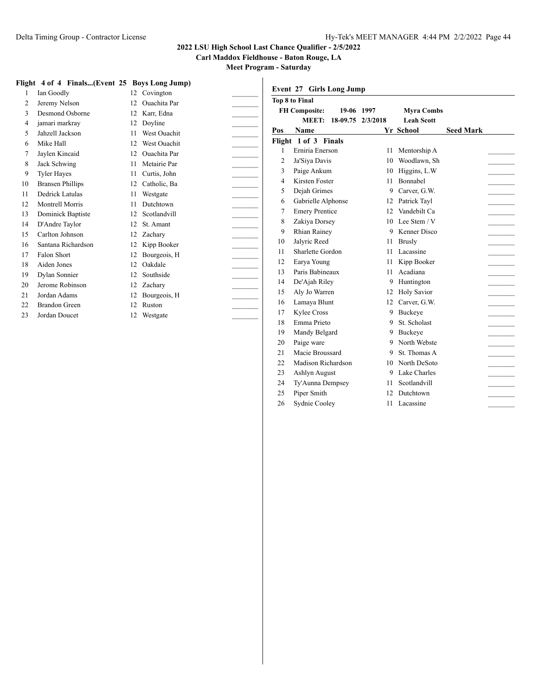**Carl Maddox Fieldhouse - Baton Rouge, LA**

**Meet Program - Saturday**

|  | Flight 4 of 4 Finals(Event 25 Bovs Long Jump) |  |  |  |
|--|-----------------------------------------------|--|--|--|
|  |                                               |  |  |  |

|                | Flight 4 of 4 Finals(Event 25 Boys Long Jump) |    |                     |  |
|----------------|-----------------------------------------------|----|---------------------|--|
| 1              | Ian Goodly                                    |    | 12 Covington        |  |
| $\overline{c}$ | Jeremy Nelson                                 | 12 | <b>Ouachita</b> Par |  |
| 3              | Desmond Osborne                               | 12 | Karr, Edna          |  |
| 4              | jamari markray                                | 12 | Doyline             |  |
| 5              | Jahzell Jackson                               | 11 | <b>West Ouachit</b> |  |
| 6              | Mike Hall                                     | 12 | <b>West Ouachit</b> |  |
| 7              | Jaylen Kincaid                                | 12 | <b>Ouachita</b> Par |  |
| 8              | Jack Schwing                                  | 11 | Metairie Par        |  |
| 9              | <b>Tyler Hayes</b>                            | 11 | Curtis, John        |  |
| 10             | <b>Bransen Phillips</b>                       | 12 | Catholic, Ba        |  |
| 11             | Dedrick Latulas                               | 11 | Westgate            |  |
| 12             | Montrell Morris                               | 11 | Dutchtown           |  |
| 13             | Dominick Baptiste                             | 12 | Scotlandvill        |  |
| 14             | D'Andre Taylor                                | 12 | St. Amant           |  |
| 15             | Carlton Johnson                               | 12 | Zachary             |  |
| 16             | Santana Richardson                            | 12 | Kipp Booker         |  |
| 17             | Falon Short                                   | 12 | Bourgeois, H        |  |
| 18             | Aiden Jones                                   | 12 | Oakdale             |  |
| 19             | Dylan Sonnier                                 | 12 | Southside           |  |
| 20             | Jerome Robinson                               | 12 | Zachary             |  |
| 21             | Jordan Adams                                  | 12 | Bourgeois, H        |  |
| 22             | Brandon Green                                 | 12 | Ruston              |  |
| 23             | Jordan Doucet                                 | 12 | Westgate            |  |
|                |                                               |    |                     |  |

| Event 27       | <b>Girls Long Jump</b> |            |                    |                  |
|----------------|------------------------|------------|--------------------|------------------|
|                | <b>Top 8 to Final</b>  |            |                    |                  |
|                | <b>FH Composite:</b>   | 19-06 1997 | <b>Myra Combs</b>  |                  |
|                | MEET:<br>18-09.75      | 2/3/2018   | <b>Leah Scott</b>  |                  |
| Pos            | <b>Name</b>            |            | Yr School          | <b>Seed Mark</b> |
|                | Flight 1 of 3 Finals   |            |                    |                  |
| 1              | Erniria Enerson        | 11         | Mentorship A       |                  |
| $\overline{2}$ | Ja'Siya Davis          | 10         | Woodlawn, Sh       |                  |
| 3              | Paige Ankum            | 10         | Higgins, L.W       |                  |
| $\overline{4}$ | Kirsten Foster         | 11         | Bonnabel           |                  |
| 5              | Dejah Grimes           | 9          | Carver, G.W.       |                  |
| 6              | Gabrielle Alphonse     | 12         | Patrick Tayl       |                  |
| 7              | <b>Emery Prentice</b>  | 12         | Vandebilt Ca       |                  |
| 8              | Zakiya Dorsey          | 10         | Lee Stem $/V$      |                  |
| 9              | <b>Rhian Rainey</b>    | 9          | Kenner Disco       |                  |
| 10             | Jalyric Reed           | 11         | <b>Brusly</b>      |                  |
| 11             | Sharlette Gordon       | 11         | Lacassine          |                  |
| 12             | Earya Young            | 11         | Kipp Booker        |                  |
| 13             | Paris Babineaux        | 11         | Acadiana           |                  |
| 14             | De'Ajah Riley          | 9          | Huntington         |                  |
| 15             | Aly Jo Warren          | 12         | <b>Holy Savior</b> |                  |
| 16             | Lamaya Blunt           | 12         | Carver, G.W.       |                  |
| 17             | <b>Kylee Cross</b>     | 9          | <b>Buckeve</b>     |                  |
| 18             | Emma Prieto            | 9          | St. Scholast       |                  |
| 19             | Mandy Belgard          | 9          | Buckeye            |                  |
| 20             | Paige ware             | 9          | North Webste       |                  |
| 21             | Macie Broussard        | 9          | St. Thomas A       |                  |
| 22             | Madison Richardson     | 10         | North DeSoto       |                  |
| 23             | Ashlyn August          | 9          | Lake Charles       |                  |
| 24             | Ty'Aunna Dempsey       | 11         | Scotlandvill       |                  |
| 25             | Piper Smith            | 12         | Dutchtown          |                  |
| 26             | Sydnie Cooley          | 11         | Lacassine          |                  |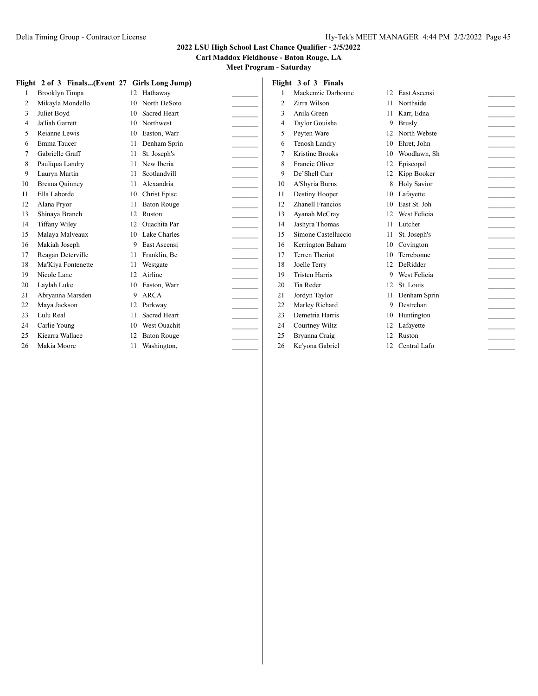**Carl Maddox Fieldhouse - Baton Rouge, LA**

|    | Flight 2 of 3 Finals(Event 27 Girls Long Jump) |     |                     |                | Flight 3 of 3 Finals   |                 |                                       |
|----|------------------------------------------------|-----|---------------------|----------------|------------------------|-----------------|---------------------------------------|
|    | Brooklyn Timpa                                 |     | 12 Hathaway         |                | Mackenzie Darbonne     |                 | 12 East Ascensi                       |
| 2  | Mikayla Mondello                               | 10  | North DeSoto        | $\overline{2}$ | Zirra Wilson           |                 | 11 Northside                          |
| 3  | Juliet Boyd                                    | 10  | <b>Sacred Heart</b> | 3              | Anila Green            |                 | Karr. Edna                            |
| 4  | Ja'liah Garrett                                | 10  | Northwest           | 4              | Taylor Gouisha         |                 | 9 Brusly                              |
| 5  | Reianne Lewis                                  | 10  | Easton, Warr        | 5              | Pevten Ware            | 12 <sub>1</sub> | North Webste                          |
| 6  | Emma Taucer                                    |     | Denham Sprin        | 6              | Tenosh Landry          | 10              | Ehret. John                           |
| 7  | Gabrielle Graff                                | 11  | St. Joseph's        | 7              | <b>Kristine Brooks</b> | 10              | Woodlawn, Sh                          |
| 8  | Pauliqua Landry                                | 11  | New Iberia          | 8              | Francie Oliver         | 12              | Episcopal<br>$\overline{\phantom{a}}$ |
| 9  | Lauryn Martin                                  |     | Scotlandvill        | 9              | De'Shell Carr          | 12              | Kipp Booker                           |
| 10 | Breana Quinney                                 | 11  | Alexandria          | 10             | A'Shyria Burns         |                 | 8 Holy Savior<br>$\overline{a}$       |
| 11 | Ella Laborde                                   | 10  | <b>Christ Episc</b> | 11             | Destiny Hooper         | 10              | Lafavette<br>$\sim$                   |
| 12 | Alana Pryor                                    |     | <b>Baton Rouge</b>  | 12             | Zhanell Francios       | 10 <sup>1</sup> | East St. Joh                          |
| 13 | Shinaya Branch                                 | 12  | Ruston              | 13             | Ayanah McCray          |                 | 12 West Felicia<br>$\frac{1}{2}$      |
| 14 | <b>Tiffany Wiley</b>                           | 12  | <b>Ouachita</b> Par | 14             | Jashyra Thomas         |                 | 11 Lutcher<br>$\sim$                  |
| 15 | Malaya Malveaux                                | 10  | Lake Charles        | 15             | Simone Castelluccio    |                 | St. Joseph's                          |
| 16 | Makiah Joseph                                  | 9   | East Ascensi        | 16             | Kerrington Baham       | 10              | Covington<br>$\sim$                   |
| 17 | Reagan Deterville                              | 11  | Franklin, Be        | 17             | <b>Terren Theriot</b>  | 10              | Terrebonne<br>$\sim$                  |
| 18 | Ma'Kiya Fontenette                             |     | Westgate            | 18             | Joelle Terry           | 12              | DeRidder                              |
| 19 | Nicole Lane                                    | 12. | Airline             | 19             | <b>Tristen Harris</b>  | 9               | West Felicia<br>$\sim$                |
| 20 | Laylah Luke                                    | 10  | Easton, Warr        | 20             | Tia Reder              | 12              | St. Louis<br>$\sim$                   |
| 21 | Abryanna Marsden                               | 9   | ARCA                | 21             | Jordyn Taylor          |                 | Denham Sprin                          |
| 22 | Maya Jackson                                   | 12  | Parkway             | 22             | Marley Richard         | 9               | Destrehan                             |
| 23 | Lulu Real                                      | 11  | <b>Sacred Heart</b> | 23             | Demetria Harris        | 10              | Huntington                            |
| 24 | Carlie Young                                   | 10  | West Ouachit        | 24             | Courtney Wiltz         |                 | 12 Lafayette                          |
| 25 | Kiearra Wallace                                |     | <b>Baton Rouge</b>  | 25             | Bryanna Craig          | 12              | Ruston                                |
| 26 | Makia Moore                                    | 11  | Washington,         | 26             | Ke'yona Gabriel        | 12              | Central Lafo                          |
|    |                                                |     |                     |                |                        |                 |                                       |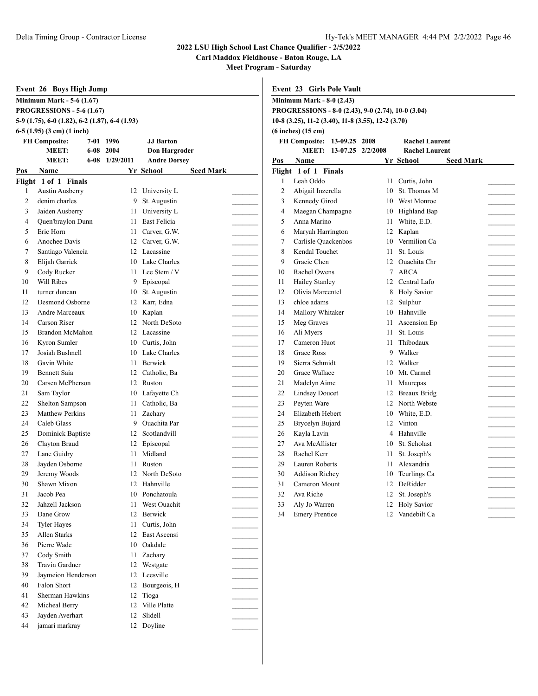**Carl Maddox Fieldhouse - Baton Rouge, LA**

|          | Event 26 Boys High Jump                        |                |                       |                  |                | Event 23 Girls Pole Vault        |                         |                                                    |                       |                  |  |
|----------|------------------------------------------------|----------------|-----------------------|------------------|----------------|----------------------------------|-------------------------|----------------------------------------------------|-----------------------|------------------|--|
|          | <b>Minimum Mark - 5-6 (1.67)</b>               |                |                       |                  |                | <b>Minimum Mark - 8-0 (2.43)</b> |                         |                                                    |                       |                  |  |
|          | <b>PROGRESSIONS - 5-6 (1.67)</b>               |                |                       |                  |                |                                  |                         | PROGRESSIONS - 8-0 (2.43), 9-0 (2.74), 10-0 (3.04) |                       |                  |  |
|          | 5-9 (1.75), 6-0 (1.82), 6-2 (1.87), 6-4 (1.93) |                |                       |                  |                |                                  |                         | 10-8 (3.25), 11-2 (3.40), 11-8 (3.55), 12-2 (3.70) |                       |                  |  |
|          | $6-5$ (1.95) (3 cm) (1 inch)                   |                |                       |                  |                | $(6$ inches $)(15$ cm $)$        |                         |                                                    |                       |                  |  |
|          | <b>FH Composite:</b>                           | 7-01 1996      | <b>JJ</b> Barton      |                  |                | FH Composite: 13-09.25 2008      |                         |                                                    | <b>Rachel Laurent</b> |                  |  |
|          | <b>MEET:</b>                                   | 6-08 2004      | <b>Don Hargroder</b>  |                  |                |                                  | MEET: 13-07.25 2/2/2008 |                                                    | <b>Rachel Laurent</b> |                  |  |
|          | <b>MEET:</b>                                   | 6-08 1/29/2011 | <b>Andre Dorsey</b>   |                  | Pos            | Name                             |                         |                                                    | Yr School             | <b>Seed Mark</b> |  |
| Pos      | Name                                           |                | Yr School             | <b>Seed Mark</b> |                | Flight 1 of 1 Finals             |                         |                                                    |                       |                  |  |
|          | Flight 1 of 1 Finals                           |                |                       |                  | 1              | Leah Oddo                        |                         | 11                                                 | Curtis, John          |                  |  |
|          | <b>Austin Ausberry</b>                         |                | 12 University L       |                  | $\overline{2}$ | Abigail Inzerella                |                         | 10                                                 | St. Thomas M          |                  |  |
| 2        | denim charles                                  | 9              | St. Augustin          |                  | 3              | Kennedy Girod                    |                         | 10                                                 | <b>West Monroe</b>    |                  |  |
| 3        | Jaiden Ausberry                                | 11             | University L          |                  | $\overline{4}$ | Maegan Champagne                 |                         | 10                                                 | <b>Highland Bap</b>   |                  |  |
| 4        | Quen'braylon Dunn                              | 11             | East Felicia          |                  | 5              | Anna Marino                      |                         | 11                                                 | White, E.D.           |                  |  |
| 5        | Eric Horn                                      | 11             | Carver, G.W.          |                  | 6              | Maryah Harrington                |                         | 12                                                 | Kaplan                |                  |  |
| 6        | Anochee Davis                                  |                | 12 Carver, G.W.       |                  | 7              | Carlisle Quackenbos              |                         | 10                                                 | Vermilion Ca          |                  |  |
|          | Santiago Valencia                              |                | 12 Lacassine          |                  | 8              | Kendal Touchet                   |                         |                                                    | 11 St. Louis          |                  |  |
| 8        | Elijah Garrick                                 |                | 10 Lake Charles       |                  | 9              | Gracie Chen                      |                         |                                                    | 12 Ouachita Chr       |                  |  |
| 9        | Cody Rucker                                    |                | 11 Lee Stem / V       |                  | 10             | Rachel Owens                     |                         |                                                    | 7 ARCA                |                  |  |
| 10       | Will Ribes                                     | 9              | Episcopal             |                  | 11             | <b>Hailey Stanley</b>            |                         |                                                    | 12 Central Lafo       |                  |  |
| 11       | turner duncan                                  | 10             | St. Augustin          |                  | 12             | Olivia Marcentel                 |                         | 8                                                  | <b>Holy Savior</b>    |                  |  |
| 12       | Desmond Osborne                                | 12             | Karr, Edna            |                  | 13             | chloe adams                      |                         |                                                    | 12 Sulphur            |                  |  |
| 13       | Andre Marceaux                                 | 10             | Kaplan                |                  | 14             | Mallory Whitaker                 |                         |                                                    | 10 Hahnville          |                  |  |
| 14       | Carson Riser                                   | 12             | North DeSoto          |                  | 15             | Meg Graves                       |                         | 11                                                 | Ascension Ep          |                  |  |
| 15       | <b>Brandon McMahon</b>                         | 12             | Lacassine             |                  | 16             | Ali Myers                        |                         | 11                                                 | St. Louis             |                  |  |
| 16       | Kyron Sumler                                   | 10             | Curtis, John          |                  | 17             | Cameron Huot                     |                         | 11                                                 | Thibodaux             |                  |  |
| 17       | Josiah Bushnell                                | 10             | Lake Charles          |                  | 18             | <b>Grace Ross</b>                |                         | 9                                                  | Walker                |                  |  |
| 18       | Gavin White                                    | 11             | Berwick               |                  | 19             | Sierra Schmidt                   |                         | 12                                                 | Walker                |                  |  |
| 19       | <b>Bennett Saia</b>                            | 12             | Catholic, Ba          |                  | 20             | Grace Wallace                    |                         | 10                                                 | Mt. Carmel            |                  |  |
| 20       | Carsen McPherson                               |                | 12 Ruston             |                  | 21             | Madelyn Aime                     |                         | 11                                                 | Maurepas              |                  |  |
| 21       | Sam Taylor                                     | 10             | Lafayette Ch          |                  | 22             | <b>Lindsey Doucet</b>            |                         | 12                                                 | Breaux Bridg          |                  |  |
| 22       | Shelton Sampson                                | 11             | Catholic, Ba          |                  | 23             | Peyten Ware                      |                         | 12                                                 | North Webste          |                  |  |
| 23       | <b>Matthew Perkins</b>                         | 11             | Zachary               |                  | 24             | Elizabeth Hebert                 |                         | 10                                                 | White, E.D.           |                  |  |
| 24       | Caleb Glass                                    | 9              | <b>Ouachita</b> Par   |                  | 25             | Brycelyn Bujard                  |                         | 12                                                 | Vinton                |                  |  |
| 25       | Dominick Baptiste                              | 12             | Scotlandvill          |                  | 26             | Kayla Lavin                      |                         | 4                                                  | Hahnville             |                  |  |
| 26       | Clayton Braud                                  | 12             | Episcopal             |                  | 27             | Ava McAllister                   |                         | 10                                                 | St. Scholast          |                  |  |
| 27       | Lane Guidry                                    | 11             | Midland               |                  | 28             | Rachel Kerr                      |                         | 11                                                 | St. Joseph's          |                  |  |
| 28       | Jayden Osborne                                 | 11             | Ruston                |                  | 29             | Lauren Roberts                   |                         |                                                    | 11 Alexandria         |                  |  |
| 29       | Jeremy Woods                                   | 12             | North DeSoto          |                  | 30             | Addison Richey                   |                         | 10                                                 | Teurlings Ca          |                  |  |
| 30       | Shawn Mixon                                    |                | 12 Hahnville          |                  | 31             | Cameron Mount                    |                         |                                                    | 12 DeRidder           |                  |  |
| 31       | Jacob Pea                                      | 10             | Ponchatoula           |                  | 32             | Ava Riche                        |                         |                                                    | 12 St. Joseph's       |                  |  |
| 32       | Jahzell Jackson                                | 11             | West Ouachit          |                  | 33             | Aly Jo Warren                    |                         |                                                    | 12 Holy Savior        |                  |  |
| 33       | Dane Grow                                      | 12             | Berwick               |                  | 34             | <b>Emery Prentice</b>            |                         |                                                    | 12 Vandebilt Ca       |                  |  |
| 34       | <b>Tyler Hayes</b>                             | 11             | Curtis, John          |                  |                |                                  |                         |                                                    |                       |                  |  |
| 35       | Allen Starks<br>Pierre Wade                    | 12             | East Ascensi          |                  |                |                                  |                         |                                                    |                       |                  |  |
| 36       |                                                | 10             | Oakdale               |                  |                |                                  |                         |                                                    |                       |                  |  |
| 37       | Cody Smith                                     | 11             | Zachary               |                  |                |                                  |                         |                                                    |                       |                  |  |
| 38       | Travin Gardner                                 | 12             | Westgate<br>Leesville |                  |                |                                  |                         |                                                    |                       |                  |  |
| 39       | Jaymeion Henderson<br>Falon Short              | 12             |                       |                  |                |                                  |                         |                                                    |                       |                  |  |
| 40<br>41 | Sherman Hawkins                                | 12<br>12       | Bourgeois, H<br>Tioga |                  |                |                                  |                         |                                                    |                       |                  |  |
| 42       | Micheal Berry                                  | 12             | Ville Platte          |                  |                |                                  |                         |                                                    |                       |                  |  |
| 43       | Jayden Averhart                                |                | 12 Slidell            |                  |                |                                  |                         |                                                    |                       |                  |  |
| 44       | jamari markray                                 |                | 12 Doyline            |                  |                |                                  |                         |                                                    |                       |                  |  |
|          |                                                |                |                       |                  |                |                                  |                         |                                                    |                       |                  |  |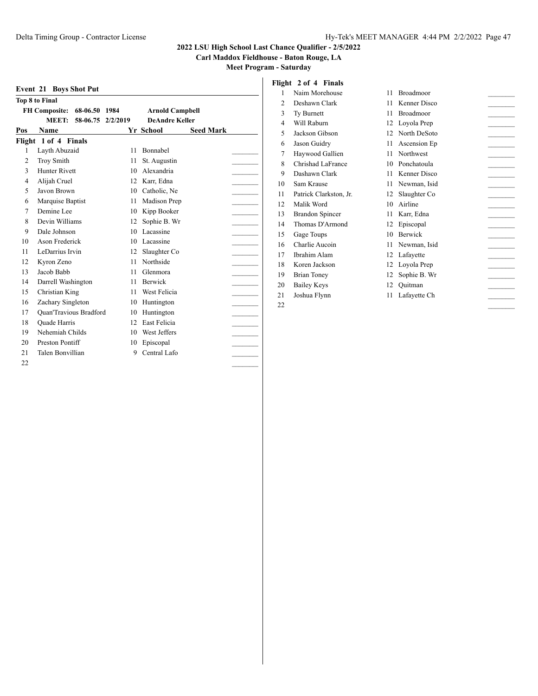**Carl Maddox Fieldhouse - Baton Rouge, LA**

**Meet Program - Saturday**

|     | <b>Event 21 Boys Shot Put</b>    |          |                        |                  |  |
|-----|----------------------------------|----------|------------------------|------------------|--|
|     | <b>Top 8 to Final</b>            |          |                        |                  |  |
|     | <b>FH Composite:</b><br>68-06.50 | 1984     | <b>Arnold Campbell</b> |                  |  |
|     | MEET:<br>58-06.75                | 2/2/2019 | <b>DeAndre Keller</b>  |                  |  |
| Pos | Name                             |          | Yr School              | <b>Seed Mark</b> |  |
|     | Flight 1 of 4 Finals             |          |                        |                  |  |
| 1   | Layth Abuzaid                    | 11       | Bonnabel               |                  |  |
| 2   | Troy Smith                       | 11       | St. Augustin           |                  |  |
| 3   | <b>Hunter Rivett</b>             | 10       | Alexandria             |                  |  |
| 4   | Alijah Cruel                     | 12       | Karr, Edna             |                  |  |
| 5   | Javon Brown                      | 10       | Catholic, Ne           |                  |  |
| 6   | Marquise Baptist                 | 11       | Madison Prep           |                  |  |
| 7   | Demine Lee                       | 10       | Kipp Booker            |                  |  |
| 8   | Devin Williams                   | 12       | Sophie B. Wr           |                  |  |
| 9   | Dale Johnson                     | 10       | Lacassine              |                  |  |
| 10  | Ason Frederick                   | 10       | Lacassine              |                  |  |
| 11  | LeDarrius Irvin                  | 12       | Slaughter Co           |                  |  |
| 12  | Kyron Zeno                       | 11       | Northside              |                  |  |
| 13  | Jacob Babb                       | 11       | Glenmora               |                  |  |
| 14  | Darrell Washington               | 11       | <b>Berwick</b>         |                  |  |
| 15  | Christian King                   | 11       | West Felicia           |                  |  |
| 16  | Zachary Singleton                | 10       | Huntington             |                  |  |
| 17  | <b>Quan'Travious Bradford</b>    | 10       | Huntington             |                  |  |
| 18  | Quade Harris                     | 12       | <b>East Felicia</b>    |                  |  |
| 19  | Nehemiah Childs                  | 10       | West Jeffers           |                  |  |
| 20  | Preston Pontiff                  | 10       | Episcopal              |                  |  |
| 21  | Talen Bonvillian                 | 9        | Central Lafo           |                  |  |
| 22  |                                  |          |                        |                  |  |

# **Flight 2 of 4 Finals**

| 1  | Naim Morehouse         | 11 | Broadmoor    |  |
|----|------------------------|----|--------------|--|
| 2  | Deshawn Clark          | 11 | Kenner Disco |  |
| 3  | Ty Burnett             | 11 | Broadmoor    |  |
| 4  | Will Raburn            | 12 | Loyola Prep  |  |
| 5  | Jackson Gibson         | 12 | North DeSoto |  |
| 6  | Jason Guidry           | 11 | Ascension Ep |  |
| 7  | Haywood Gallien        | 11 | Northwest    |  |
| 8  | Chrishad LaFrance      | 10 | Ponchatoula  |  |
| 9  | Dashawn Clark          | 11 | Kenner Disco |  |
| 10 | Sam Krause             | 11 | Newman, Isid |  |
| 11 | Patrick Clarkston, Jr. | 12 | Slaughter Co |  |
| 12 | Malik Word             | 10 | Airline      |  |
| 13 | <b>Brandon Spincer</b> | 11 | Karr, Edna   |  |
| 14 | Thomas D'Armond        | 12 | Episcopal    |  |
| 15 | Gage Toups             | 10 | Berwick      |  |
| 16 | Charlie Aucoin         | 11 | Newman, Isid |  |
| 17 | Ibrahim Alam           | 12 | Lafayette    |  |
| 18 | Koren Jackson          | 12 | Loyola Prep  |  |
| 19 | <b>Brian Toney</b>     | 12 | Sophie B. Wr |  |
| 20 | <b>Bailey Keys</b>     | 12 | Ouitman      |  |
| 21 | Joshua Flynn           | 11 | Lafayette Ch |  |

\_\_\_\_\_\_\_\_\_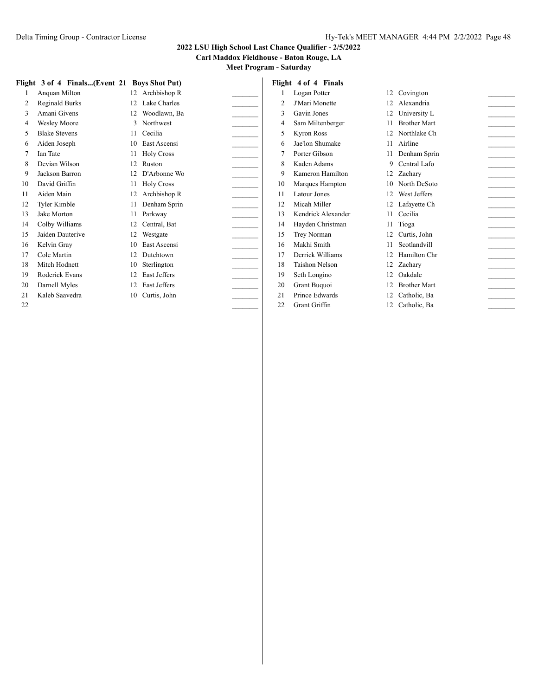## **Carl Maddox Fieldhouse - Baton Rouge, LA**

| 12<br>Covington<br>12 Alexandria<br>12<br>University L |
|--------------------------------------------------------|
|                                                        |
|                                                        |
|                                                        |
| 11<br><b>Brother Mart</b>                              |
| 12<br>Northlake Ch                                     |
| Airline<br>11                                          |
| Denham Sprin<br>11                                     |
| Central Lafo<br>9                                      |
| 12<br>Zacharv                                          |
| North DeSoto<br>10                                     |
| 12<br>West Jeffers                                     |
| 12 Lafayette Ch                                        |
| Cecilia<br>11                                          |
| Tioga<br>11                                            |
| 12<br>Curtis, John                                     |
| 11<br>Scotlandvill                                     |
| Hamilton Chr                                           |
| 12<br>Zachary                                          |
| 12<br>Oakdale                                          |
| <b>Brother Mart</b>                                    |
| 12<br>Catholic, Ba                                     |
| 12<br>Catholic, Ba                                     |
|                                                        |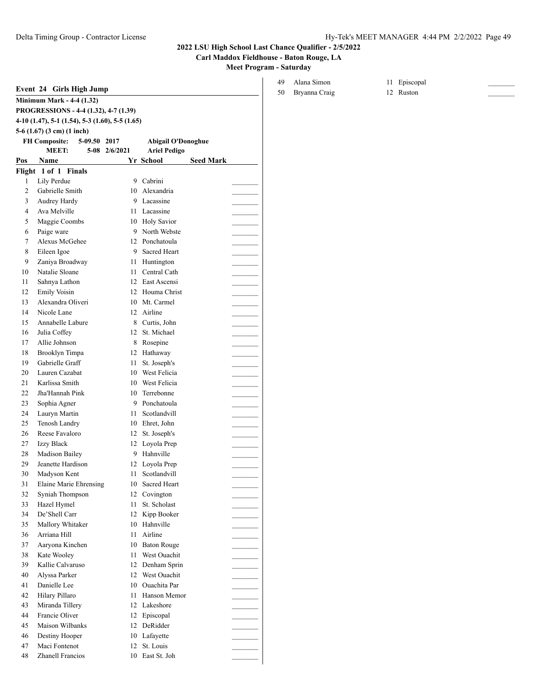## **Carl Maddox Fieldhouse - Baton Rouge, LA**

**Meet Program - Saturday**

|                | <b>Minimum Mark - 4-4 (1.32)</b>                  |               |                                 |                  |
|----------------|---------------------------------------------------|---------------|---------------------------------|------------------|
|                | PROGRESSIONS - 4-4 (1.32), 4-7 (1.39)             |               |                                 |                  |
|                | $4-10$ (1.47), 5-1 (1.54), 5-3 (1.60), 5-5 (1.65) |               |                                 |                  |
|                | 5-6 $(1.67)$ $(3 \text{ cm})$ $(1 \text{ inch})$  |               |                                 |                  |
|                | <b>FH Composite:</b><br>5-09.50 2017              |               | <b>Abigail O'Donoghue</b>       |                  |
|                | <b>MEET:</b>                                      | 5-08 2/6/2021 | <b>Ariel Pedigo</b>             |                  |
| Pos            | Name                                              |               | Yr School                       | <b>Seed Mark</b> |
|                | Flight 1 of 1 Finals                              |               |                                 |                  |
| 1              | Lily Perdue                                       | 9             | Cabrini                         |                  |
| 2<br>3         | Gabrielle Smith                                   | 10<br>9       | Alexandria<br>Lacassine         |                  |
| $\overline{4}$ | Audrey Hardy<br>Ava Melville                      | 11            | Lacassine                       |                  |
| 5              | Maggie Coombs                                     |               | 10 Holy Savior                  |                  |
| 6              | Paige ware                                        |               | 9 North Webste                  |                  |
| 7              | Alexus McGehee                                    |               | 12 Ponchatoula                  |                  |
| 8              | Eileen Igoe                                       |               | 9 Sacred Heart                  |                  |
| 9              | Zaniya Broadway                                   |               | 11 Huntington                   |                  |
| 10             | Natalie Sloane                                    |               | 11 Central Cath                 |                  |
| 11             | Sahnya Lathon                                     |               | 12 East Ascensi                 |                  |
| 12             | <b>Emily Voisin</b>                               |               | 12 Houma Christ                 |                  |
| 13             | Alexandra Oliveri                                 |               | 10 Mt. Carmel                   |                  |
| 14             | Nicole Lane                                       |               | 12 Airline                      |                  |
| 15             | Annabelle Labure                                  |               | 8 Curtis, John                  |                  |
| 16             | Julia Coffey                                      |               | 12 St. Michael                  |                  |
| 17             | Allie Johnson                                     |               | 8 Rosepine                      |                  |
| 18             | Brooklyn Timpa                                    |               | 12 Hathaway                     |                  |
| 19             | Gabrielle Graff                                   |               | 11 St. Joseph's                 |                  |
| 20             | Lauren Cazabat                                    |               | 10 West Felicia                 |                  |
| 21             | Karlissa Smith                                    |               | 10 West Felicia                 |                  |
| 22             | Jha'Hannah Pink                                   |               | 10 Terrebonne                   |                  |
| 23             | Sophia Agner                                      |               | 9 Ponchatoula                   |                  |
| 24             | Lauryn Martin                                     | 11            | Scotlandvill                    |                  |
| 25             | Tenosh Landry                                     |               | 10 Ehret, John                  |                  |
| 26             | Reese Favaloro                                    |               | 12 St. Joseph's                 |                  |
| 27             | Izzy Black                                        |               | 12 Loyola Prep                  |                  |
| 28             | Madison Bailey                                    |               | 9 Hahnville                     |                  |
| 29             | Jeanette Hardison                                 |               | 12 Loyola Prep                  |                  |
| 30<br>31       | Madyson Kent<br><b>Elaine Marie Ehrensing</b>     | 11            | Scotlandvill<br>10 Sacred Heart |                  |
| 32             | Syniah Thompson                                   |               | 12 Covington                    |                  |
| 33             | Hazel Hymel                                       | 11            | St. Scholast                    |                  |
| 34             | De'Shell Carr                                     |               | 12 Kipp Booker                  |                  |
| 35             | Mallory Whitaker                                  |               | 10 Hahnville                    |                  |
| 36             | Arriana Hill                                      | 11            | Airline                         |                  |
| 37             | Aaryona Kinchen                                   |               | 10 Baton Rouge                  |                  |
| 38             | Kate Wooley                                       | 11            | West Ouachit                    |                  |
| 39             | Kallie Calvaruso                                  |               | 12 Denham Sprin                 |                  |
| 40             | Alyssa Parker                                     |               | 12 West Ouachit                 |                  |
| 41             | Danielle Lee                                      |               | 10 Ouachita Par                 |                  |
| 42             | Hilary Pillaro                                    | 11            | Hanson Memor                    |                  |
| 43             | Miranda Tillery                                   |               | 12 Lakeshore                    |                  |
| 44             | Francie Oliver                                    |               | 12 Episcopal                    |                  |
| 45             | Maison Wilbanks                                   |               | 12 DeRidder                     |                  |
| 46             | Destiny Hooper                                    |               | 10 Lafayette                    |                  |
| 47             | Maci Fontenot                                     | 12            | St. Louis                       |                  |
| 48             | Zhanell Francios                                  |               | 10 East St. Joh                 |                  |

## 49 Alana Simon 11 Episcopal

50 Bryanna Craig 12 Ruston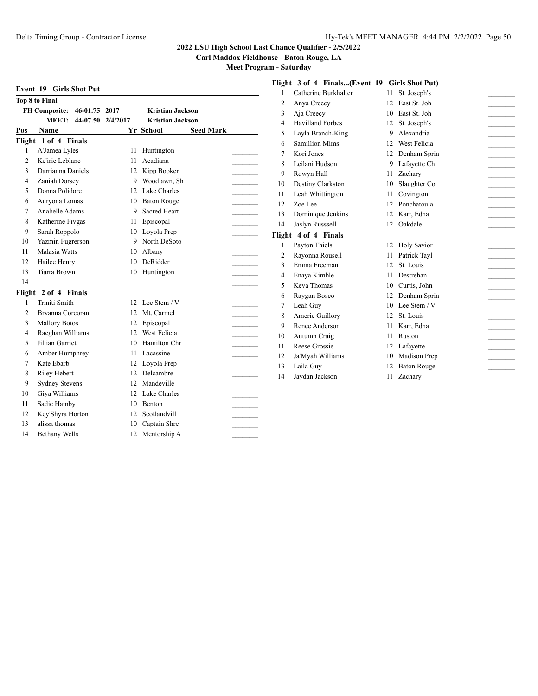**Carl Maddox Fieldhouse - Baton Rouge, LA**

|                       | <b>Event 19 Girls Shot Put</b>        |                   |                         |                  |  |  |  |  |  |
|-----------------------|---------------------------------------|-------------------|-------------------------|------------------|--|--|--|--|--|
| <b>Top 8 to Final</b> |                                       |                   |                         |                  |  |  |  |  |  |
|                       | <b>FH Composite:</b><br>46-01.75 2017 |                   | <b>Kristian Jackson</b> |                  |  |  |  |  |  |
|                       | <b>MEET:</b>                          | 44-07.50 2/4/2017 | <b>Kristian Jackson</b> |                  |  |  |  |  |  |
| Pos                   | Name                                  |                   | Yr School               | <b>Seed Mark</b> |  |  |  |  |  |
|                       | Flight 1 of 4 Finals                  |                   |                         |                  |  |  |  |  |  |
| 1                     | A'Jamea Lyles                         | 11                | Huntington              |                  |  |  |  |  |  |
| $\overline{c}$        | Ke'irie Leblanc                       | 11                | Acadiana                |                  |  |  |  |  |  |
| 3                     | Darrianna Daniels                     | 12                | Kipp Booker             |                  |  |  |  |  |  |
| 4                     | Zaniah Dorsey                         | 9                 | Woodlawn, Sh            |                  |  |  |  |  |  |
| 5                     | Donna Polidore                        | 12                | Lake Charles            |                  |  |  |  |  |  |
| 6                     | Auryona Lomas                         | 10                | <b>Baton Rouge</b>      |                  |  |  |  |  |  |
| 7                     | Anabelle Adams                        | 9                 | Sacred Heart            |                  |  |  |  |  |  |
| 8                     | Katherine Fivgas                      | 11                | Episcopal               |                  |  |  |  |  |  |
| 9                     | Sarah Roppolo                         | 10                | Loyola Prep             |                  |  |  |  |  |  |
| 10                    | Yazmin Fugrerson                      | 9                 | North DeSoto            |                  |  |  |  |  |  |
| 11                    | Malasia Watts                         | 10                | Albany                  |                  |  |  |  |  |  |
| 12                    | Hailee Henry                          | 10                | DeRidder                |                  |  |  |  |  |  |
| 13                    | Tiarra Brown                          | 10                | Huntington              |                  |  |  |  |  |  |
| 14                    |                                       |                   |                         |                  |  |  |  |  |  |
| Flight                | 2 of 4 Finals                         |                   |                         |                  |  |  |  |  |  |
| 1                     | Triniti Smith                         | 12.               | Lee Stem $\sqrt{V}$     |                  |  |  |  |  |  |
| $\overline{2}$        | Bryanna Corcoran                      | 12                | Mt. Carmel              |                  |  |  |  |  |  |
| 3                     | <b>Mallory Botos</b>                  | 12                | Episcopal               |                  |  |  |  |  |  |
| $\overline{4}$        | Raeghan Williams                      | 12                | West Felicia            |                  |  |  |  |  |  |
| 5                     | Jillian Garriet                       | 10                | Hamilton Chr            |                  |  |  |  |  |  |
| 6                     | Amber Humphrey                        | 11                | Lacassine               |                  |  |  |  |  |  |
| 7                     | Kate Ebarb                            | 12                | Loyola Prep             |                  |  |  |  |  |  |
| 8                     | Riley Hebert                          | 12                | Delcambre               |                  |  |  |  |  |  |
| 9                     | <b>Sydney Stevens</b>                 | 12                | Mandeville              |                  |  |  |  |  |  |
| 10                    | Giya Williams                         | 12                | Lake Charles            |                  |  |  |  |  |  |
| 11                    | Sadie Hamby                           | 10                | <b>Benton</b>           |                  |  |  |  |  |  |
| 12                    | Key'Shyra Horton                      | 12                | Scotlandvill            |                  |  |  |  |  |  |
| 13                    | alissa thomas                         | 10                | Captain Shre            |                  |  |  |  |  |  |
| 14                    | <b>Bethany Wells</b>                  | 12                | Mentorship A            |                  |  |  |  |  |  |
|                       |                                       |                   |                         |                  |  |  |  |  |  |

|                | Flight 3 of 4 Finals(Event 19 Girls Shot Put) |    |                    |  |
|----------------|-----------------------------------------------|----|--------------------|--|
| 1              | Catherine Burkhalter                          | 11 | St. Joseph's       |  |
| $\overline{2}$ | Anya Creecy                                   | 12 | East St. Joh       |  |
| 3              | Aja Creecy                                    | 10 | East St. Joh       |  |
| 4              | <b>Havilland Forbes</b>                       | 12 | St. Joseph's       |  |
| 5              | Layla Branch-King                             | 9  | Alexandria         |  |
| 6              | <b>Samillion Mims</b>                         | 12 | West Felicia       |  |
| 7              | Kori Jones                                    | 12 | Denham Sprin       |  |
| 8              | Leilani Hudson                                | 9  | Lafavette Ch       |  |
| 9              | Rowyn Hall                                    | 11 | Zachary            |  |
| 10             | Destiny Clarkston                             | 10 | Slaughter Co       |  |
| 11             | Leah Whittington                              | 11 | Covington          |  |
| 12             | Zoe Lee                                       | 12 | Ponchatoula        |  |
| 13             | Dominique Jenkins                             | 12 | Karr, Edna         |  |
| 14             | Jaslyn Russsell                               |    | 12 Oakdale         |  |
|                | Flight 4 of 4 Finals                          |    |                    |  |
| 1              | Payton Thiels                                 | 12 | <b>Holy Savior</b> |  |
| $\overline{c}$ | Rayonna Rousell                               | 11 | Patrick Tayl       |  |
| 3              | Emma Freeman                                  | 12 | St. Louis          |  |
| $\overline{4}$ | Enaya Kimble                                  | 11 | Destrehan          |  |
| 5              | Keva Thomas                                   | 10 | Curtis, John       |  |
| 6              | Raygan Bosco                                  | 12 | Denham Sprin       |  |
| 7              | Leah Guy                                      | 10 | Lee Stem / V       |  |
| 8              | Amerie Guillory                               | 12 | St. Louis          |  |
| 9              | Renee Anderson                                | 11 | Karr, Edna         |  |
| 10             | Autumn Craig                                  | 11 | Ruston             |  |
| 11             | Reese Grossie                                 | 12 | Lafayette          |  |
| 12             | Ja'Myah Williams                              | 10 | Madison Prep       |  |
| 13             | Laila Guy                                     | 12 | <b>Baton Rouge</b> |  |
| 14             | Jaydan Jackson                                | 11 | Zachary            |  |
|                |                                               |    |                    |  |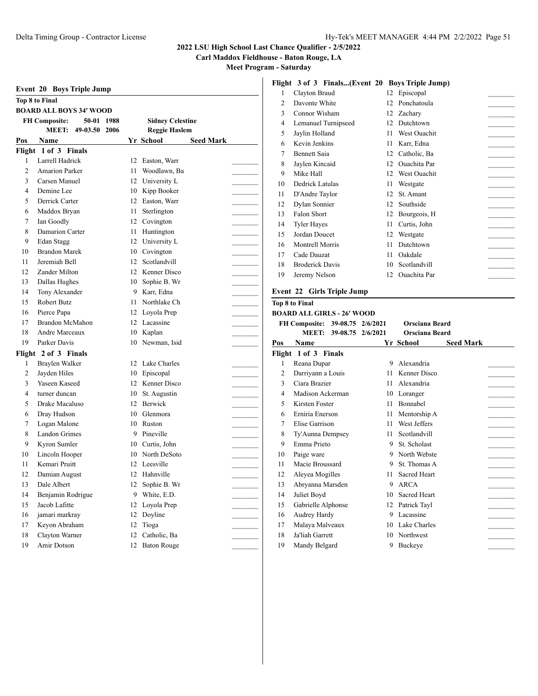Bennett Saia 12 Catholic, Ba \_\_\_\_\_\_\_\_\_ Jaylen Kincaid 12 Ouachita Par \_\_\_\_\_\_\_\_\_ Mike Hall 12 West Ouachit \_\_\_\_\_\_\_\_\_ Dedrick Latulas 11 Westgate \_\_\_\_\_\_\_\_\_

 Dylan Sonnier 12 Southside \_\_\_\_\_\_\_\_\_ Bourgeois, H  $\qquad \qquad \qquad$  Tyler Hayes 11 Curtis, John \_\_\_\_\_\_\_\_\_ Jordan Doucet 12 Westgate \_\_\_\_\_\_\_\_\_

**Pos Name Yr School Seed Mark**

11 Mentorship A  $\qquad \qquad \qquad$ 7 Elise Garrison 11 West Jeffers \_\_\_\_\_\_\_\_\_

11 Scotlandvill<br>
9 St. Scholast<br>
9 North Webste<br>
9 St. Thomas A<br>
11 Sacred Heart<br>
12 A DCA

13 Abryanna Marsden 9 ARCA \_\_\_\_\_\_\_\_\_ 14 Juliet Boyd 10 Sacred Heart \_\_\_\_\_\_\_\_\_

17 Malaya Malveaux 10 Lake Charles \_\_\_\_\_\_\_\_\_

### **2022 LSU High School Last Chance Qualifier - 2/5/2022**

**Carl Maddox Fieldhouse - Baton Rouge, LA**

**Meet Program - Saturday**

|                | <b>Event 20 Boys Triple Jump</b>   |          |                                |                | Fight 3 of 3 Finals(Event 20 Boys Friple Jump) |    |                           |
|----------------|------------------------------------|----------|--------------------------------|----------------|------------------------------------------------|----|---------------------------|
|                | <b>Top 8 to Final</b>              |          |                                | 1              | Clayton Braud                                  |    | 12 Episcopal              |
|                | <b>BOARD ALL BOYS 34' WOOD</b>     |          |                                | $\overline{2}$ | Davonte White                                  |    | 12 Ponchatoula            |
|                | <b>FH</b> Composite:<br>50-01 1988 |          | <b>Sidney Celestine</b>        | 3              | Connor Wisham                                  | 12 | Zacharv                   |
|                | 49-03.50 2006<br><b>MEET:</b>      |          | <b>Reggie Haslem</b>           | 4              | Lemanuel Turnipseed                            | 12 | Dutchtown                 |
| Pos            | Name                               |          | <b>Seed Mark</b><br>Yr School  | 5              | Jaylin Holland                                 | 11 | West Ouachit              |
|                | Flight 1 of 3 Finals               |          |                                | 6              | Kevin Jenkins                                  | 11 | Karr, Edna                |
| $\mathbf{1}$   | Larrell Hadrick                    | 12       | Easton, Warr                   | 7              | <b>Bennett Saia</b>                            | 12 | Catholic, Ba              |
| 2              | <b>Amarion Parker</b>              | 11       | Woodlawn, Ba                   | 8              | Jaylen Kincaid                                 | 12 | Ouachita Par              |
| 3              | Carsen Manuel                      | 12       | University L                   | 9              | Mike Hall                                      | 12 | West Ouachit              |
| 4              | Demine Lee                         | 10       | Kipp Booker                    | 10             | Dedrick Latulas                                | 11 | Westgate                  |
| 5              | Derrick Carter                     | 12       | Easton, Warr                   | 11             | D'Andre Taylor                                 | 12 | St. Amant                 |
|                | Maddox Bryan                       | 11       | Sterlington                    | 12             | Dylan Sonnier                                  | 12 | Southside                 |
| 6<br>7         | Ian Goodly                         | 12       | Covington                      | 13             | Falon Short                                    | 12 | Bourgeois, H              |
| 8              | Damarion Carter                    |          | Huntington                     | 14             | <b>Tyler Hayes</b>                             | 11 | Curtis, John              |
| 9              |                                    | 11<br>12 |                                | 15             | Jordan Doucet                                  | 12 | Westgate                  |
|                | Edan Stagg<br><b>Brandon Marek</b> |          | University L                   | 16             | Montrell Morris                                | 11 | Dutchtown                 |
| 10             |                                    | 10       | Covington                      | 17             | Cade Dauzat                                    | 11 | Oakdale                   |
| 11             | Jeremiah Bell<br>Zander Milton     | 12       | Scotlandvill<br>Kenner Disco   | 18             | <b>Broderick Davis</b>                         | 10 | Scotlandvill              |
| 12             |                                    | 12       | Sophie B. Wr                   | 19             | Jeremy Nelson                                  | 12 | Ouachita Par              |
| 13             | Dallas Hughes                      | 10       |                                |                | Event 22 Girls Triple Jump                     |    |                           |
| 14             | Tony Alexander<br>Robert Butz      | 9        | Karr, Edna<br>Northlake Ch     |                |                                                |    |                           |
| 15             |                                    | 11       |                                |                | <b>Top 8 to Final</b>                          |    |                           |
| 16             | Pierce Papa                        | 12       | Loyola Prep                    |                | <b>BOARD ALL GIRLS - 26' WOOD</b>              |    |                           |
| 17             | Brandon McMahon                    |          | 12 Lacassine                   |                | FH Composite: 39-08.75 2/6/2021                |    | Orsciana Beard            |
| 18             | Andre Marceaux                     | 10       | Kaplan                         |                | MEET: 39-08.75 2/6/2021                        |    | Orsciana Beard            |
| 19             | Parker Davis                       | 10       | Newman, Isid                   | Pos            | Name                                           |    | <b>Yr School</b><br>S     |
|                | Flight 2 of 3 Finals               |          |                                |                | Flight 1 of 3 Finals                           |    |                           |
| 1              | Braylen Walker                     |          | 12 Lake Charles                | 1              | Reana Dupar                                    |    | 9 Alexandria              |
| $\overline{2}$ | Jayden Hiles                       | 10       | Episcopal                      | 2              | Darriyann a Louis                              | 11 | Kenner Disco              |
| 3              | Yaseen Kaseed                      | 12       | Kenner Disco                   | 3              | Ciara Brazier                                  | 11 | Alexandria                |
| $\overline{4}$ | turner duncan                      | 10       | St. Augustin                   | 4              | Madison Ackerman                               | 10 | Loranger                  |
| 5              | Drake Macaluso                     | 12       | Berwick                        | 5              | Kirsten Foster                                 | 11 | Bonnabel                  |
| 6              | Dray Hudson                        | 10       | Glenmora                       | 6              | Erniria Enerson                                | 11 | Mentorship A              |
| 7              | Logan Malone                       | 10       | Ruston                         | 7              | Elise Garrison                                 | 11 | West Jeffers              |
| 8              | Landon Grimes                      | 9        | Pineville                      | 8              | Ty'Aunna Dempsey                               | 11 | Scotlandvill              |
| 9              | Kyron Sumler                       | 10       | Curtis, John                   | 9              | Emma Prieto                                    | 9  | St. Scholast              |
| 10             | Lincoln Hooper                     | 10       | North DeSoto                   | 10             | Paige ware                                     | 9  | North Webste              |
| 11             | Kemari Pruitt                      |          | 12 Leesville                   | 11             | Macie Broussard                                | 9  | St. Thomas A              |
| 12             | Damian August                      |          | 12 Hahnville                   | 12             | Aleyea Mogilles                                |    | 11 Sacred Heart           |
| 13             | Dale Albert                        |          | 12 Sophie B. Wr                | 13             | Abryanna Marsden                               |    | 9 ARCA                    |
| 14             | Benjamin Rodrigue                  | 9.       | White, E.D.                    | 14             | Juliet Boyd                                    |    | 10 Sacred Heart           |
|                |                                    |          |                                |                |                                                |    |                           |
| 15             | Jacob Lafitte                      |          | 12 Loyola Prep                 | 15             | Gabrielle Alphonse                             |    | 12 Patrick Tayl           |
| 16             | jamari markray                     |          | 12 Doyline                     | 16             | Audrey Hardy                                   |    | 9 Lacassine               |
| 17             | Keyon Abraham                      |          | 12 Tioga                       | 17             | Malaya Malveaux                                |    | 10 Lake Charles           |
| 18<br>19       | Clayton Warner<br>Amir Dotson      | 12       | Catholic, Ba<br>12 Baton Rouge | 18<br>19       | Ja'liah Garrett<br>Mandy Belgard               |    | 10 Northwest<br>9 Buckeye |

# **Flight 3 of 3 Finals...(Event 20 Boys Triple Jump)**